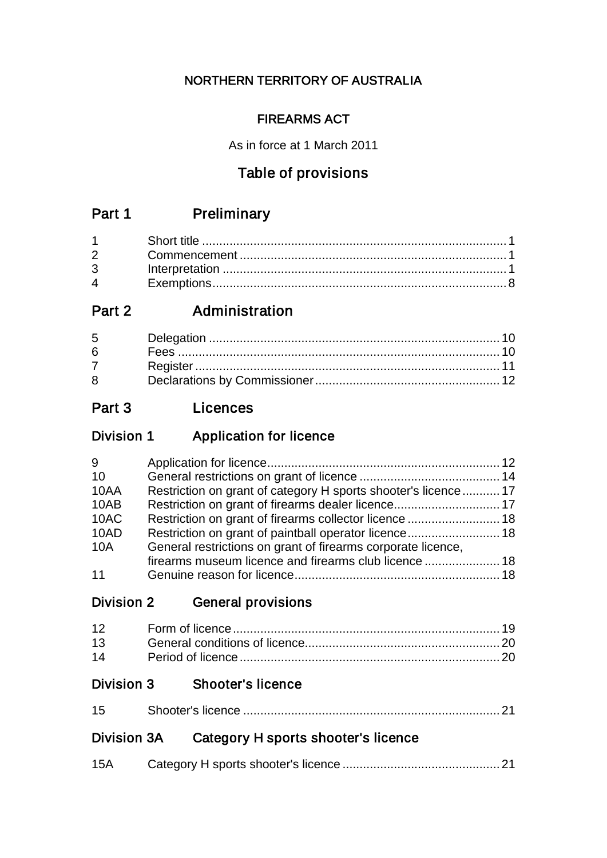## NORTHERN TERRITORY OF AUSTRALIA

## FIREARMS ACT

As in force at 1 March 2011

# Table of provisions

# Part 1 Preliminary

| $\mathbf 4$ |  |
|-------------|--|

# Part 2 **Administration**

| $6 \qquad$       |  |
|------------------|--|
| $7 \quad \sigma$ |  |
| 8                |  |

# Part 3 Licences

# Division 1 Application for licence

| 9          |                                                               |  |
|------------|---------------------------------------------------------------|--|
| 10         |                                                               |  |
| 10AA       | Restriction on grant of category H sports shooter's licence17 |  |
| 10AB       |                                                               |  |
| 10AC       | Restriction on grant of firearms collector licence  18        |  |
| 10AD       | Restriction on grant of paintball operator licence 18         |  |
| <b>10A</b> | General restrictions on grant of firearms corporate licence,  |  |
|            |                                                               |  |
| 11         |                                                               |  |

## Division 2 General provisions

## Division 3 Shooter's licence

| 15 |  |
|----|--|

# Division 3A Category H sports shooter's licence

| 15A |  |
|-----|--|
|     |  |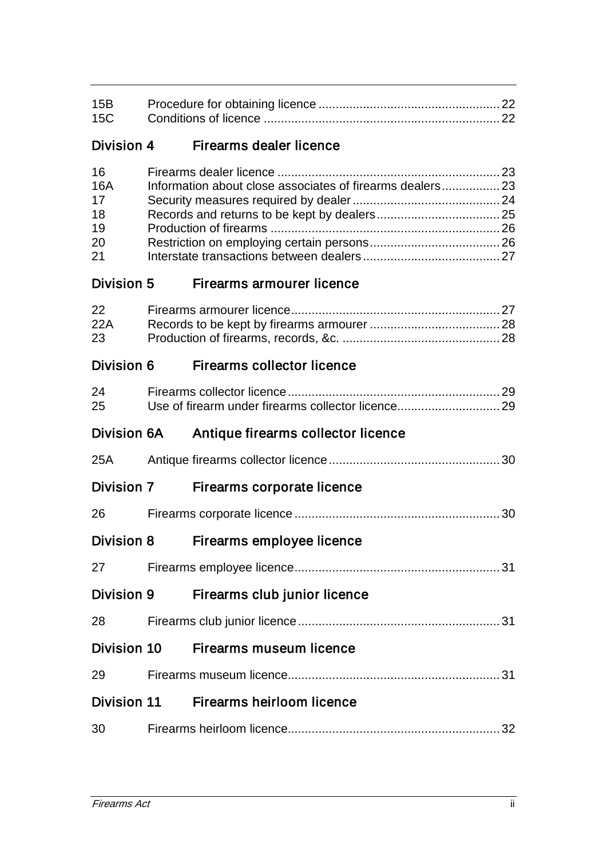| 15B<br>15C                                     |                                    |  |
|------------------------------------------------|------------------------------------|--|
| Division 4                                     | Firearms dealer licence            |  |
| 16<br><b>16A</b><br>17<br>18<br>19<br>20<br>21 |                                    |  |
| <b>Division 5</b>                              | Firearms armourer licence          |  |
| 22<br>22A<br>23                                |                                    |  |
| Division 6                                     | <b>Firearms collector licence</b>  |  |
| 24<br>25                                       |                                    |  |
| <b>Division 6A</b>                             | Antique firearms collector licence |  |
| 25A                                            |                                    |  |
| Division 7                                     | <b>Firearms corporate licence</b>  |  |
| 26                                             |                                    |  |
| <b>Division 8</b>                              | Firearms employee licence          |  |
| 27                                             |                                    |  |
| <b>Division 9</b>                              | Firearms club junior licence       |  |
| 28                                             |                                    |  |
| Division 10                                    | Firearms museum licence            |  |
| 29                                             |                                    |  |
| <b>Division 11</b>                             | Firearms heirloom licence          |  |
| 30                                             |                                    |  |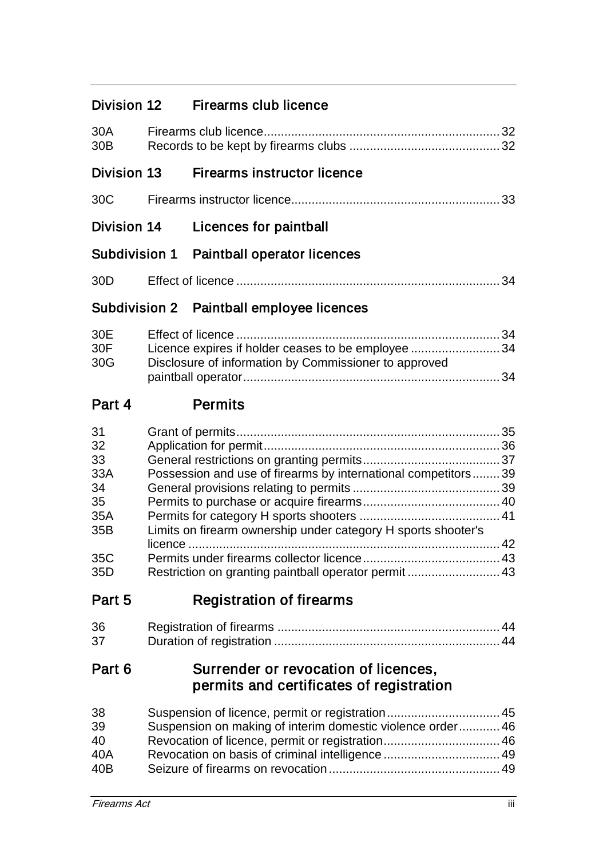| Division 12 | Firearms club licence |
|-------------|-----------------------|
|-------------|-----------------------|

| 30A<br>30 <sub>B</sub>            |  |                                                                                                                        |  |  |
|-----------------------------------|--|------------------------------------------------------------------------------------------------------------------------|--|--|
| <b>Division 13</b>                |  | <b>Firearms instructor licence</b>                                                                                     |  |  |
| 30C                               |  |                                                                                                                        |  |  |
| Division 14                       |  | Licences for paintball                                                                                                 |  |  |
| Subdivision 1                     |  | Paintball operator licences                                                                                            |  |  |
| 30 <sub>D</sub>                   |  |                                                                                                                        |  |  |
|                                   |  | Subdivision 2 Paintball employee licences                                                                              |  |  |
| 30E<br>30F<br>30G                 |  | Licence expires if holder ceases to be employee 34<br>Disclosure of information by Commissioner to approved            |  |  |
| Part 4                            |  | <b>Permits</b>                                                                                                         |  |  |
| 31<br>32<br>33<br>33A<br>34<br>35 |  | Possession and use of firearms by international competitors 39                                                         |  |  |
| 35A<br>35B<br>35C<br>35D          |  | Limits on firearm ownership under category H sports shooter's<br>Restriction on granting paintball operator permit  43 |  |  |
| Part 5                            |  | <b>Registration of firearms</b>                                                                                        |  |  |
| 36<br>37                          |  |                                                                                                                        |  |  |

|  |  | permits and certificates of registration |
|--|--|------------------------------------------|
|  |  |                                          |
|  |  |                                          |
|  |  |                                          |

| 38  |                                                           |  |
|-----|-----------------------------------------------------------|--|
| 39  | Suspension on making of interim domestic violence order46 |  |
| 40  |                                                           |  |
| 40A |                                                           |  |
| 40B |                                                           |  |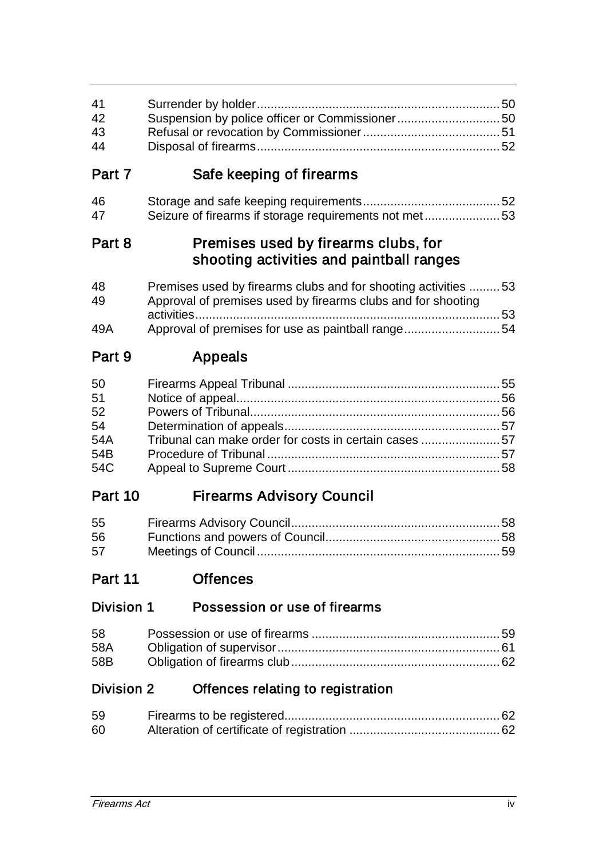| 41<br>42<br>43<br>44                      | Suspension by police officer or Commissioner 50                                                                                |    |
|-------------------------------------------|--------------------------------------------------------------------------------------------------------------------------------|----|
| Part 7                                    | Safe keeping of firearms                                                                                                       |    |
| 46<br>47                                  | Seizure of firearms if storage requirements not met53                                                                          |    |
| Part 8                                    | Premises used by firearms clubs, for<br>shooting activities and paintball ranges                                               |    |
| 48<br>49                                  | Premises used by firearms clubs and for shooting activities 53<br>Approval of premises used by firearms clubs and for shooting |    |
| 49A                                       | Approval of premises for use as paintball range54                                                                              |    |
| Part 9                                    | <b>Appeals</b>                                                                                                                 |    |
| 50<br>51<br>52<br>54<br>54A<br>54B<br>54C | Tribunal can make order for costs in certain cases 57                                                                          |    |
| Part 10                                   | <b>Firearms Advisory Council</b>                                                                                               |    |
| 55<br>56<br>57                            |                                                                                                                                | 59 |
| Part 11                                   | <b>Offences</b>                                                                                                                |    |
| Division 1                                | Possession or use of firearms                                                                                                  |    |
| 58<br>58A<br>58B                          |                                                                                                                                |    |

# Division 2 Offences relating to registration

| 59 |  |
|----|--|
| 60 |  |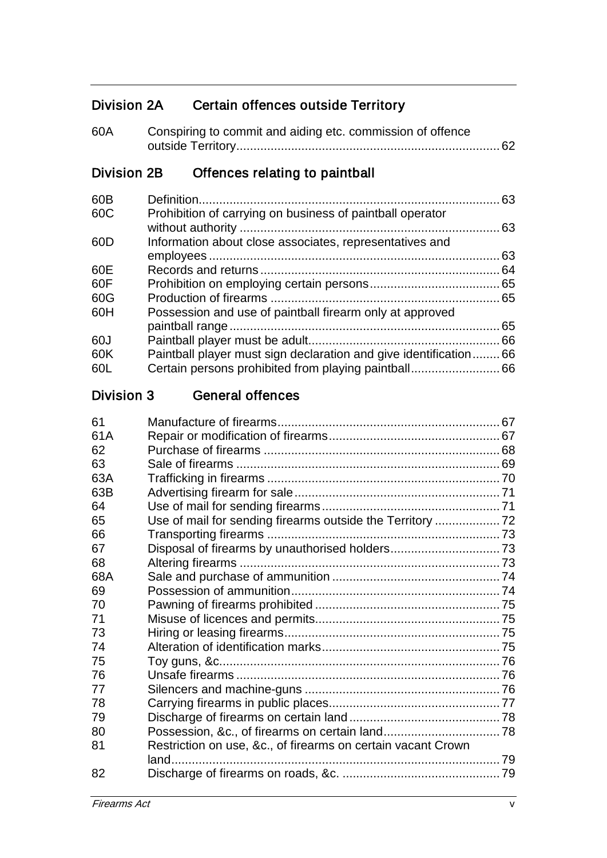# Division 2A Certain offences outside Territory

| 60A | Conspiring to commit and aiding etc. commission of offence |
|-----|------------------------------------------------------------|
|     |                                                            |

# Division 2B Offences relating to paintball

| 60B |                                                                | 63   |
|-----|----------------------------------------------------------------|------|
| 60C | Prohibition of carrying on business of paintball operator      |      |
|     |                                                                | 63   |
| 60D | Information about close associates, representatives and        |      |
|     |                                                                | 63   |
| 60E |                                                                | . 64 |
| 60F |                                                                |      |
| 60G |                                                                |      |
| 60H | Possession and use of paintball firearm only at approved       |      |
|     |                                                                | 65   |
| 60J |                                                                | 66   |
| 60K | Paintball player must sign declaration and give identification | 66   |
| 60L |                                                                |      |

### Division 3 General offences

| Restriction on use, &c., of firearms on certain vacant Crown |  |
|--------------------------------------------------------------|--|
|                                                              |  |
|                                                              |  |
|                                                              |  |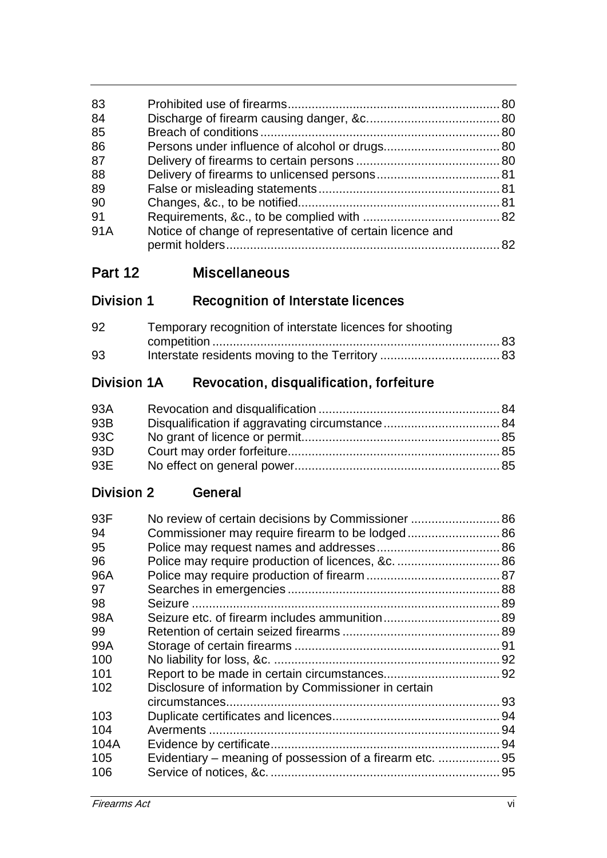| 83  |                                                           |  |
|-----|-----------------------------------------------------------|--|
| 84  |                                                           |  |
| 85  |                                                           |  |
| 86  |                                                           |  |
| 87  |                                                           |  |
| 88  |                                                           |  |
| 89  |                                                           |  |
| 90  |                                                           |  |
| 91  |                                                           |  |
| 91A | Notice of change of representative of certain licence and |  |
|     |                                                           |  |
|     |                                                           |  |

# Division 1 Recognition of Interstate licences

| 92 | Temporary recognition of interstate licences for shooting |  |
|----|-----------------------------------------------------------|--|
|    |                                                           |  |
| 93 |                                                           |  |

# Division 1A Revocation, disqualification, forfeiture

| 93A |  |
|-----|--|
| 93B |  |
| 93C |  |
| 93D |  |
| 93E |  |

### Division 2 General

| 93F  | No review of certain decisions by Commissioner  86        |  |
|------|-----------------------------------------------------------|--|
| 94   |                                                           |  |
| 95   |                                                           |  |
| 96   |                                                           |  |
| 96A  |                                                           |  |
| 97   |                                                           |  |
| 98   |                                                           |  |
| 98A  |                                                           |  |
| 99   |                                                           |  |
| 99A  |                                                           |  |
| 100  |                                                           |  |
| 101  |                                                           |  |
| 102  | Disclosure of information by Commissioner in certain      |  |
|      |                                                           |  |
| 103  |                                                           |  |
| 104  |                                                           |  |
| 104A |                                                           |  |
| 105  | Evidentiary – meaning of possession of a firearm etc.  95 |  |
| 106  |                                                           |  |
|      |                                                           |  |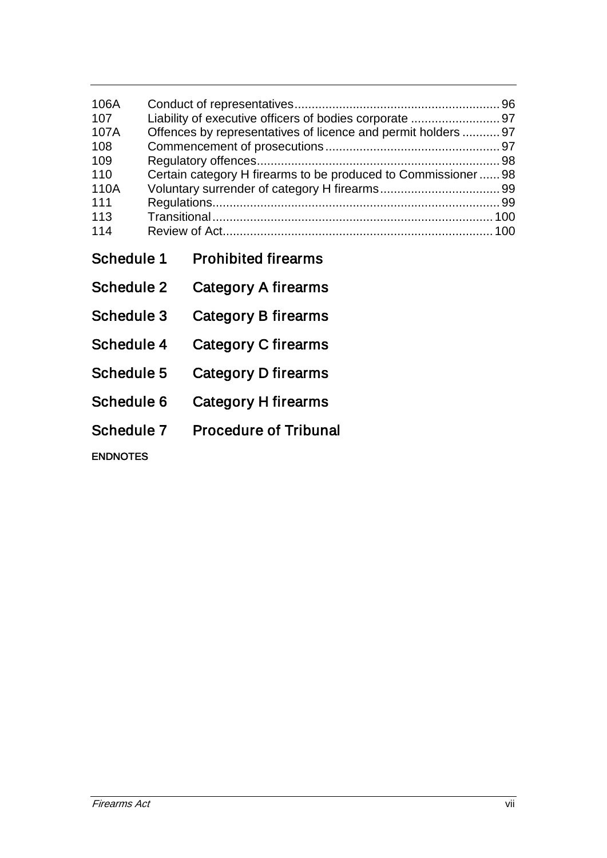| 106A<br>107<br>107A<br>108<br>109<br>110<br>110A<br>111<br>113<br>114 | Liability of executive officers of bodies corporate  97<br>Offences by representatives of licence and permit holders  97<br>Certain category H firearms to be produced to Commissioner  98 |                              |  |  |
|-----------------------------------------------------------------------|--------------------------------------------------------------------------------------------------------------------------------------------------------------------------------------------|------------------------------|--|--|
| Schedule 1                                                            |                                                                                                                                                                                            | <b>Prohibited firearms</b>   |  |  |
| Schedule 2                                                            |                                                                                                                                                                                            | Category A firearms          |  |  |
| Schedule 3                                                            |                                                                                                                                                                                            | Category B firearms          |  |  |
| Schedule 4                                                            |                                                                                                                                                                                            | Category C firearms          |  |  |
| Schedule 5                                                            |                                                                                                                                                                                            | Category D firearms          |  |  |
| Schedule 6                                                            |                                                                                                                                                                                            | Category H firearms          |  |  |
| Schedule 7                                                            |                                                                                                                                                                                            | <b>Procedure of Tribunal</b> |  |  |
| <b>ENDNOTES</b>                                                       |                                                                                                                                                                                            |                              |  |  |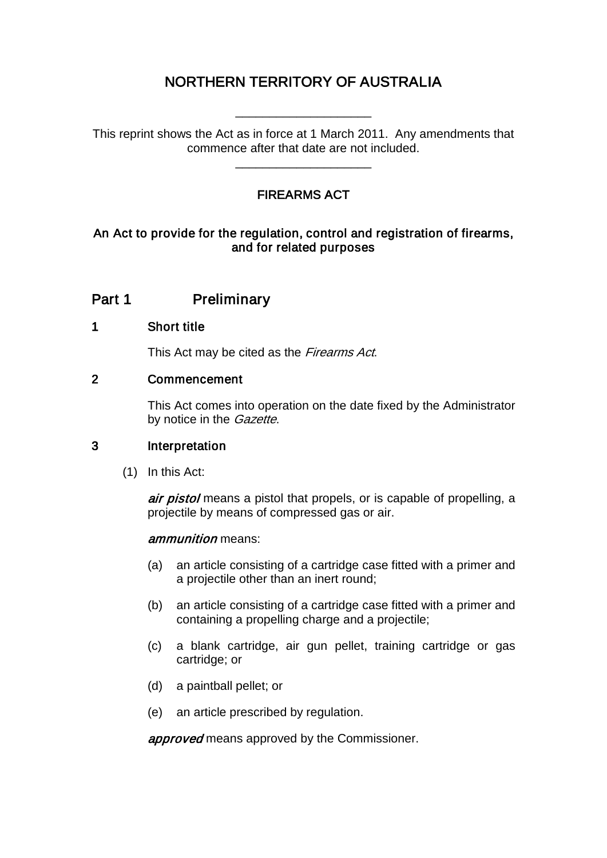# NORTHERN TERRITORY OF AUSTRALIA

This reprint shows the Act as in force at 1 March 2011. Any amendments that commence after that date are not included.

\_\_\_\_\_\_\_\_\_\_\_\_\_\_\_\_\_\_\_\_

\_\_\_\_\_\_\_\_\_\_\_\_\_\_\_\_\_\_\_\_

### FIREARMS ACT

#### An Act to provide for the regulation, control and registration of firearms, and for related purposes

### Part 1 Preliminary

#### 1 Short title

This Act may be cited as the Firearms Act.

#### 2 Commencement

This Act comes into operation on the date fixed by the Administrator by notice in the *Gazette*.

#### 3 Interpretation

(1) In this Act:

air pistol means a pistol that propels, or is capable of propelling, a projectile by means of compressed gas or air.

#### ammunition means:

- (a) an article consisting of a cartridge case fitted with a primer and a projectile other than an inert round;
- (b) an article consisting of a cartridge case fitted with a primer and containing a propelling charge and a projectile;
- (c) a blank cartridge, air gun pellet, training cartridge or gas cartridge; or
- (d) a paintball pellet; or
- (e) an article prescribed by regulation.

approved means approved by the Commissioner.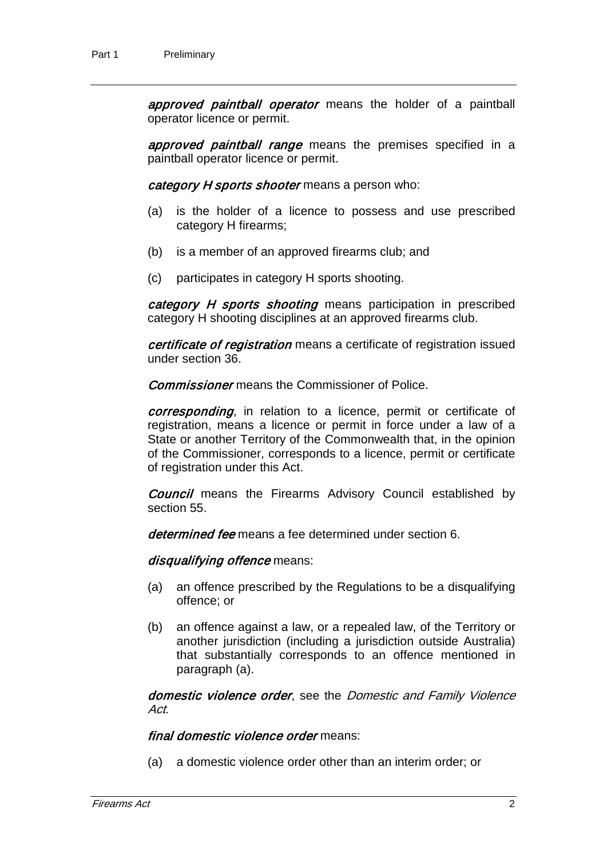approved paintball operator means the holder of a paintball operator licence or permit.

approved paintball range means the premises specified in a paintball operator licence or permit.

category H sports shooter means a person who:

- (a) is the holder of a licence to possess and use prescribed category H firearms;
- (b) is a member of an approved firearms club; and
- (c) participates in category H sports shooting.

category H sports shooting means participation in prescribed category H shooting disciplines at an approved firearms club.

certificate of registration means a certificate of registration issued under section 36.

**Commissioner** means the Commissioner of Police.

corresponding, in relation to a licence, permit or certificate of registration, means a licence or permit in force under a law of a State or another Territory of the Commonwealth that, in the opinion of the Commissioner, corresponds to a licence, permit or certificate of registration under this Act.

**Council** means the Firearms Advisory Council established by section 55.

determined fee means a fee determined under section 6.

disqualifying offence means:

- (a) an offence prescribed by the Regulations to be a disqualifying offence; or
- (b) an offence against a law, or a repealed law, of the Territory or another jurisdiction (including a jurisdiction outside Australia) that substantially corresponds to an offence mentioned in paragraph (a).

domestic violence order, see the Domestic and Family Violence Act.

final domestic violence order means:

(a) a domestic violence order other than an interim order; or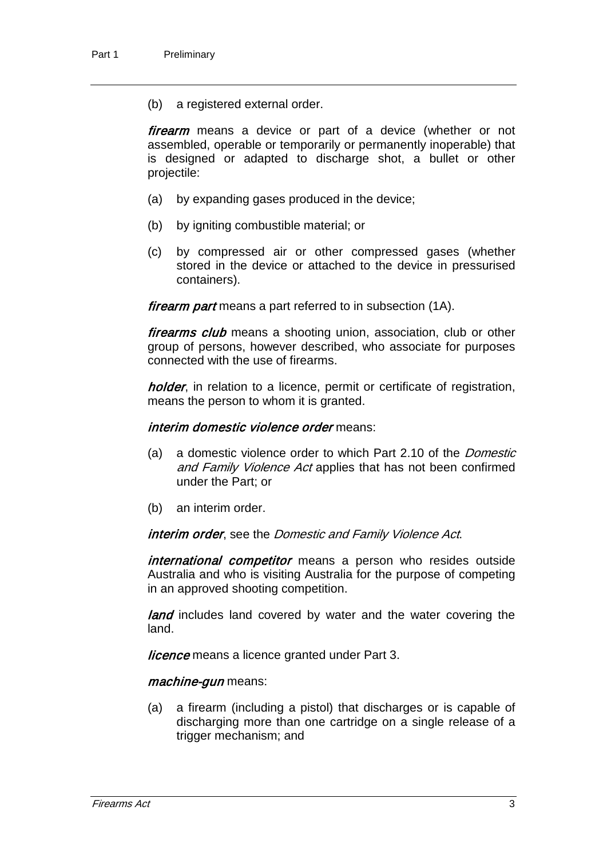(b) a registered external order.

firearm means a device or part of a device (whether or not assembled, operable or temporarily or permanently inoperable) that is designed or adapted to discharge shot, a bullet or other projectile:

- (a) by expanding gases produced in the device;
- (b) by igniting combustible material; or
- (c) by compressed air or other compressed gases (whether stored in the device or attached to the device in pressurised containers).

firearm part means a part referred to in subsection (1A).

firearms club means a shooting union, association, club or other group of persons, however described, who associate for purposes connected with the use of firearms.

holder, in relation to a licence, permit or certificate of registration, means the person to whom it is granted.

#### interim domestic violence order means:

- (a) a domestic violence order to which Part 2.10 of the *Domestic* and Family Violence Act applies that has not been confirmed under the Part; or
- (b) an interim order.

#### interim order, see the Domestic and Family Violence Act.

international competitor means a person who resides outside Australia and who is visiting Australia for the purpose of competing in an approved shooting competition.

**land** includes land covered by water and the water covering the land.

**licence** means a licence granted under Part 3.

#### machine-gun means:

(a) a firearm (including a pistol) that discharges or is capable of discharging more than one cartridge on a single release of a trigger mechanism; and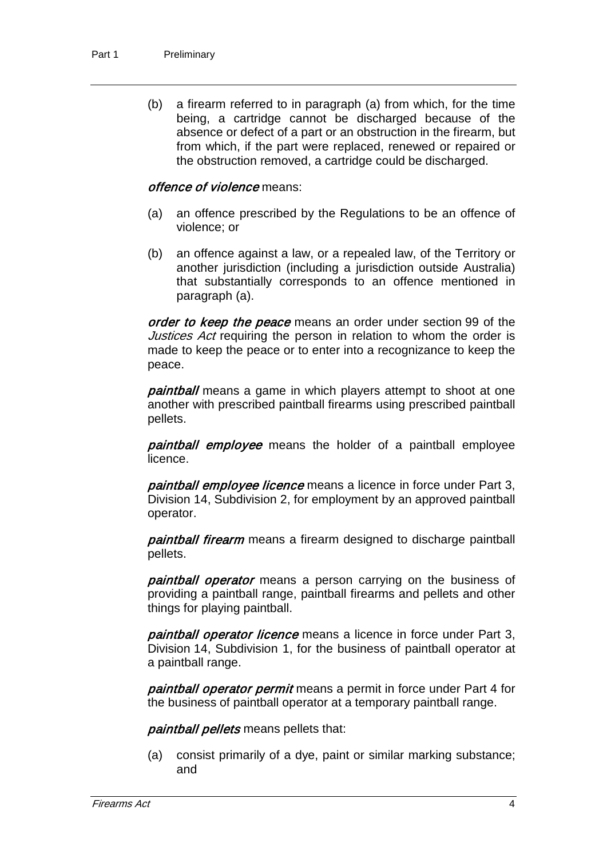(b) a firearm referred to in paragraph (a) from which, for the time being, a cartridge cannot be discharged because of the absence or defect of a part or an obstruction in the firearm, but from which, if the part were replaced, renewed or repaired or the obstruction removed, a cartridge could be discharged.

#### offence of violence means:

- (a) an offence prescribed by the Regulations to be an offence of violence; or
- (b) an offence against a law, or a repealed law, of the Territory or another jurisdiction (including a jurisdiction outside Australia) that substantially corresponds to an offence mentioned in paragraph (a).

order to keep the peace means an order under section 99 of the Justices Act requiring the person in relation to whom the order is made to keep the peace or to enter into a recognizance to keep the peace.

**paintball** means a game in which players attempt to shoot at one another with prescribed paintball firearms using prescribed paintball pellets.

paintball employee means the holder of a paintball employee licence.

paintball employee licence means a licence in force under Part 3, Division 14, Subdivision 2, for employment by an approved paintball operator.

paintball firearm means a firearm designed to discharge paintball pellets.

paintball operator means a person carrying on the business of providing a paintball range, paintball firearms and pellets and other things for playing paintball.

paintball operator licence means a licence in force under Part 3, Division 14, Subdivision 1, for the business of paintball operator at a paintball range.

paintball operator permit means a permit in force under Part 4 for the business of paintball operator at a temporary paintball range.

paintball pellets means pellets that:

(a) consist primarily of a dye, paint or similar marking substance; and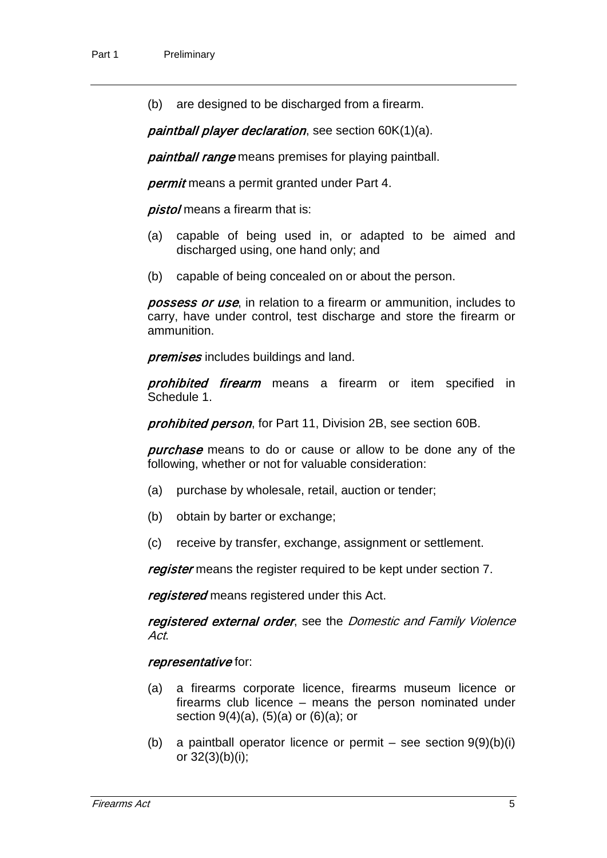(b) are designed to be discharged from a firearm.

paintball player declaration, see section 60K(1)(a).

paintball range means premises for playing paintball.

permit means a permit granted under Part 4.

pistol means a firearm that is:

- (a) capable of being used in, or adapted to be aimed and discharged using, one hand only; and
- (b) capable of being concealed on or about the person.

**possess or use**, in relation to a firearm or ammunition, includes to carry, have under control, test discharge and store the firearm or ammunition.

premises includes buildings and land.

prohibited firearm means a firearm or item specified in Schedule 1.

prohibited person, for Part 11, Division 2B, see section 60B.

**purchase** means to do or cause or allow to be done any of the following, whether or not for valuable consideration:

- (a) purchase by wholesale, retail, auction or tender;
- (b) obtain by barter or exchange;
- (c) receive by transfer, exchange, assignment or settlement.

register means the register required to be kept under section 7.

registered means registered under this Act.

registered external order, see the Domestic and Family Violence Act.

#### representative for:

- (a) a firearms corporate licence, firearms museum licence or firearms club licence – means the person nominated under section  $9(4)(a)$ ,  $(5)(a)$  or  $(6)(a)$ ; or
- (b) a paintball operator licence or permit see section  $9(9)(b)(i)$ or 32(3)(b)(i);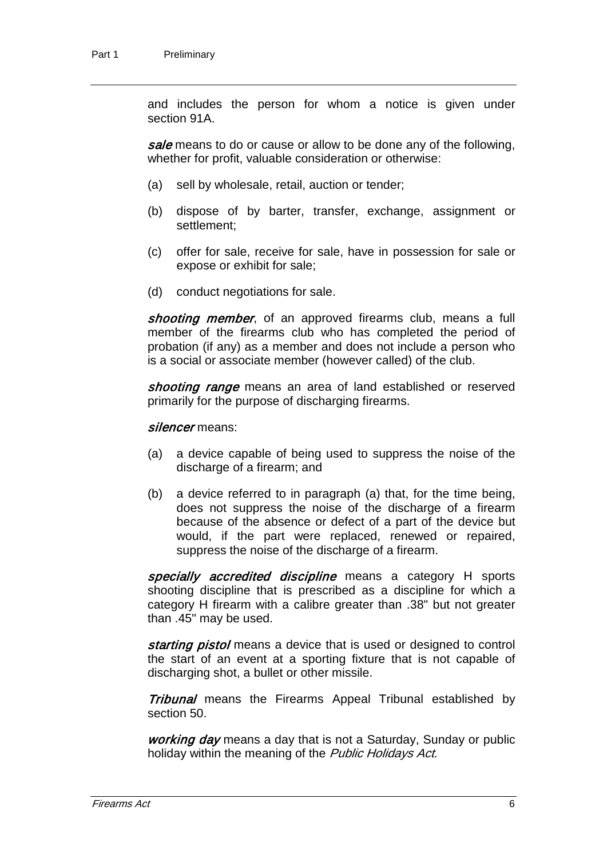and includes the person for whom a notice is given under section 91A.

sale means to do or cause or allow to be done any of the following, whether for profit, valuable consideration or otherwise:

- (a) sell by wholesale, retail, auction or tender;
- (b) dispose of by barter, transfer, exchange, assignment or settlement;
- (c) offer for sale, receive for sale, have in possession for sale or expose or exhibit for sale;
- (d) conduct negotiations for sale.

shooting member, of an approved firearms club, means a full member of the firearms club who has completed the period of probation (if any) as a member and does not include a person who is a social or associate member (however called) of the club.

shooting range means an area of land established or reserved primarily for the purpose of discharging firearms.

#### silencer means:

- (a) a device capable of being used to suppress the noise of the discharge of a firearm; and
- (b) a device referred to in paragraph (a) that, for the time being, does not suppress the noise of the discharge of a firearm because of the absence or defect of a part of the device but would, if the part were replaced, renewed or repaired, suppress the noise of the discharge of a firearm.

specially accredited discipline means a category H sports shooting discipline that is prescribed as a discipline for which a category H firearm with a calibre greater than .38" but not greater than .45" may be used.

starting pistol means a device that is used or designed to control the start of an event at a sporting fixture that is not capable of discharging shot, a bullet or other missile.

**Tribunal** means the Firearms Appeal Tribunal established by section 50.

working day means a day that is not a Saturday, Sunday or public holiday within the meaning of the Public Holidays Act.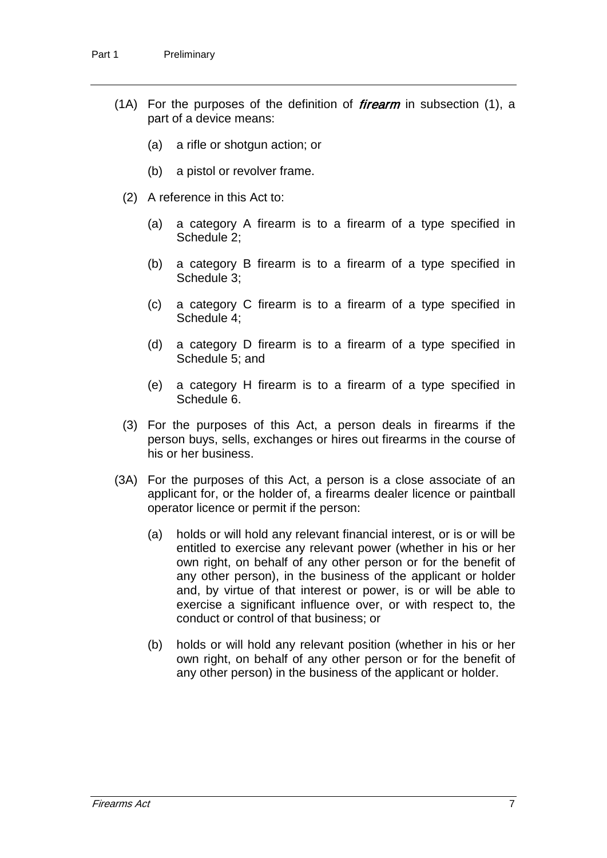- (1A) For the purposes of the definition of *firearm* in subsection  $(1)$ , a part of a device means:
	- (a) a rifle or shotgun action; or
	- (b) a pistol or revolver frame.
	- (2) A reference in this Act to:
		- (a) a category A firearm is to a firearm of a type specified in Schedule 2;
		- (b) a category B firearm is to a firearm of a type specified in Schedule 3;
		- (c) a category C firearm is to a firearm of a type specified in Schedule 4;
		- (d) a category D firearm is to a firearm of a type specified in Schedule 5; and
		- (e) a category H firearm is to a firearm of a type specified in Schedule 6.
	- (3) For the purposes of this Act, a person deals in firearms if the person buys, sells, exchanges or hires out firearms in the course of his or her business.
- (3A) For the purposes of this Act, a person is a close associate of an applicant for, or the holder of, a firearms dealer licence or paintball operator licence or permit if the person:
	- (a) holds or will hold any relevant financial interest, or is or will be entitled to exercise any relevant power (whether in his or her own right, on behalf of any other person or for the benefit of any other person), in the business of the applicant or holder and, by virtue of that interest or power, is or will be able to exercise a significant influence over, or with respect to, the conduct or control of that business; or
	- (b) holds or will hold any relevant position (whether in his or her own right, on behalf of any other person or for the benefit of any other person) in the business of the applicant or holder.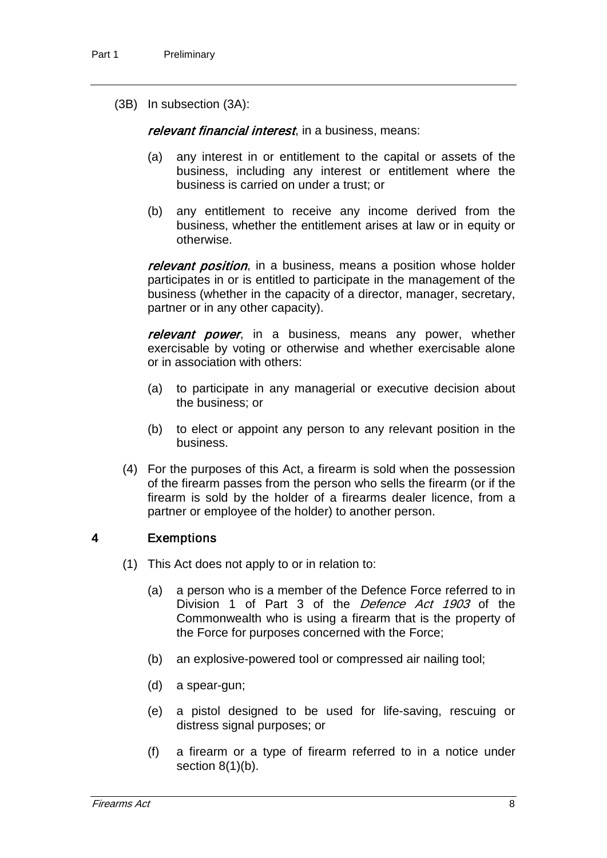(3B) In subsection (3A):

relevant financial interest, in a business, means:

- (a) any interest in or entitlement to the capital or assets of the business, including any interest or entitlement where the business is carried on under a trust; or
- (b) any entitlement to receive any income derived from the business, whether the entitlement arises at law or in equity or otherwise.

relevant position, in a business, means a position whose holder participates in or is entitled to participate in the management of the business (whether in the capacity of a director, manager, secretary, partner or in any other capacity).

relevant power, in a business, means any power, whether exercisable by voting or otherwise and whether exercisable alone or in association with others:

- (a) to participate in any managerial or executive decision about the business; or
- (b) to elect or appoint any person to any relevant position in the business.
- (4) For the purposes of this Act, a firearm is sold when the possession of the firearm passes from the person who sells the firearm (or if the firearm is sold by the holder of a firearms dealer licence, from a partner or employee of the holder) to another person.

#### 4 Exemptions

- (1) This Act does not apply to or in relation to:
	- (a) a person who is a member of the Defence Force referred to in Division 1 of Part 3 of the *Defence Act 1903* of the Commonwealth who is using a firearm that is the property of the Force for purposes concerned with the Force;
	- (b) an explosive-powered tool or compressed air nailing tool;
	- (d) a spear-gun;
	- (e) a pistol designed to be used for life-saving, rescuing or distress signal purposes; or
	- (f) a firearm or a type of firearm referred to in a notice under section  $8(1)(b)$ .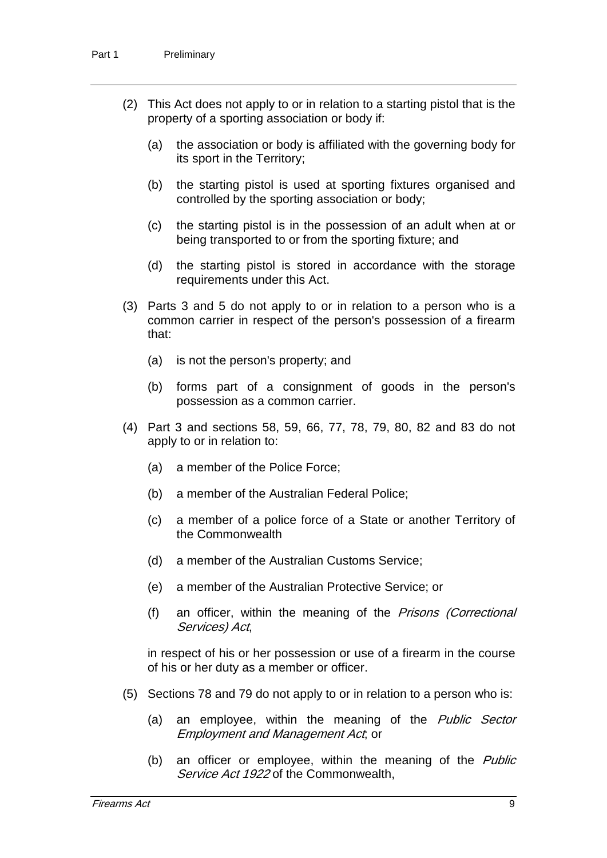- (2) This Act does not apply to or in relation to a starting pistol that is the property of a sporting association or body if:
	- (a) the association or body is affiliated with the governing body for its sport in the Territory;
	- (b) the starting pistol is used at sporting fixtures organised and controlled by the sporting association or body;
	- (c) the starting pistol is in the possession of an adult when at or being transported to or from the sporting fixture; and
	- (d) the starting pistol is stored in accordance with the storage requirements under this Act.
- (3) Parts 3 and 5 do not apply to or in relation to a person who is a common carrier in respect of the person's possession of a firearm that:
	- (a) is not the person's property; and
	- (b) forms part of a consignment of goods in the person's possession as a common carrier.
- (4) Part 3 and sections 58, 59, 66, 77, 78, 79, 80, 82 and 83 do not apply to or in relation to:
	- (a) a member of the Police Force;
	- (b) a member of the Australian Federal Police;
	- (c) a member of a police force of a State or another Territory of the Commonwealth
	- (d) a member of the Australian Customs Service;
	- (e) a member of the Australian Protective Service; or
	- (f) an officer, within the meaning of the Prisons (Correctional Services) Act,

in respect of his or her possession or use of a firearm in the course of his or her duty as a member or officer.

- (5) Sections 78 and 79 do not apply to or in relation to a person who is:
	- (a) an employee, within the meaning of the *Public Sector* Employment and Management Act; or
	- (b) an officer or employee, within the meaning of the *Public* Service Act 1922 of the Commonwealth,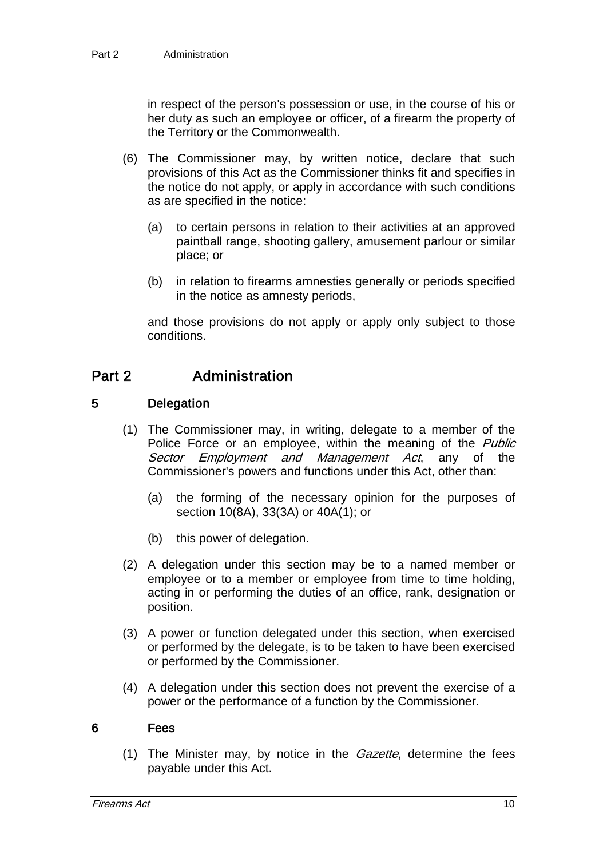in respect of the person's possession or use, in the course of his or her duty as such an employee or officer, of a firearm the property of the Territory or the Commonwealth.

- (6) The Commissioner may, by written notice, declare that such provisions of this Act as the Commissioner thinks fit and specifies in the notice do not apply, or apply in accordance with such conditions as are specified in the notice:
	- (a) to certain persons in relation to their activities at an approved paintball range, shooting gallery, amusement parlour or similar place; or
	- (b) in relation to firearms amnesties generally or periods specified in the notice as amnesty periods,

and those provisions do not apply or apply only subject to those conditions.

## Part 2 Administration

#### 5 Delegation

- (1) The Commissioner may, in writing, delegate to a member of the Police Force or an employee, within the meaning of the *Public* Sector Employment and Management Act, any of the Commissioner's powers and functions under this Act, other than:
	- (a) the forming of the necessary opinion for the purposes of section 10(8A), 33(3A) or 40A(1); or
	- (b) this power of delegation.
- (2) A delegation under this section may be to a named member or employee or to a member or employee from time to time holding, acting in or performing the duties of an office, rank, designation or position.
- (3) A power or function delegated under this section, when exercised or performed by the delegate, is to be taken to have been exercised or performed by the Commissioner.
- (4) A delegation under this section does not prevent the exercise of a power or the performance of a function by the Commissioner.

#### 6 Fees

(1) The Minister may, by notice in the  $Gazette$ , determine the fees payable under this Act.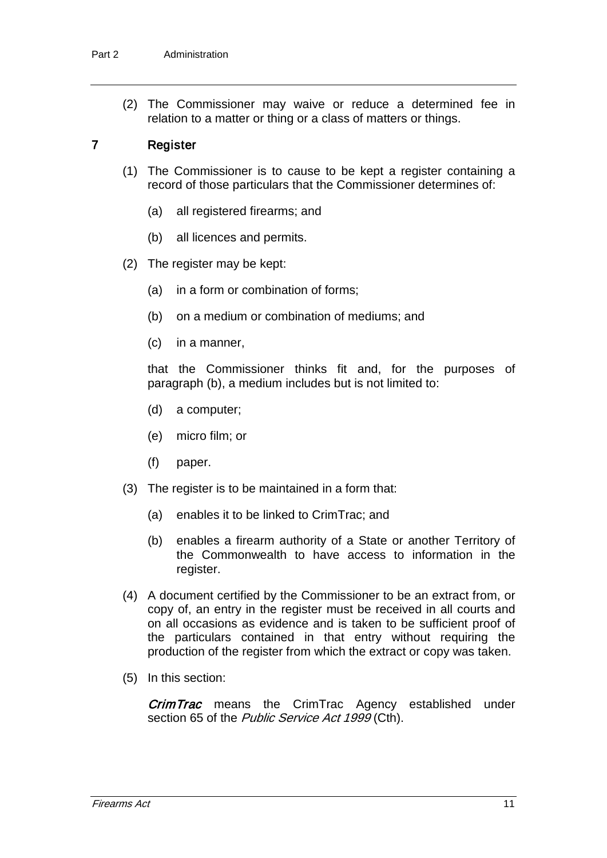(2) The Commissioner may waive or reduce a determined fee in relation to a matter or thing or a class of matters or things.

#### 7 Register

- (1) The Commissioner is to cause to be kept a register containing a record of those particulars that the Commissioner determines of:
	- (a) all registered firearms; and
	- (b) all licences and permits.
- (2) The register may be kept:
	- (a) in a form or combination of forms;
	- (b) on a medium or combination of mediums; and
	- (c) in a manner,

that the Commissioner thinks fit and, for the purposes of paragraph (b), a medium includes but is not limited to:

- (d) a computer;
- (e) micro film; or
- (f) paper.
- (3) The register is to be maintained in a form that:
	- (a) enables it to be linked to CrimTrac; and
	- (b) enables a firearm authority of a State or another Territory of the Commonwealth to have access to information in the register.
- (4) A document certified by the Commissioner to be an extract from, or copy of, an entry in the register must be received in all courts and on all occasions as evidence and is taken to be sufficient proof of the particulars contained in that entry without requiring the production of the register from which the extract or copy was taken.
- (5) In this section:

**CrimTrac** means the CrimTrac Agency established under section 65 of the Public Service Act 1999 (Cth).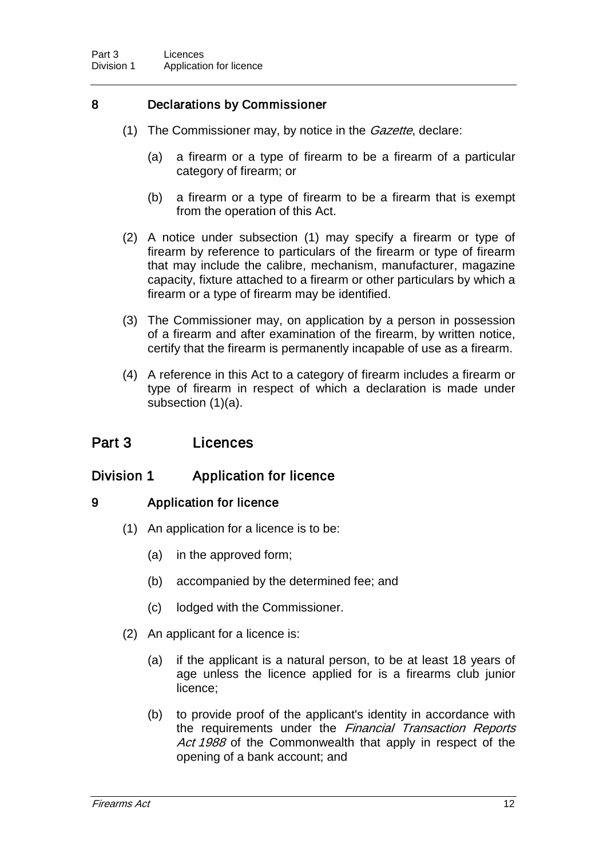### 8 Declarations by Commissioner

- (1) The Commissioner may, by notice in the *Gazette*, declare:
	- (a) a firearm or a type of firearm to be a firearm of a particular category of firearm; or
	- (b) a firearm or a type of firearm to be a firearm that is exempt from the operation of this Act.
- (2) A notice under subsection (1) may specify a firearm or type of firearm by reference to particulars of the firearm or type of firearm that may include the calibre, mechanism, manufacturer, magazine capacity, fixture attached to a firearm or other particulars by which a firearm or a type of firearm may be identified.
- (3) The Commissioner may, on application by a person in possession of a firearm and after examination of the firearm, by written notice, certify that the firearm is permanently incapable of use as a firearm.
- (4) A reference in this Act to a category of firearm includes a firearm or type of firearm in respect of which a declaration is made under subsection (1)(a).

### Part 3 Licences

### Division 1 Application for licence

#### 9 Application for licence

- (1) An application for a licence is to be:
	- (a) in the approved form;
	- (b) accompanied by the determined fee; and
	- (c) lodged with the Commissioner.
- (2) An applicant for a licence is:
	- (a) if the applicant is a natural person, to be at least 18 years of age unless the licence applied for is a firearms club junior licence;
	- (b) to provide proof of the applicant's identity in accordance with the requirements under the Financial Transaction Reports Act 1988 of the Commonwealth that apply in respect of the opening of a bank account; and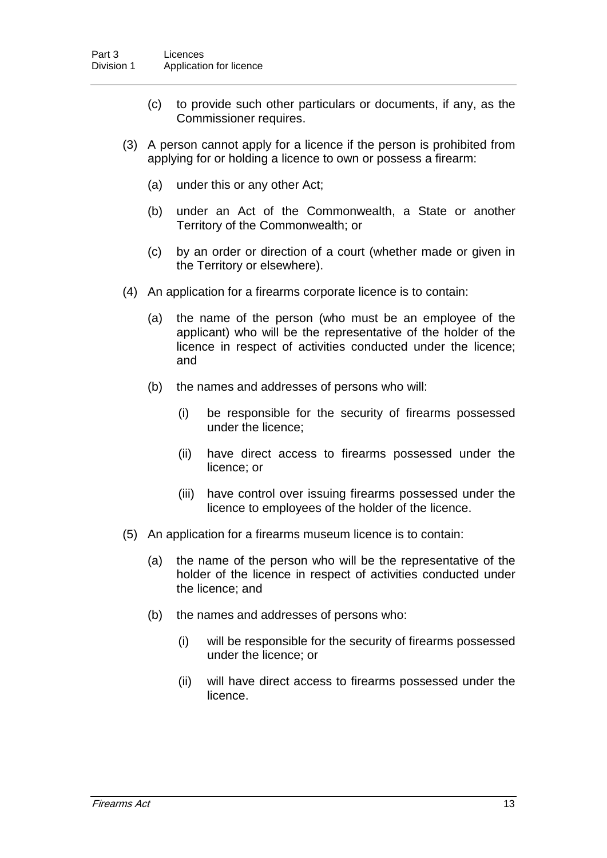- (c) to provide such other particulars or documents, if any, as the Commissioner requires.
- (3) A person cannot apply for a licence if the person is prohibited from applying for or holding a licence to own or possess a firearm:
	- (a) under this or any other Act;
	- (b) under an Act of the Commonwealth, a State or another Territory of the Commonwealth; or
	- (c) by an order or direction of a court (whether made or given in the Territory or elsewhere).
- (4) An application for a firearms corporate licence is to contain:
	- (a) the name of the person (who must be an employee of the applicant) who will be the representative of the holder of the licence in respect of activities conducted under the licence; and
	- (b) the names and addresses of persons who will:
		- (i) be responsible for the security of firearms possessed under the licence;
		- (ii) have direct access to firearms possessed under the licence; or
		- (iii) have control over issuing firearms possessed under the licence to employees of the holder of the licence.
- (5) An application for a firearms museum licence is to contain:
	- (a) the name of the person who will be the representative of the holder of the licence in respect of activities conducted under the licence; and
	- (b) the names and addresses of persons who:
		- (i) will be responsible for the security of firearms possessed under the licence; or
		- (ii) will have direct access to firearms possessed under the licence.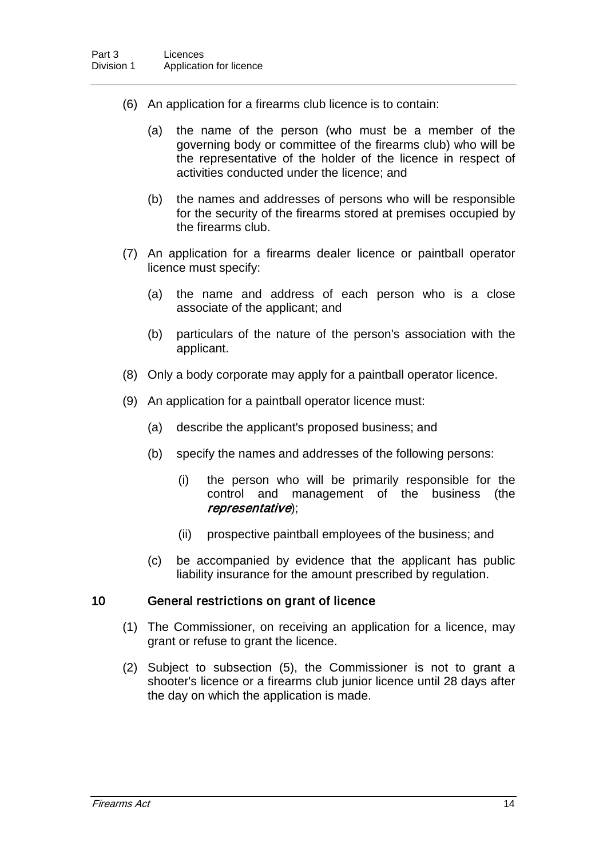- (6) An application for a firearms club licence is to contain:
	- (a) the name of the person (who must be a member of the governing body or committee of the firearms club) who will be the representative of the holder of the licence in respect of activities conducted under the licence; and
	- (b) the names and addresses of persons who will be responsible for the security of the firearms stored at premises occupied by the firearms club.
- (7) An application for a firearms dealer licence or paintball operator licence must specify:
	- (a) the name and address of each person who is a close associate of the applicant; and
	- (b) particulars of the nature of the person's association with the applicant.
- (8) Only a body corporate may apply for a paintball operator licence.
- (9) An application for a paintball operator licence must:
	- (a) describe the applicant's proposed business; and
	- (b) specify the names and addresses of the following persons:
		- (i) the person who will be primarily responsible for the control and management of the business (the representative);
		- (ii) prospective paintball employees of the business; and
	- (c) be accompanied by evidence that the applicant has public liability insurance for the amount prescribed by regulation.

#### 10 General restrictions on grant of licence

- (1) The Commissioner, on receiving an application for a licence, may grant or refuse to grant the licence.
- (2) Subject to subsection (5), the Commissioner is not to grant a shooter's licence or a firearms club junior licence until 28 days after the day on which the application is made.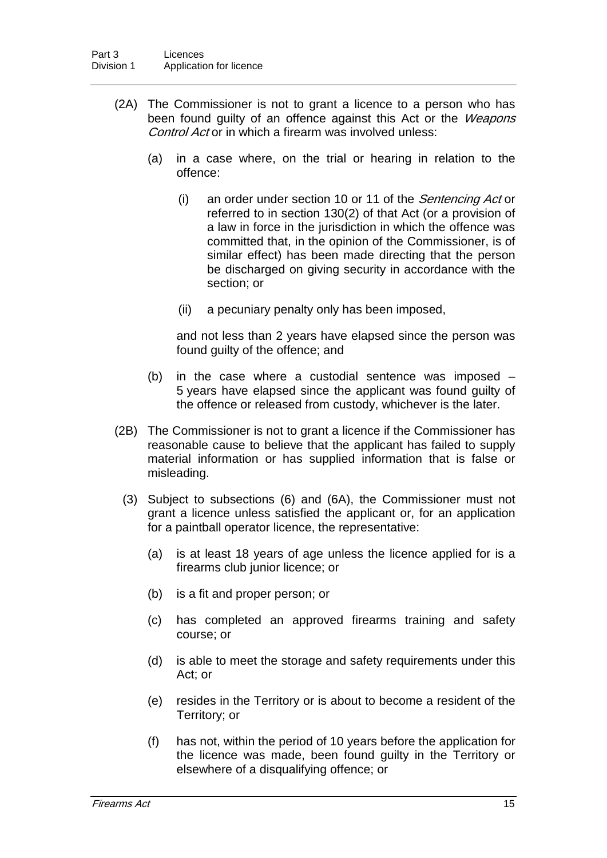- (2A) The Commissioner is not to grant a licence to a person who has been found quilty of an offence against this Act or the Weapons Control Act or in which a firearm was involved unless:
	- (a) in a case where, on the trial or hearing in relation to the offence:
		- (i) an order under section 10 or 11 of the Sentencing Act or referred to in section 130(2) of that Act (or a provision of a law in force in the jurisdiction in which the offence was committed that, in the opinion of the Commissioner, is of similar effect) has been made directing that the person be discharged on giving security in accordance with the section; or
		- (ii) a pecuniary penalty only has been imposed,

and not less than 2 years have elapsed since the person was found guilty of the offence; and

- (b) in the case where a custodial sentence was imposed 5 years have elapsed since the applicant was found guilty of the offence or released from custody, whichever is the later.
- (2B) The Commissioner is not to grant a licence if the Commissioner has reasonable cause to believe that the applicant has failed to supply material information or has supplied information that is false or misleading.
	- (3) Subject to subsections (6) and (6A), the Commissioner must not grant a licence unless satisfied the applicant or, for an application for a paintball operator licence, the representative:
		- (a) is at least 18 years of age unless the licence applied for is a firearms club junior licence; or
		- (b) is a fit and proper person; or
		- (c) has completed an approved firearms training and safety course; or
		- (d) is able to meet the storage and safety requirements under this Act; or
		- (e) resides in the Territory or is about to become a resident of the Territory; or
		- (f) has not, within the period of 10 years before the application for the licence was made, been found guilty in the Territory or elsewhere of a disqualifying offence; or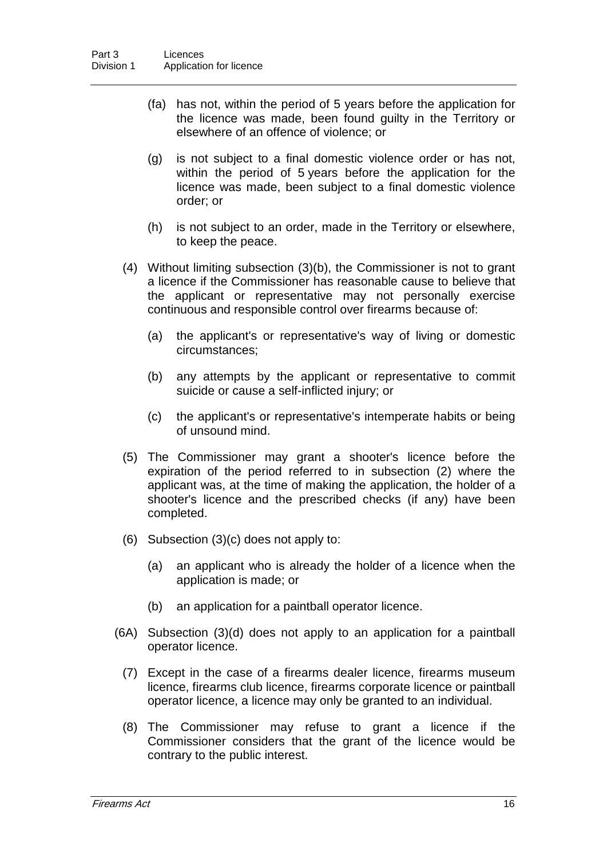- (fa) has not, within the period of 5 years before the application for the licence was made, been found guilty in the Territory or elsewhere of an offence of violence; or
- (g) is not subject to a final domestic violence order or has not, within the period of 5 years before the application for the licence was made, been subject to a final domestic violence order; or
- (h) is not subject to an order, made in the Territory or elsewhere, to keep the peace.
- (4) Without limiting subsection (3)(b), the Commissioner is not to grant a licence if the Commissioner has reasonable cause to believe that the applicant or representative may not personally exercise continuous and responsible control over firearms because of:
	- (a) the applicant's or representative's way of living or domestic circumstances;
	- (b) any attempts by the applicant or representative to commit suicide or cause a self-inflicted injury; or
	- (c) the applicant's or representative's intemperate habits or being of unsound mind.
- (5) The Commissioner may grant a shooter's licence before the expiration of the period referred to in subsection (2) where the applicant was, at the time of making the application, the holder of a shooter's licence and the prescribed checks (if any) have been completed.
- (6) Subsection (3)(c) does not apply to:
	- (a) an applicant who is already the holder of a licence when the application is made; or
	- (b) an application for a paintball operator licence.
- (6A) Subsection (3)(d) does not apply to an application for a paintball operator licence.
	- (7) Except in the case of a firearms dealer licence, firearms museum licence, firearms club licence, firearms corporate licence or paintball operator licence, a licence may only be granted to an individual.
	- (8) The Commissioner may refuse to grant a licence if the Commissioner considers that the grant of the licence would be contrary to the public interest.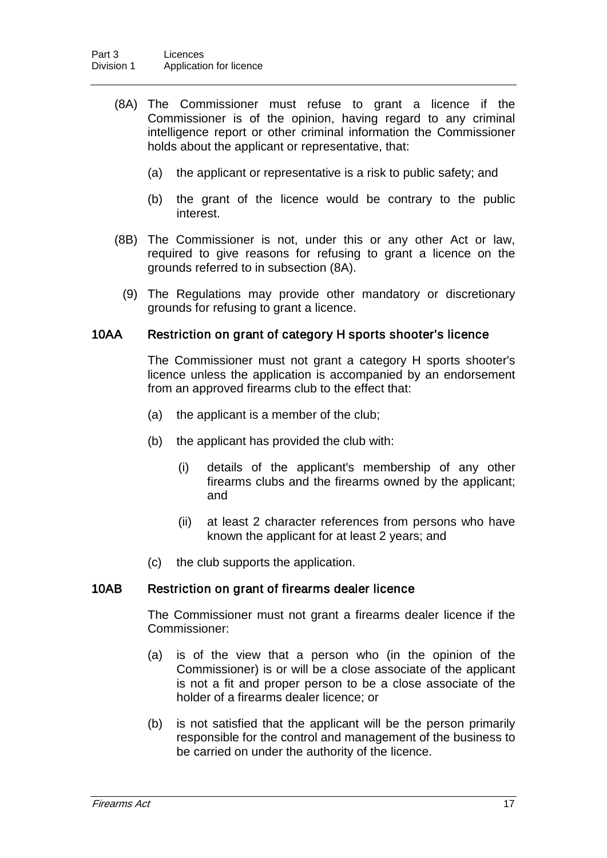- (8A) The Commissioner must refuse to grant a licence if the Commissioner is of the opinion, having regard to any criminal intelligence report or other criminal information the Commissioner holds about the applicant or representative, that:
	- (a) the applicant or representative is a risk to public safety; and
	- (b) the grant of the licence would be contrary to the public interest.
- (8B) The Commissioner is not, under this or any other Act or law, required to give reasons for refusing to grant a licence on the grounds referred to in subsection (8A).
	- (9) The Regulations may provide other mandatory or discretionary grounds for refusing to grant a licence.

#### 10AA Restriction on grant of category H sports shooter's licence

The Commissioner must not grant a category H sports shooter's licence unless the application is accompanied by an endorsement from an approved firearms club to the effect that:

- (a) the applicant is a member of the club;
- (b) the applicant has provided the club with:
	- (i) details of the applicant's membership of any other firearms clubs and the firearms owned by the applicant; and
	- (ii) at least 2 character references from persons who have known the applicant for at least 2 years; and
- (c) the club supports the application.

#### 10AB Restriction on grant of firearms dealer licence

The Commissioner must not grant a firearms dealer licence if the Commissioner:

- (a) is of the view that a person who (in the opinion of the Commissioner) is or will be a close associate of the applicant is not a fit and proper person to be a close associate of the holder of a firearms dealer licence; or
- (b) is not satisfied that the applicant will be the person primarily responsible for the control and management of the business to be carried on under the authority of the licence.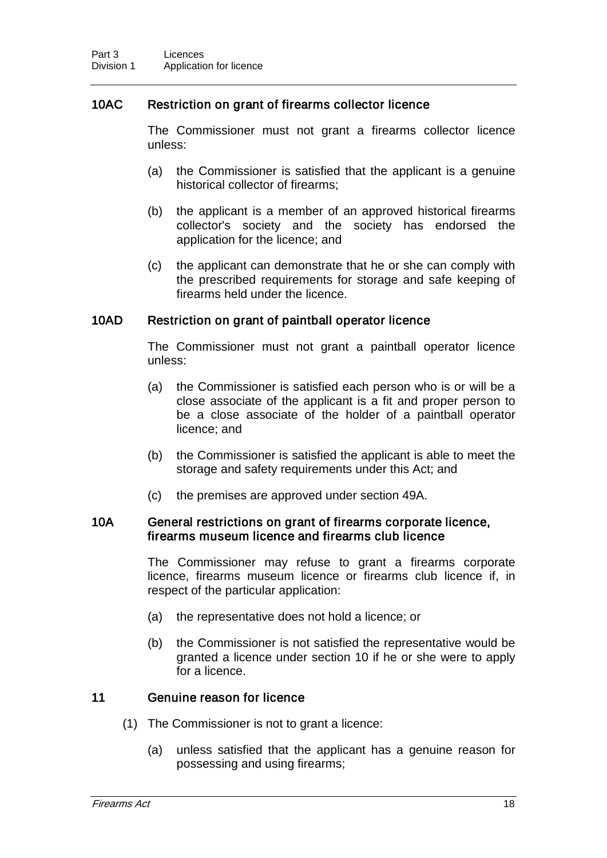#### 10AC Restriction on grant of firearms collector licence

The Commissioner must not grant a firearms collector licence unless:

- (a) the Commissioner is satisfied that the applicant is a genuine historical collector of firearms;
- (b) the applicant is a member of an approved historical firearms collector's society and the society has endorsed the application for the licence; and
- (c) the applicant can demonstrate that he or she can comply with the prescribed requirements for storage and safe keeping of firearms held under the licence.

#### 10AD Restriction on grant of paintball operator licence

The Commissioner must not grant a paintball operator licence unless:

- (a) the Commissioner is satisfied each person who is or will be a close associate of the applicant is a fit and proper person to be a close associate of the holder of a paintball operator licence; and
- (b) the Commissioner is satisfied the applicant is able to meet the storage and safety requirements under this Act; and
- (c) the premises are approved under section 49A.

#### 10A General restrictions on grant of firearms corporate licence, firearms museum licence and firearms club licence

The Commissioner may refuse to grant a firearms corporate licence, firearms museum licence or firearms club licence if, in respect of the particular application:

- (a) the representative does not hold a licence; or
- (b) the Commissioner is not satisfied the representative would be granted a licence under section 10 if he or she were to apply for a licence.

#### 11 Genuine reason for licence

- (1) The Commissioner is not to grant a licence:
	- (a) unless satisfied that the applicant has a genuine reason for possessing and using firearms;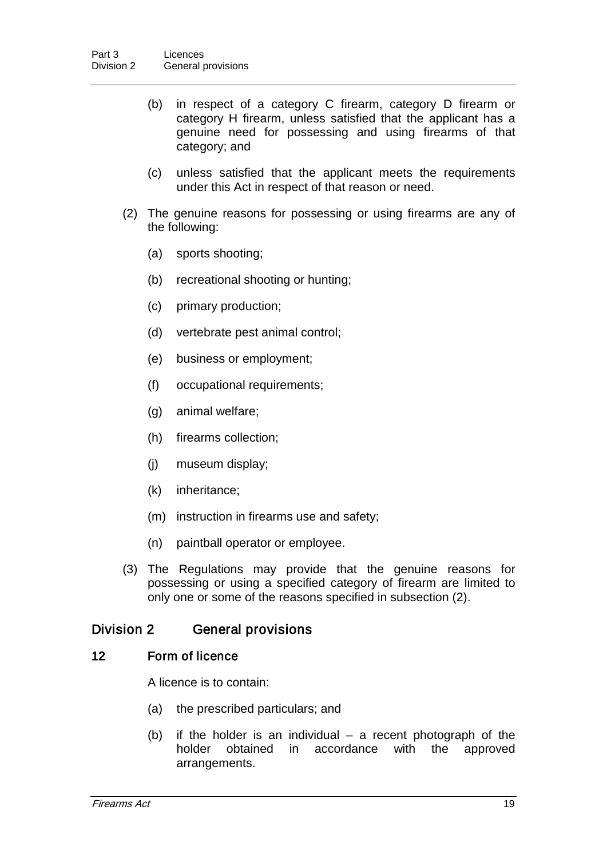- (b) in respect of a category C firearm, category D firearm or category H firearm, unless satisfied that the applicant has a genuine need for possessing and using firearms of that category; and
- (c) unless satisfied that the applicant meets the requirements under this Act in respect of that reason or need.
- (2) The genuine reasons for possessing or using firearms are any of the following:
	- (a) sports shooting;
	- (b) recreational shooting or hunting;
	- (c) primary production;
	- (d) vertebrate pest animal control;
	- (e) business or employment;
	- (f) occupational requirements;
	- (g) animal welfare;
	- (h) firearms collection;
	- (j) museum display;
	- (k) inheritance;
	- (m) instruction in firearms use and safety;
	- (n) paintball operator or employee.
- (3) The Regulations may provide that the genuine reasons for possessing or using a specified category of firearm are limited to only one or some of the reasons specified in subsection (2).

### Division 2 General provisions

#### 12 Form of licence

A licence is to contain:

- (a) the prescribed particulars; and
- (b) if the holder is an individual a recent photograph of the holder obtained in accordance with the approved arrangements.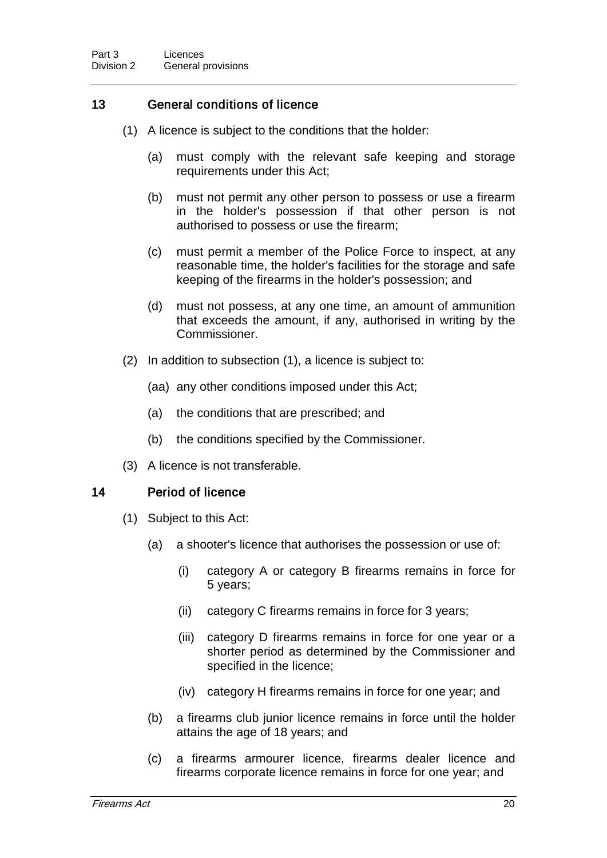### 13 General conditions of licence

- (1) A licence is subject to the conditions that the holder:
	- (a) must comply with the relevant safe keeping and storage requirements under this Act;
	- (b) must not permit any other person to possess or use a firearm in the holder's possession if that other person is not authorised to possess or use the firearm;
	- (c) must permit a member of the Police Force to inspect, at any reasonable time, the holder's facilities for the storage and safe keeping of the firearms in the holder's possession; and
	- (d) must not possess, at any one time, an amount of ammunition that exceeds the amount, if any, authorised in writing by the Commissioner.
- (2) In addition to subsection (1), a licence is subject to:
	- (aa) any other conditions imposed under this Act;
	- (a) the conditions that are prescribed; and
	- (b) the conditions specified by the Commissioner.
- (3) A licence is not transferable.

#### 14 Period of licence

- (1) Subject to this Act:
	- (a) a shooter's licence that authorises the possession or use of:
		- (i) category A or category B firearms remains in force for 5 years;
		- (ii) category C firearms remains in force for 3 years;
		- (iii) category D firearms remains in force for one year or a shorter period as determined by the Commissioner and specified in the licence;
		- (iv) category H firearms remains in force for one year; and
	- (b) a firearms club junior licence remains in force until the holder attains the age of 18 years; and
	- (c) a firearms armourer licence, firearms dealer licence and firearms corporate licence remains in force for one year; and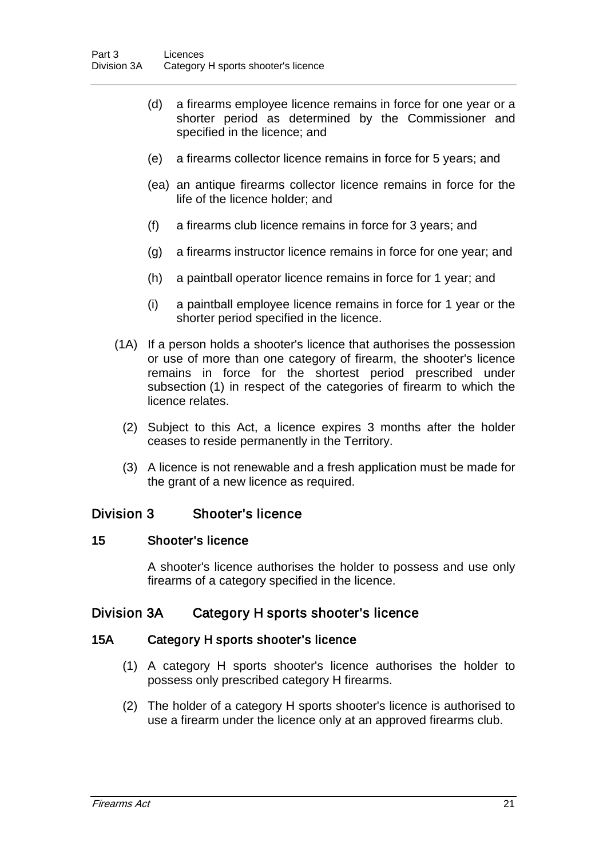- (d) a firearms employee licence remains in force for one year or a shorter period as determined by the Commissioner and specified in the licence; and
- (e) a firearms collector licence remains in force for 5 years; and
- (ea) an antique firearms collector licence remains in force for the life of the licence holder; and
- (f) a firearms club licence remains in force for 3 years; and
- (g) a firearms instructor licence remains in force for one year; and
- (h) a paintball operator licence remains in force for 1 year; and
- (i) a paintball employee licence remains in force for 1 year or the shorter period specified in the licence.
- (1A) If a person holds a shooter's licence that authorises the possession or use of more than one category of firearm, the shooter's licence remains in force for the shortest period prescribed under subsection (1) in respect of the categories of firearm to which the licence relates.
	- (2) Subject to this Act, a licence expires 3 months after the holder ceases to reside permanently in the Territory.
	- (3) A licence is not renewable and a fresh application must be made for the grant of a new licence as required.

### Division 3 Shooter's licence

#### 15 Shooter's licence

A shooter's licence authorises the holder to possess and use only firearms of a category specified in the licence.

### Division 3A Category H sports shooter's licence

#### 15A Category H sports shooter's licence

- (1) A category H sports shooter's licence authorises the holder to possess only prescribed category H firearms.
- (2) The holder of a category H sports shooter's licence is authorised to use a firearm under the licence only at an approved firearms club.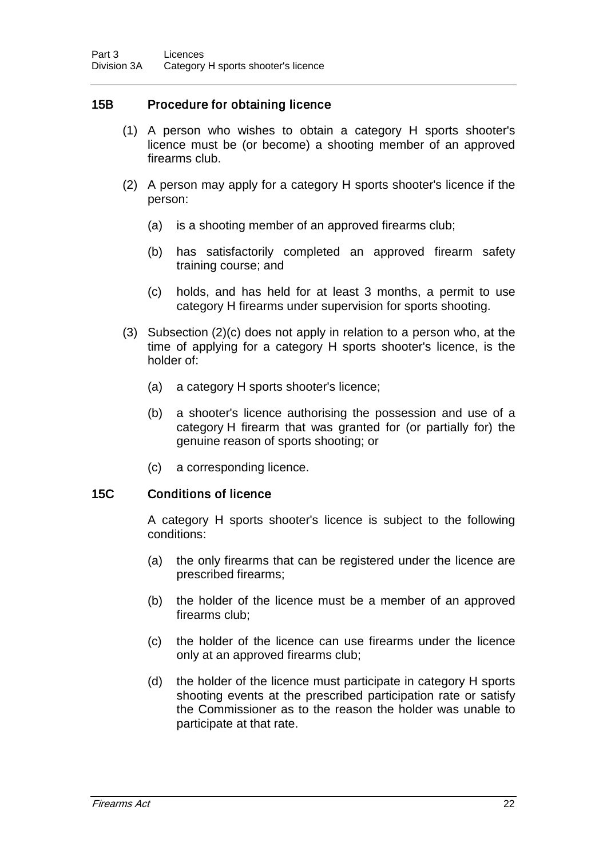#### 15B Procedure for obtaining licence

- (1) A person who wishes to obtain a category H sports shooter's licence must be (or become) a shooting member of an approved firearms club.
- (2) A person may apply for a category H sports shooter's licence if the person:
	- (a) is a shooting member of an approved firearms club;
	- (b) has satisfactorily completed an approved firearm safety training course; and
	- (c) holds, and has held for at least 3 months, a permit to use category H firearms under supervision for sports shooting.
- (3) Subsection (2)(c) does not apply in relation to a person who, at the time of applying for a category H sports shooter's licence, is the holder of:
	- (a) a category H sports shooter's licence;
	- (b) a shooter's licence authorising the possession and use of a category H firearm that was granted for (or partially for) the genuine reason of sports shooting; or
	- (c) a corresponding licence.

#### 15C Conditions of licence

A category H sports shooter's licence is subject to the following conditions:

- (a) the only firearms that can be registered under the licence are prescribed firearms;
- (b) the holder of the licence must be a member of an approved firearms club;
- (c) the holder of the licence can use firearms under the licence only at an approved firearms club;
- (d) the holder of the licence must participate in category H sports shooting events at the prescribed participation rate or satisfy the Commissioner as to the reason the holder was unable to participate at that rate.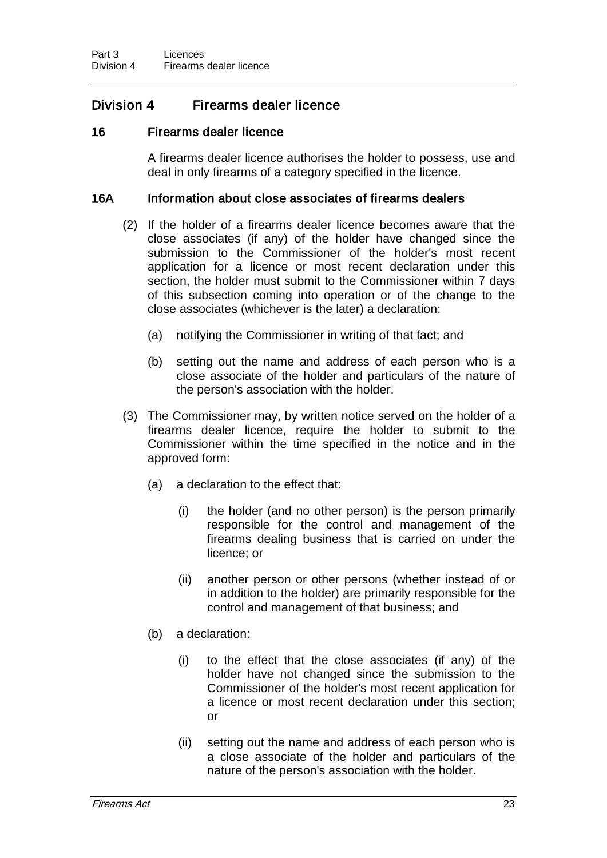## Division 4 Firearms dealer licence

#### 16 Firearms dealer licence

A firearms dealer licence authorises the holder to possess, use and deal in only firearms of a category specified in the licence.

#### 16A Information about close associates of firearms dealers

- (2) If the holder of a firearms dealer licence becomes aware that the close associates (if any) of the holder have changed since the submission to the Commissioner of the holder's most recent application for a licence or most recent declaration under this section, the holder must submit to the Commissioner within 7 days of this subsection coming into operation or of the change to the close associates (whichever is the later) a declaration:
	- (a) notifying the Commissioner in writing of that fact; and
	- (b) setting out the name and address of each person who is a close associate of the holder and particulars of the nature of the person's association with the holder.
- (3) The Commissioner may, by written notice served on the holder of a firearms dealer licence, require the holder to submit to the Commissioner within the time specified in the notice and in the approved form:
	- (a) a declaration to the effect that:
		- (i) the holder (and no other person) is the person primarily responsible for the control and management of the firearms dealing business that is carried on under the licence; or
		- (ii) another person or other persons (whether instead of or in addition to the holder) are primarily responsible for the control and management of that business; and
	- (b) a declaration:
		- (i) to the effect that the close associates (if any) of the holder have not changed since the submission to the Commissioner of the holder's most recent application for a licence or most recent declaration under this section; or
		- (ii) setting out the name and address of each person who is a close associate of the holder and particulars of the nature of the person's association with the holder.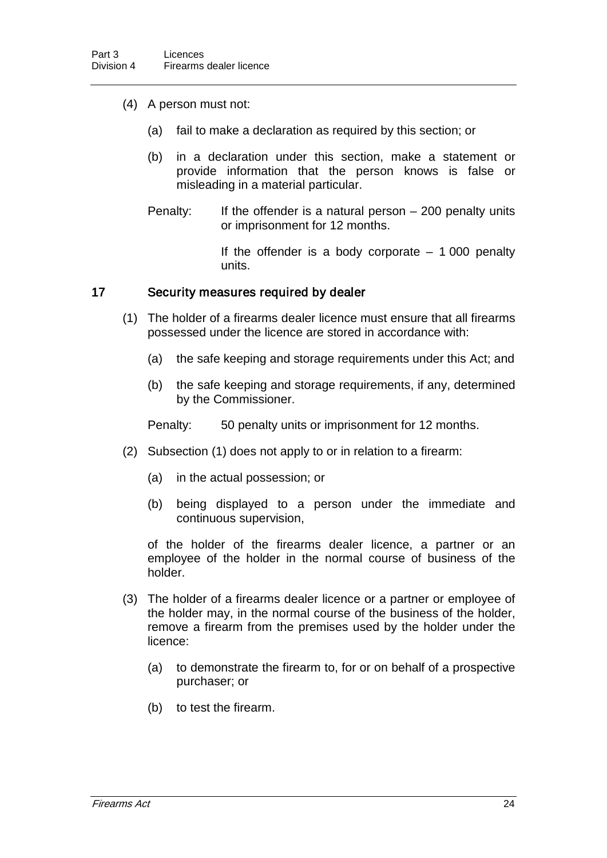- (4) A person must not:
	- (a) fail to make a declaration as required by this section; or
	- (b) in a declaration under this section, make a statement or provide information that the person knows is false or misleading in a material particular.
	- Penalty: If the offender is a natural person 200 penalty units or imprisonment for 12 months.

If the offender is a body corporate  $-1000$  penalty units.

#### 17 Security measures required by dealer

- (1) The holder of a firearms dealer licence must ensure that all firearms possessed under the licence are stored in accordance with:
	- (a) the safe keeping and storage requirements under this Act; and
	- (b) the safe keeping and storage requirements, if any, determined by the Commissioner.

Penalty: 50 penalty units or imprisonment for 12 months.

- (2) Subsection (1) does not apply to or in relation to a firearm:
	- (a) in the actual possession; or
	- (b) being displayed to a person under the immediate and continuous supervision,

of the holder of the firearms dealer licence, a partner or an employee of the holder in the normal course of business of the holder.

- (3) The holder of a firearms dealer licence or a partner or employee of the holder may, in the normal course of the business of the holder, remove a firearm from the premises used by the holder under the licence:
	- (a) to demonstrate the firearm to, for or on behalf of a prospective purchaser; or
	- (b) to test the firearm.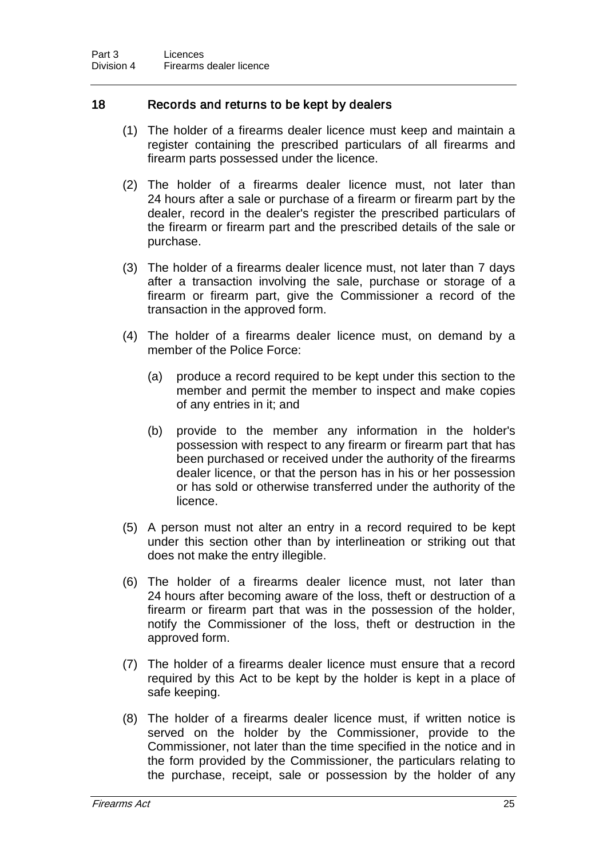#### 18 Records and returns to be kept by dealers

- (1) The holder of a firearms dealer licence must keep and maintain a register containing the prescribed particulars of all firearms and firearm parts possessed under the licence.
- (2) The holder of a firearms dealer licence must, not later than 24 hours after a sale or purchase of a firearm or firearm part by the dealer, record in the dealer's register the prescribed particulars of the firearm or firearm part and the prescribed details of the sale or purchase.
- (3) The holder of a firearms dealer licence must, not later than 7 days after a transaction involving the sale, purchase or storage of a firearm or firearm part, give the Commissioner a record of the transaction in the approved form.
- (4) The holder of a firearms dealer licence must, on demand by a member of the Police Force:
	- (a) produce a record required to be kept under this section to the member and permit the member to inspect and make copies of any entries in it; and
	- (b) provide to the member any information in the holder's possession with respect to any firearm or firearm part that has been purchased or received under the authority of the firearms dealer licence, or that the person has in his or her possession or has sold or otherwise transferred under the authority of the licence.
- (5) A person must not alter an entry in a record required to be kept under this section other than by interlineation or striking out that does not make the entry illegible.
- (6) The holder of a firearms dealer licence must, not later than 24 hours after becoming aware of the loss, theft or destruction of a firearm or firearm part that was in the possession of the holder, notify the Commissioner of the loss, theft or destruction in the approved form.
- (7) The holder of a firearms dealer licence must ensure that a record required by this Act to be kept by the holder is kept in a place of safe keeping.
- (8) The holder of a firearms dealer licence must, if written notice is served on the holder by the Commissioner, provide to the Commissioner, not later than the time specified in the notice and in the form provided by the Commissioner, the particulars relating to the purchase, receipt, sale or possession by the holder of any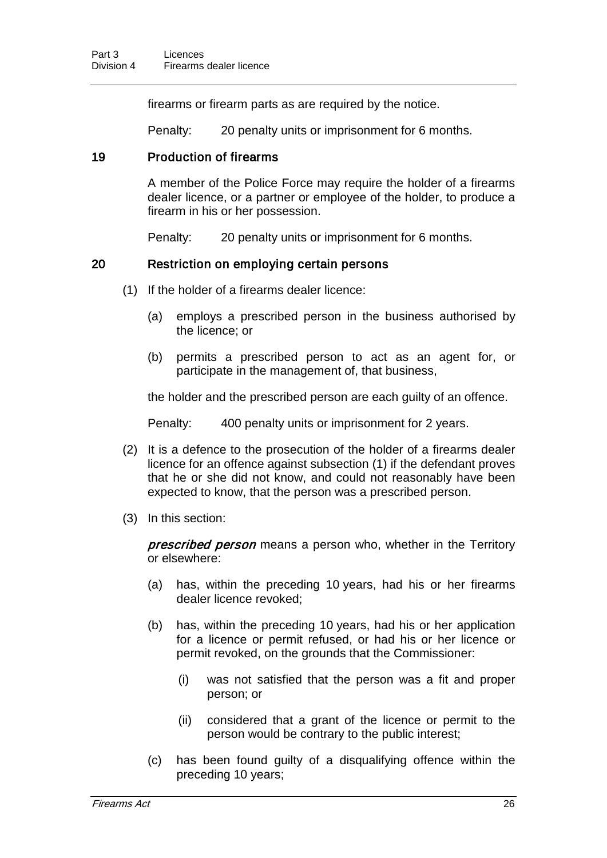firearms or firearm parts as are required by the notice.

Penalty: 20 penalty units or imprisonment for 6 months.

#### 19 Production of firearms

A member of the Police Force may require the holder of a firearms dealer licence, or a partner or employee of the holder, to produce a firearm in his or her possession.

Penalty: 20 penalty units or imprisonment for 6 months.

### 20 Restriction on employing certain persons

- (1) If the holder of a firearms dealer licence:
	- (a) employs a prescribed person in the business authorised by the licence; or
	- (b) permits a prescribed person to act as an agent for, or participate in the management of, that business,

the holder and the prescribed person are each guilty of an offence.

Penalty: 400 penalty units or imprisonment for 2 years.

- (2) It is a defence to the prosecution of the holder of a firearms dealer licence for an offence against subsection (1) if the defendant proves that he or she did not know, and could not reasonably have been expected to know, that the person was a prescribed person.
- (3) In this section:

prescribed person means a person who, whether in the Territory or elsewhere:

- (a) has, within the preceding 10 years, had his or her firearms dealer licence revoked;
- (b) has, within the preceding 10 years, had his or her application for a licence or permit refused, or had his or her licence or permit revoked, on the grounds that the Commissioner:
	- (i) was not satisfied that the person was a fit and proper person; or
	- (ii) considered that a grant of the licence or permit to the person would be contrary to the public interest;
- (c) has been found guilty of a disqualifying offence within the preceding 10 years;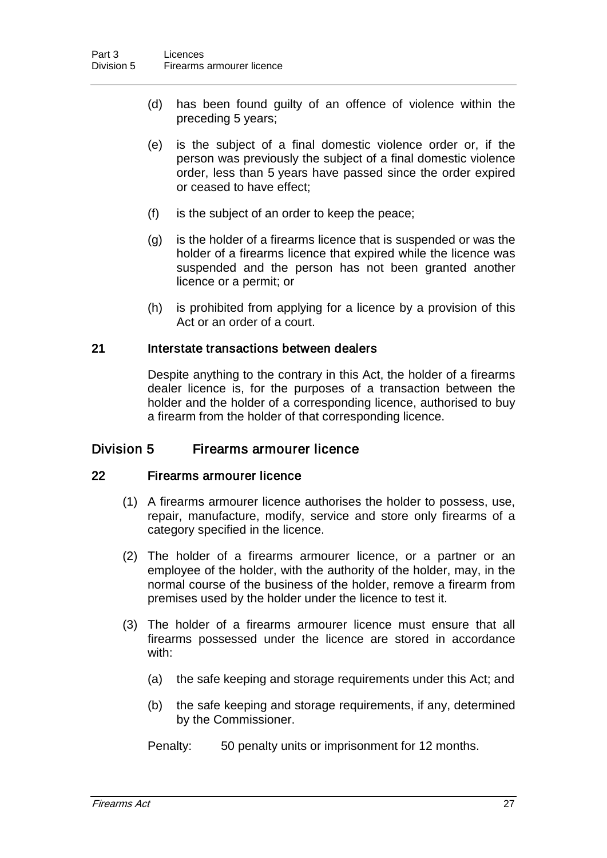- (d) has been found guilty of an offence of violence within the preceding 5 years;
- (e) is the subject of a final domestic violence order or, if the person was previously the subject of a final domestic violence order, less than 5 years have passed since the order expired or ceased to have effect;
- (f) is the subject of an order to keep the peace;
- (g) is the holder of a firearms licence that is suspended or was the holder of a firearms licence that expired while the licence was suspended and the person has not been granted another licence or a permit; or
- (h) is prohibited from applying for a licence by a provision of this Act or an order of a court.

#### 21 Interstate transactions between dealers

Despite anything to the contrary in this Act, the holder of a firearms dealer licence is, for the purposes of a transaction between the holder and the holder of a corresponding licence, authorised to buy a firearm from the holder of that corresponding licence.

#### Division 5 Firearms armourer licence

#### 22 Firearms armourer licence

- (1) A firearms armourer licence authorises the holder to possess, use, repair, manufacture, modify, service and store only firearms of a category specified in the licence.
- (2) The holder of a firearms armourer licence, or a partner or an employee of the holder, with the authority of the holder, may, in the normal course of the business of the holder, remove a firearm from premises used by the holder under the licence to test it.
- (3) The holder of a firearms armourer licence must ensure that all firearms possessed under the licence are stored in accordance with:
	- (a) the safe keeping and storage requirements under this Act; and
	- (b) the safe keeping and storage requirements, if any, determined by the Commissioner.

Penalty: 50 penalty units or imprisonment for 12 months.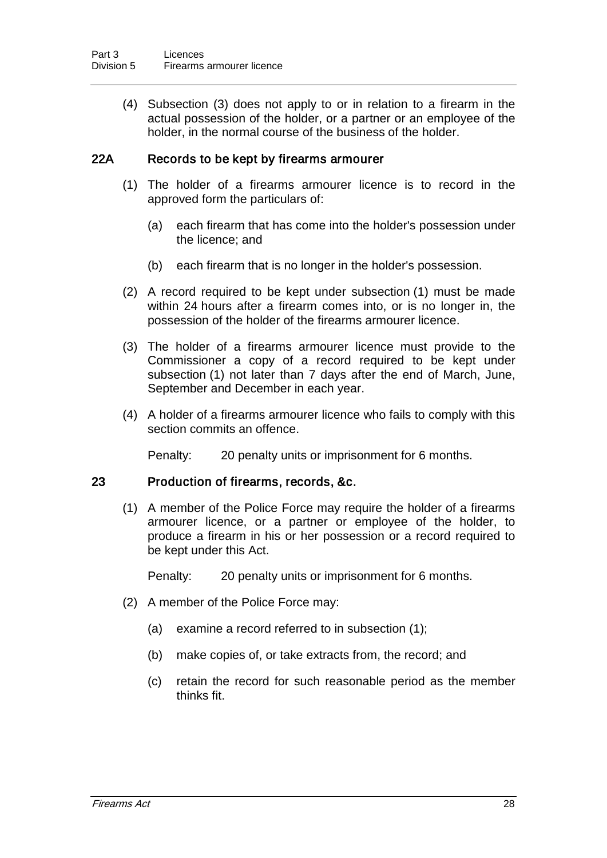(4) Subsection (3) does not apply to or in relation to a firearm in the actual possession of the holder, or a partner or an employee of the holder, in the normal course of the business of the holder.

#### 22A Records to be kept by firearms armourer

- (1) The holder of a firearms armourer licence is to record in the approved form the particulars of:
	- (a) each firearm that has come into the holder's possession under the licence; and
	- (b) each firearm that is no longer in the holder's possession.
- (2) A record required to be kept under subsection (1) must be made within 24 hours after a firearm comes into, or is no longer in, the possession of the holder of the firearms armourer licence.
- (3) The holder of a firearms armourer licence must provide to the Commissioner a copy of a record required to be kept under subsection (1) not later than 7 days after the end of March, June, September and December in each year.
- (4) A holder of a firearms armourer licence who fails to comply with this section commits an offence.

Penalty: 20 penalty units or imprisonment for 6 months.

#### 23 Production of firearms, records, &c.

(1) A member of the Police Force may require the holder of a firearms armourer licence, or a partner or employee of the holder, to produce a firearm in his or her possession or a record required to be kept under this Act.

Penalty: 20 penalty units or imprisonment for 6 months.

- (2) A member of the Police Force may:
	- (a) examine a record referred to in subsection (1);
	- (b) make copies of, or take extracts from, the record; and
	- (c) retain the record for such reasonable period as the member thinks fit.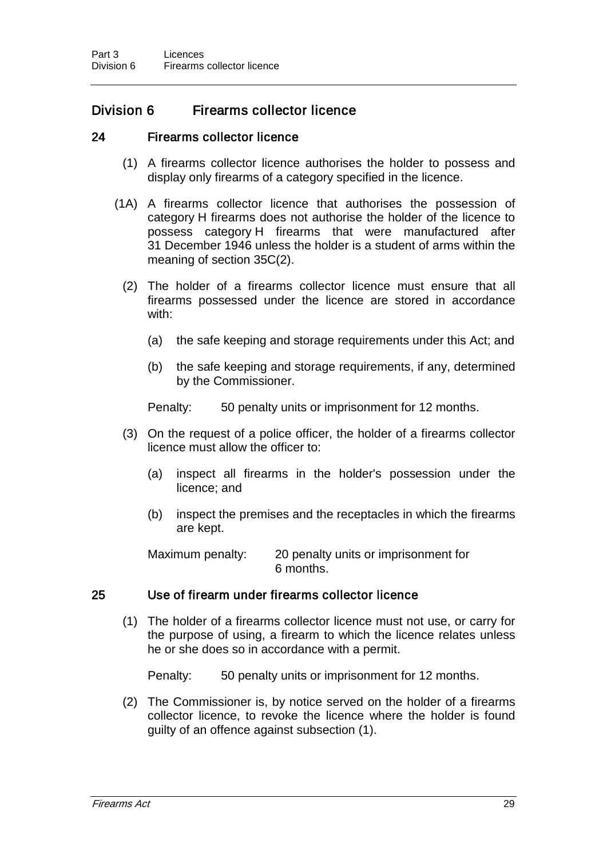### Division 6 Firearms collector licence

#### 24 Firearms collector licence

- (1) A firearms collector licence authorises the holder to possess and display only firearms of a category specified in the licence.
- (1A) A firearms collector licence that authorises the possession of category H firearms does not authorise the holder of the licence to possess category H firearms that were manufactured after 31 December 1946 unless the holder is a student of arms within the meaning of section 35C(2).
	- (2) The holder of a firearms collector licence must ensure that all firearms possessed under the licence are stored in accordance with:
		- (a) the safe keeping and storage requirements under this Act; and
		- (b) the safe keeping and storage requirements, if any, determined by the Commissioner.

Penalty: 50 penalty units or imprisonment for 12 months.

- (3) On the request of a police officer, the holder of a firearms collector licence must allow the officer to:
	- (a) inspect all firearms in the holder's possession under the licence; and
	- (b) inspect the premises and the receptacles in which the firearms are kept.

Maximum penalty: 20 penalty units or imprisonment for 6 months.

#### 25 Use of firearm under firearms collector licence

(1) The holder of a firearms collector licence must not use, or carry for the purpose of using, a firearm to which the licence relates unless he or she does so in accordance with a permit.

Penalty: 50 penalty units or imprisonment for 12 months.

(2) The Commissioner is, by notice served on the holder of a firearms collector licence, to revoke the licence where the holder is found guilty of an offence against subsection (1).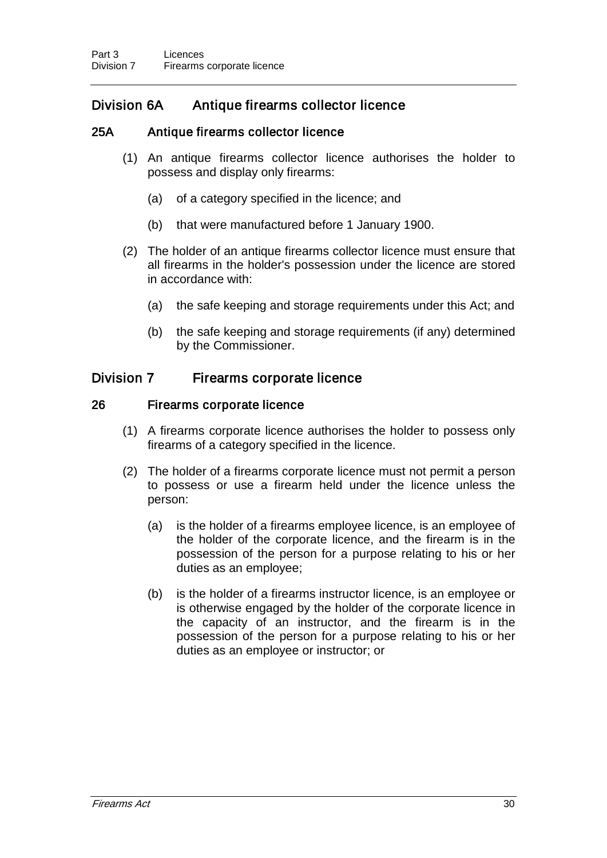# Division 6A Antique firearms collector licence

## 25A Antique firearms collector licence

- (1) An antique firearms collector licence authorises the holder to possess and display only firearms:
	- (a) of a category specified in the licence; and
	- (b) that were manufactured before 1 January 1900.
- (2) The holder of an antique firearms collector licence must ensure that all firearms in the holder's possession under the licence are stored in accordance with:
	- (a) the safe keeping and storage requirements under this Act; and
	- (b) the safe keeping and storage requirements (if any) determined by the Commissioner.

# Division 7 Firearms corporate licence

## 26 Firearms corporate licence

- (1) A firearms corporate licence authorises the holder to possess only firearms of a category specified in the licence.
- (2) The holder of a firearms corporate licence must not permit a person to possess or use a firearm held under the licence unless the person:
	- (a) is the holder of a firearms employee licence, is an employee of the holder of the corporate licence, and the firearm is in the possession of the person for a purpose relating to his or her duties as an employee;
	- (b) is the holder of a firearms instructor licence, is an employee or is otherwise engaged by the holder of the corporate licence in the capacity of an instructor, and the firearm is in the possession of the person for a purpose relating to his or her duties as an employee or instructor; or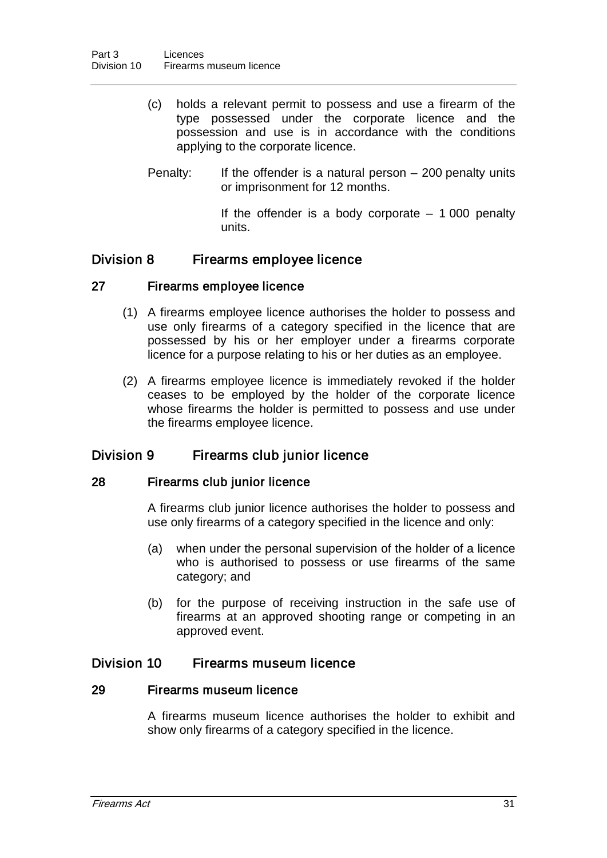- (c) holds a relevant permit to possess and use a firearm of the type possessed under the corporate licence and the possession and use is in accordance with the conditions applying to the corporate licence.
- Penalty: If the offender is a natural person  $-200$  penalty units or imprisonment for 12 months.
	- If the offender is a body corporate  $-1000$  penalty units.

## Division 8 Firearms employee licence

## 27 Firearms employee licence

- (1) A firearms employee licence authorises the holder to possess and use only firearms of a category specified in the licence that are possessed by his or her employer under a firearms corporate licence for a purpose relating to his or her duties as an employee.
- (2) A firearms employee licence is immediately revoked if the holder ceases to be employed by the holder of the corporate licence whose firearms the holder is permitted to possess and use under the firearms employee licence.

# Division 9 Firearms club junior licence

#### 28 Firearms club junior licence

A firearms club junior licence authorises the holder to possess and use only firearms of a category specified in the licence and only:

- (a) when under the personal supervision of the holder of a licence who is authorised to possess or use firearms of the same category; and
- (b) for the purpose of receiving instruction in the safe use of firearms at an approved shooting range or competing in an approved event.

## Division 10 Firearms museum licence

#### 29 Firearms museum licence

A firearms museum licence authorises the holder to exhibit and show only firearms of a category specified in the licence.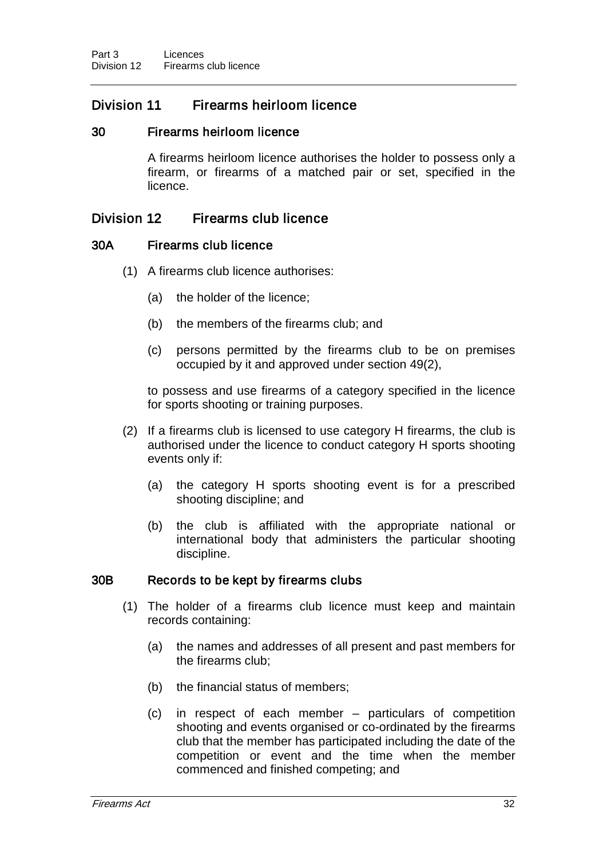# Division 11 Firearms heirloom licence

## 30 Firearms heirloom licence

A firearms heirloom licence authorises the holder to possess only a firearm, or firearms of a matched pair or set, specified in the licence.

## Division 12 Firearms club licence

#### 30A Firearms club licence

- (1) A firearms club licence authorises:
	- (a) the holder of the licence;
	- (b) the members of the firearms club; and
	- (c) persons permitted by the firearms club to be on premises occupied by it and approved under section 49(2),

to possess and use firearms of a category specified in the licence for sports shooting or training purposes.

- (2) If a firearms club is licensed to use category H firearms, the club is authorised under the licence to conduct category H sports shooting events only if:
	- (a) the category H sports shooting event is for a prescribed shooting discipline; and
	- (b) the club is affiliated with the appropriate national or international body that administers the particular shooting discipline.

#### 30B Records to be kept by firearms clubs

- (1) The holder of a firearms club licence must keep and maintain records containing:
	- (a) the names and addresses of all present and past members for the firearms club;
	- (b) the financial status of members;
	- (c) in respect of each member particulars of competition shooting and events organised or co-ordinated by the firearms club that the member has participated including the date of the competition or event and the time when the member commenced and finished competing; and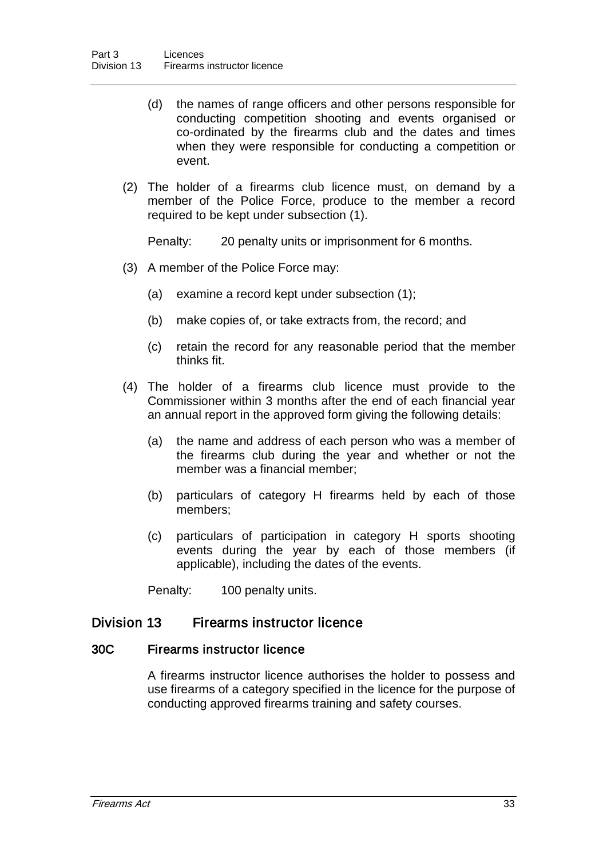- (d) the names of range officers and other persons responsible for conducting competition shooting and events organised or co-ordinated by the firearms club and the dates and times when they were responsible for conducting a competition or event.
- (2) The holder of a firearms club licence must, on demand by a member of the Police Force, produce to the member a record required to be kept under subsection (1).

Penalty: 20 penalty units or imprisonment for 6 months.

- (3) A member of the Police Force may:
	- (a) examine a record kept under subsection (1);
	- (b) make copies of, or take extracts from, the record; and
	- (c) retain the record for any reasonable period that the member thinks fit.
- (4) The holder of a firearms club licence must provide to the Commissioner within 3 months after the end of each financial year an annual report in the approved form giving the following details:
	- (a) the name and address of each person who was a member of the firearms club during the year and whether or not the member was a financial member;
	- (b) particulars of category H firearms held by each of those members;
	- (c) particulars of participation in category H sports shooting events during the year by each of those members (if applicable), including the dates of the events.

Penalty: 100 penalty units.

## Division 13 Firearms instructor licence

#### 30C Firearms instructor licence

A firearms instructor licence authorises the holder to possess and use firearms of a category specified in the licence for the purpose of conducting approved firearms training and safety courses.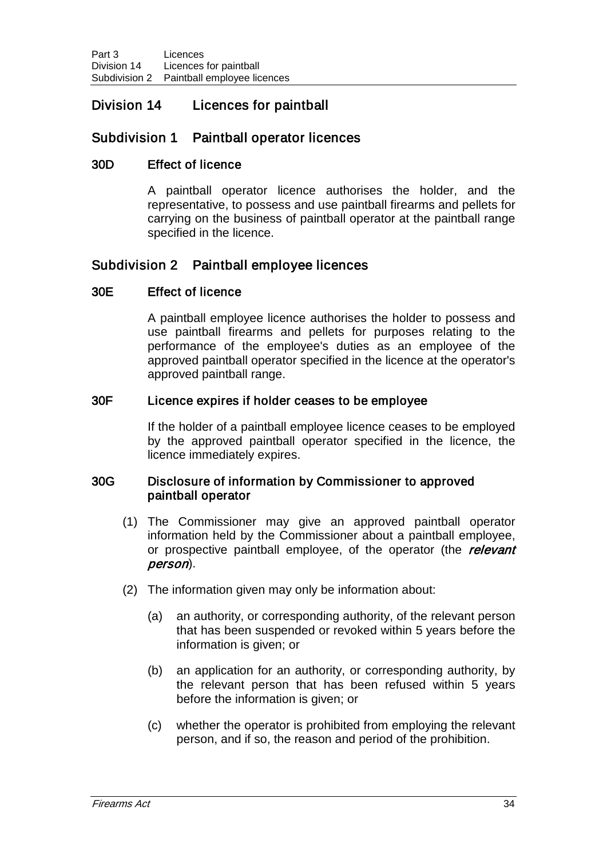# Division 14 Licences for paintball

# Subdivision 1 Paintball operator licences

#### 30D Effect of licence

A paintball operator licence authorises the holder, and the representative, to possess and use paintball firearms and pellets for carrying on the business of paintball operator at the paintball range specified in the licence.

## Subdivision 2 Paintball employee licences

## 30E Effect of licence

A paintball employee licence authorises the holder to possess and use paintball firearms and pellets for purposes relating to the performance of the employee's duties as an employee of the approved paintball operator specified in the licence at the operator's approved paintball range.

#### 30F Licence expires if holder ceases to be employee

If the holder of a paintball employee licence ceases to be employed by the approved paintball operator specified in the licence, the licence immediately expires.

#### 30G Disclosure of information by Commissioner to approved paintball operator

- (1) The Commissioner may give an approved paintball operator information held by the Commissioner about a paintball employee, or prospective paintball employee, of the operator (the relevant person).
- (2) The information given may only be information about:
	- (a) an authority, or corresponding authority, of the relevant person that has been suspended or revoked within 5 years before the information is given; or
	- (b) an application for an authority, or corresponding authority, by the relevant person that has been refused within 5 years before the information is given; or
	- (c) whether the operator is prohibited from employing the relevant person, and if so, the reason and period of the prohibition.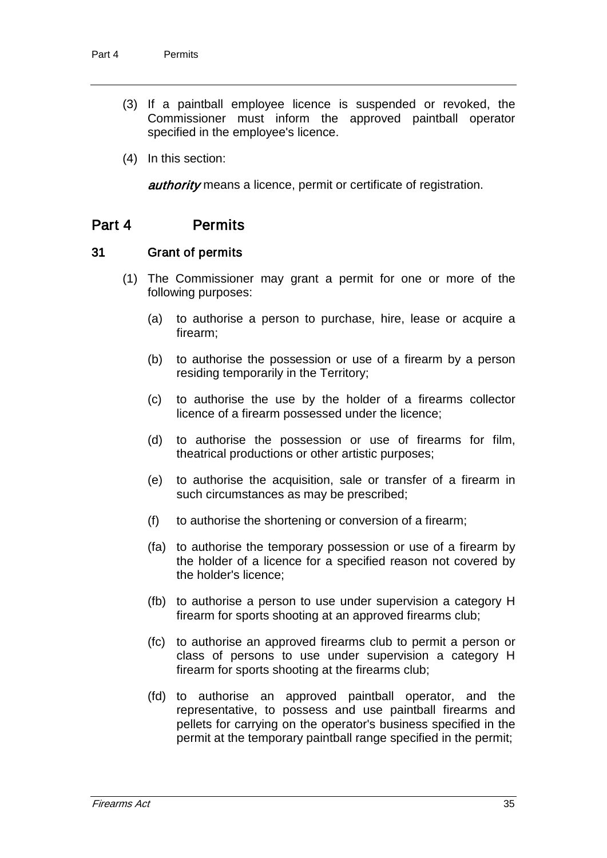- (3) If a paintball employee licence is suspended or revoked, the Commissioner must inform the approved paintball operator specified in the employee's licence.
- (4) In this section:

**authority** means a licence, permit or certificate of registration.

# Part 4 Permits

#### 31 Grant of permits

- (1) The Commissioner may grant a permit for one or more of the following purposes:
	- (a) to authorise a person to purchase, hire, lease or acquire a firearm;
	- (b) to authorise the possession or use of a firearm by a person residing temporarily in the Territory;
	- (c) to authorise the use by the holder of a firearms collector licence of a firearm possessed under the licence;
	- (d) to authorise the possession or use of firearms for film, theatrical productions or other artistic purposes;
	- (e) to authorise the acquisition, sale or transfer of a firearm in such circumstances as may be prescribed;
	- (f) to authorise the shortening or conversion of a firearm;
	- (fa) to authorise the temporary possession or use of a firearm by the holder of a licence for a specified reason not covered by the holder's licence;
	- (fb) to authorise a person to use under supervision a category H firearm for sports shooting at an approved firearms club;
	- (fc) to authorise an approved firearms club to permit a person or class of persons to use under supervision a category H firearm for sports shooting at the firearms club;
	- (fd) to authorise an approved paintball operator, and the representative, to possess and use paintball firearms and pellets for carrying on the operator's business specified in the permit at the temporary paintball range specified in the permit;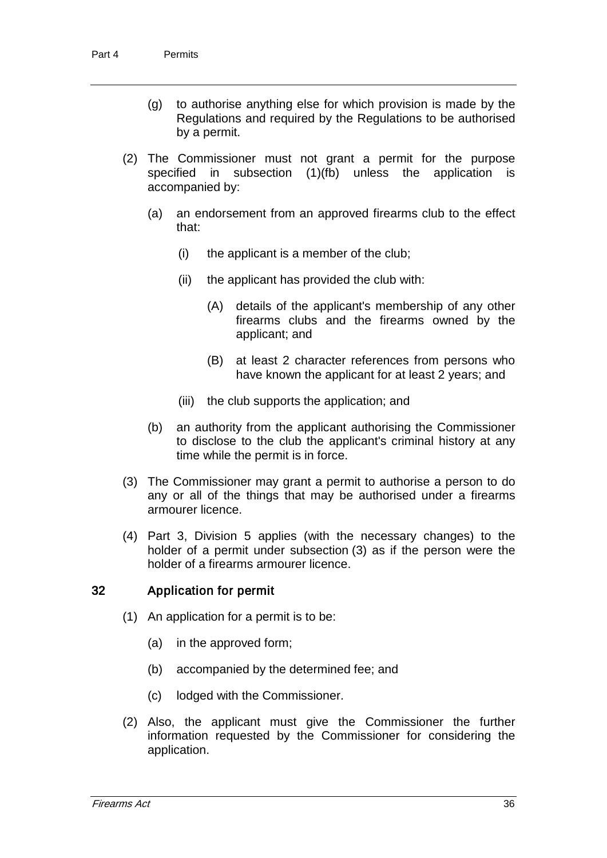- (g) to authorise anything else for which provision is made by the Regulations and required by the Regulations to be authorised by a permit.
- (2) The Commissioner must not grant a permit for the purpose specified in subsection (1)(fb) unless the application is accompanied by:
	- (a) an endorsement from an approved firearms club to the effect that:
		- (i) the applicant is a member of the club;
		- (ii) the applicant has provided the club with:
			- (A) details of the applicant's membership of any other firearms clubs and the firearms owned by the applicant; and
			- (B) at least 2 character references from persons who have known the applicant for at least 2 years; and
		- (iii) the club supports the application; and
	- (b) an authority from the applicant authorising the Commissioner to disclose to the club the applicant's criminal history at any time while the permit is in force.
- (3) The Commissioner may grant a permit to authorise a person to do any or all of the things that may be authorised under a firearms armourer licence.
- (4) Part 3, Division 5 applies (with the necessary changes) to the holder of a permit under subsection (3) as if the person were the holder of a firearms armourer licence.

#### 32 Application for permit

- (1) An application for a permit is to be:
	- (a) in the approved form;
	- (b) accompanied by the determined fee; and
	- (c) lodged with the Commissioner.
- (2) Also, the applicant must give the Commissioner the further information requested by the Commissioner for considering the application.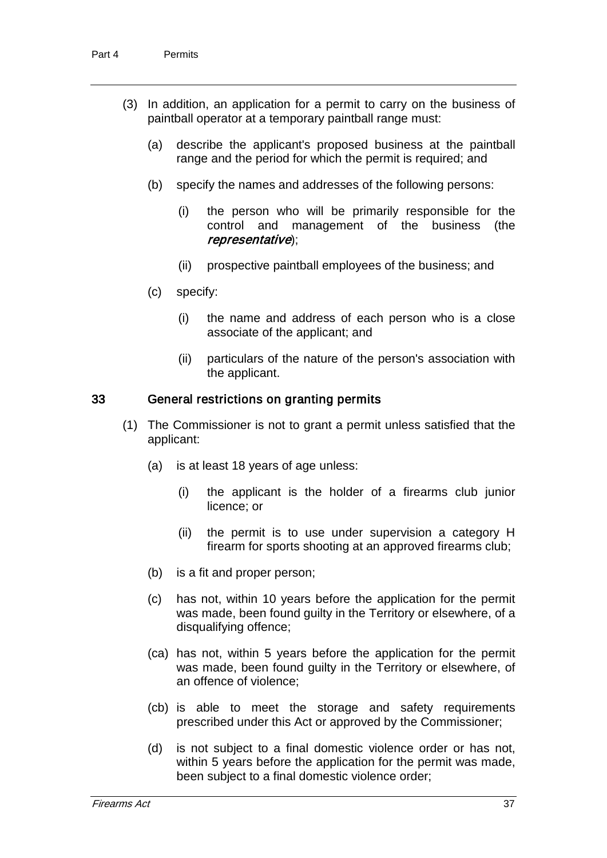- (3) In addition, an application for a permit to carry on the business of paintball operator at a temporary paintball range must:
	- (a) describe the applicant's proposed business at the paintball range and the period for which the permit is required; and
	- (b) specify the names and addresses of the following persons:
		- (i) the person who will be primarily responsible for the control and management of the business (the representative);
		- (ii) prospective paintball employees of the business; and
	- (c) specify:
		- (i) the name and address of each person who is a close associate of the applicant; and
		- (ii) particulars of the nature of the person's association with the applicant.

#### 33 General restrictions on granting permits

- (1) The Commissioner is not to grant a permit unless satisfied that the applicant:
	- (a) is at least 18 years of age unless:
		- (i) the applicant is the holder of a firearms club junior licence; or
		- (ii) the permit is to use under supervision a category H firearm for sports shooting at an approved firearms club;
	- (b) is a fit and proper person;
	- (c) has not, within 10 years before the application for the permit was made, been found guilty in the Territory or elsewhere, of a disqualifying offence;
	- (ca) has not, within 5 years before the application for the permit was made, been found guilty in the Territory or elsewhere, of an offence of violence;
	- (cb) is able to meet the storage and safety requirements prescribed under this Act or approved by the Commissioner;
	- (d) is not subject to a final domestic violence order or has not, within 5 years before the application for the permit was made, been subject to a final domestic violence order;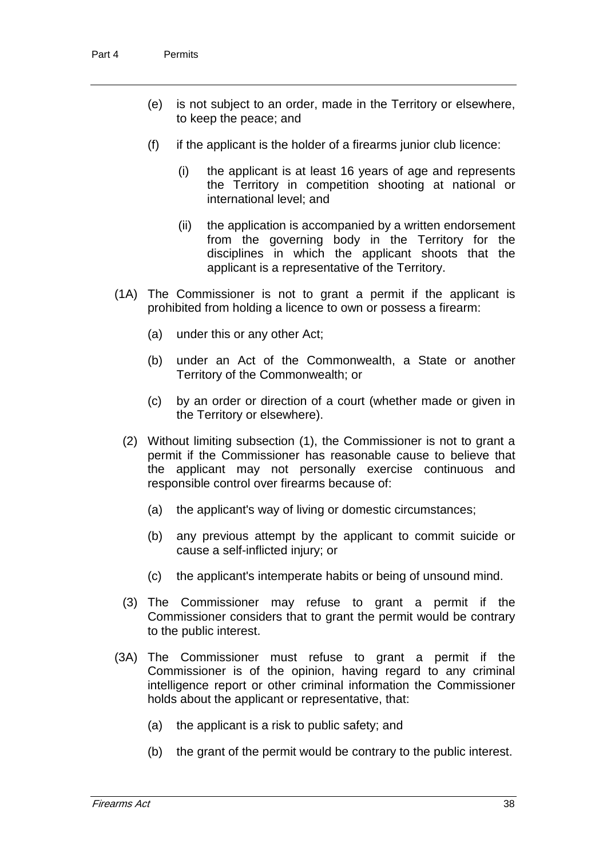- (e) is not subject to an order, made in the Territory or elsewhere, to keep the peace; and
- $(f)$  if the applicant is the holder of a firearms junior club licence:
	- (i) the applicant is at least 16 years of age and represents the Territory in competition shooting at national or international level; and
	- (ii) the application is accompanied by a written endorsement from the governing body in the Territory for the disciplines in which the applicant shoots that the applicant is a representative of the Territory.
- (1A) The Commissioner is not to grant a permit if the applicant is prohibited from holding a licence to own or possess a firearm:
	- (a) under this or any other Act;
	- (b) under an Act of the Commonwealth, a State or another Territory of the Commonwealth; or
	- (c) by an order or direction of a court (whether made or given in the Territory or elsewhere).
	- (2) Without limiting subsection (1), the Commissioner is not to grant a permit if the Commissioner has reasonable cause to believe that the applicant may not personally exercise continuous and responsible control over firearms because of:
		- (a) the applicant's way of living or domestic circumstances;
		- (b) any previous attempt by the applicant to commit suicide or cause a self-inflicted injury; or
		- (c) the applicant's intemperate habits or being of unsound mind.
	- (3) The Commissioner may refuse to grant a permit if the Commissioner considers that to grant the permit would be contrary to the public interest.
- (3A) The Commissioner must refuse to grant a permit if the Commissioner is of the opinion, having regard to any criminal intelligence report or other criminal information the Commissioner holds about the applicant or representative, that:
	- (a) the applicant is a risk to public safety; and
	- (b) the grant of the permit would be contrary to the public interest.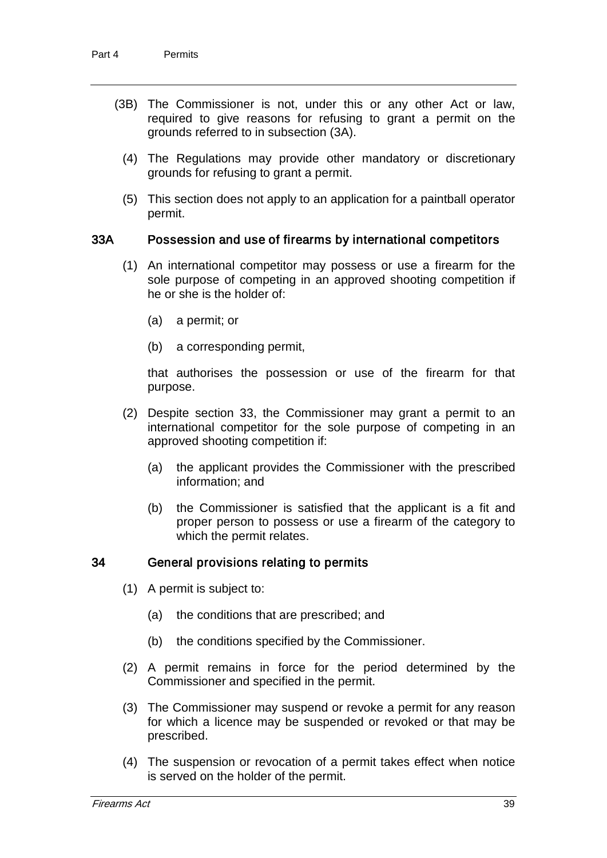- (3B) The Commissioner is not, under this or any other Act or law, required to give reasons for refusing to grant a permit on the grounds referred to in subsection (3A).
	- (4) The Regulations may provide other mandatory or discretionary grounds for refusing to grant a permit.
	- (5) This section does not apply to an application for a paintball operator permit.

#### 33A Possession and use of firearms by international competitors

- (1) An international competitor may possess or use a firearm for the sole purpose of competing in an approved shooting competition if he or she is the holder of:
	- (a) a permit; or
	- (b) a corresponding permit,

that authorises the possession or use of the firearm for that purpose.

- (2) Despite section 33, the Commissioner may grant a permit to an international competitor for the sole purpose of competing in an approved shooting competition if:
	- (a) the applicant provides the Commissioner with the prescribed information; and
	- (b) the Commissioner is satisfied that the applicant is a fit and proper person to possess or use a firearm of the category to which the permit relates.

#### 34 General provisions relating to permits

- (1) A permit is subject to:
	- (a) the conditions that are prescribed; and
	- (b) the conditions specified by the Commissioner.
- (2) A permit remains in force for the period determined by the Commissioner and specified in the permit.
- (3) The Commissioner may suspend or revoke a permit for any reason for which a licence may be suspended or revoked or that may be prescribed.
- (4) The suspension or revocation of a permit takes effect when notice is served on the holder of the permit.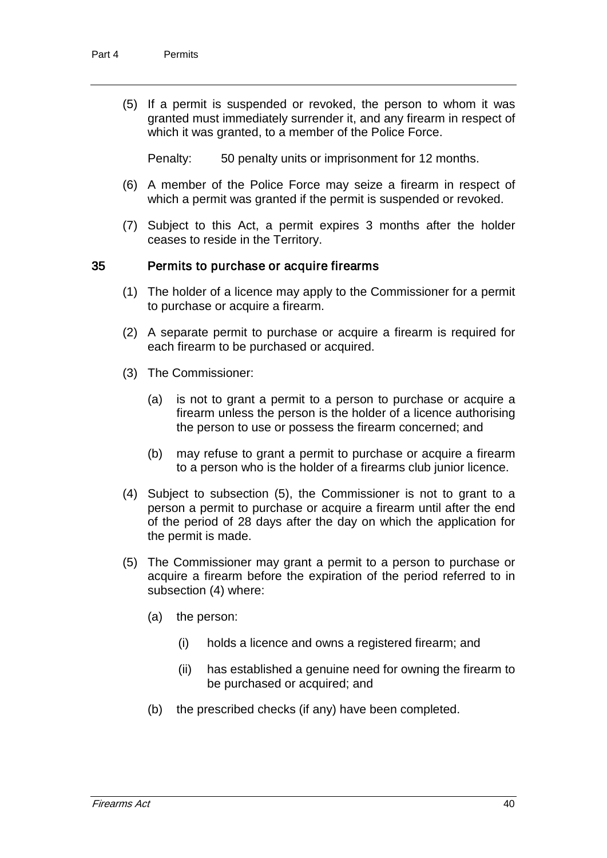(5) If a permit is suspended or revoked, the person to whom it was granted must immediately surrender it, and any firearm in respect of which it was granted, to a member of the Police Force.

Penalty: 50 penalty units or imprisonment for 12 months.

- (6) A member of the Police Force may seize a firearm in respect of which a permit was granted if the permit is suspended or revoked.
- (7) Subject to this Act, a permit expires 3 months after the holder ceases to reside in the Territory.

#### 35 Permits to purchase or acquire firearms

- (1) The holder of a licence may apply to the Commissioner for a permit to purchase or acquire a firearm.
- (2) A separate permit to purchase or acquire a firearm is required for each firearm to be purchased or acquired.
- (3) The Commissioner:
	- (a) is not to grant a permit to a person to purchase or acquire a firearm unless the person is the holder of a licence authorising the person to use or possess the firearm concerned; and
	- (b) may refuse to grant a permit to purchase or acquire a firearm to a person who is the holder of a firearms club junior licence.
- (4) Subject to subsection (5), the Commissioner is not to grant to a person a permit to purchase or acquire a firearm until after the end of the period of 28 days after the day on which the application for the permit is made.
- (5) The Commissioner may grant a permit to a person to purchase or acquire a firearm before the expiration of the period referred to in subsection (4) where:
	- (a) the person:
		- (i) holds a licence and owns a registered firearm; and
		- (ii) has established a genuine need for owning the firearm to be purchased or acquired; and
	- (b) the prescribed checks (if any) have been completed.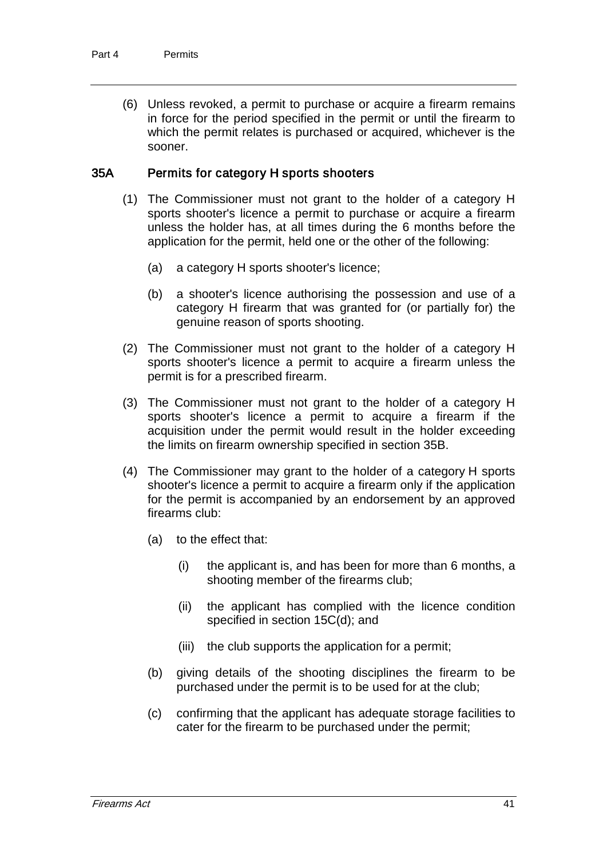(6) Unless revoked, a permit to purchase or acquire a firearm remains in force for the period specified in the permit or until the firearm to which the permit relates is purchased or acquired, whichever is the sooner.

#### 35A Permits for category H sports shooters

- (1) The Commissioner must not grant to the holder of a category H sports shooter's licence a permit to purchase or acquire a firearm unless the holder has, at all times during the 6 months before the application for the permit, held one or the other of the following:
	- (a) a category H sports shooter's licence;
	- (b) a shooter's licence authorising the possession and use of a category H firearm that was granted for (or partially for) the genuine reason of sports shooting.
- (2) The Commissioner must not grant to the holder of a category H sports shooter's licence a permit to acquire a firearm unless the permit is for a prescribed firearm.
- (3) The Commissioner must not grant to the holder of a category H sports shooter's licence a permit to acquire a firearm if the acquisition under the permit would result in the holder exceeding the limits on firearm ownership specified in section 35B.
- (4) The Commissioner may grant to the holder of a category H sports shooter's licence a permit to acquire a firearm only if the application for the permit is accompanied by an endorsement by an approved firearms club:
	- (a) to the effect that:
		- (i) the applicant is, and has been for more than 6 months, a shooting member of the firearms club;
		- (ii) the applicant has complied with the licence condition specified in section 15C(d); and
		- (iii) the club supports the application for a permit;
	- (b) giving details of the shooting disciplines the firearm to be purchased under the permit is to be used for at the club;
	- (c) confirming that the applicant has adequate storage facilities to cater for the firearm to be purchased under the permit;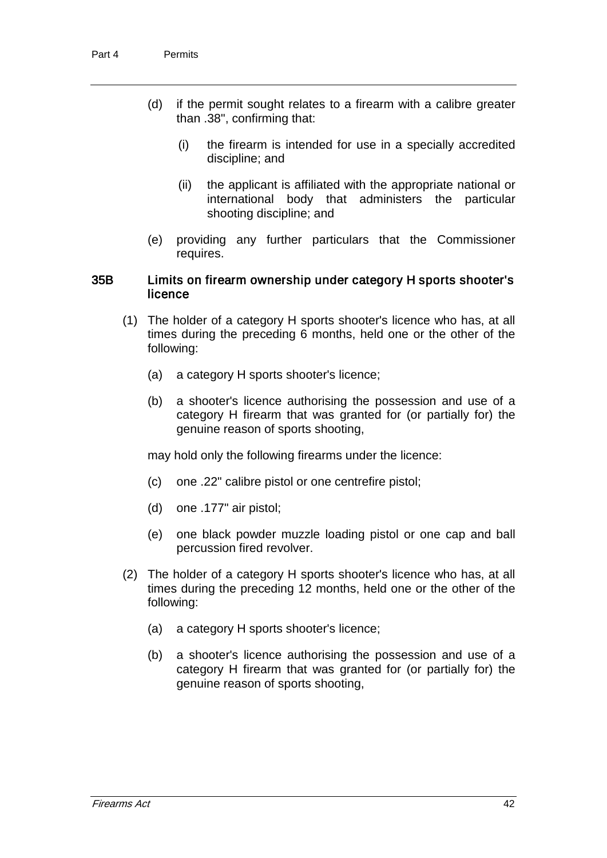- (d) if the permit sought relates to a firearm with a calibre greater than .38", confirming that:
	- (i) the firearm is intended for use in a specially accredited discipline; and
	- (ii) the applicant is affiliated with the appropriate national or international body that administers the particular shooting discipline; and
- (e) providing any further particulars that the Commissioner requires.

#### 35B Limits on firearm ownership under category H sports shooter's licence

- (1) The holder of a category H sports shooter's licence who has, at all times during the preceding 6 months, held one or the other of the following:
	- (a) a category H sports shooter's licence;
	- (b) a shooter's licence authorising the possession and use of a category H firearm that was granted for (or partially for) the genuine reason of sports shooting,

may hold only the following firearms under the licence:

- (c) one .22" calibre pistol or one centrefire pistol;
- (d) one .177" air pistol;
- (e) one black powder muzzle loading pistol or one cap and ball percussion fired revolver.
- (2) The holder of a category H sports shooter's licence who has, at all times during the preceding 12 months, held one or the other of the following:
	- (a) a category H sports shooter's licence;
	- (b) a shooter's licence authorising the possession and use of a category H firearm that was granted for (or partially for) the genuine reason of sports shooting,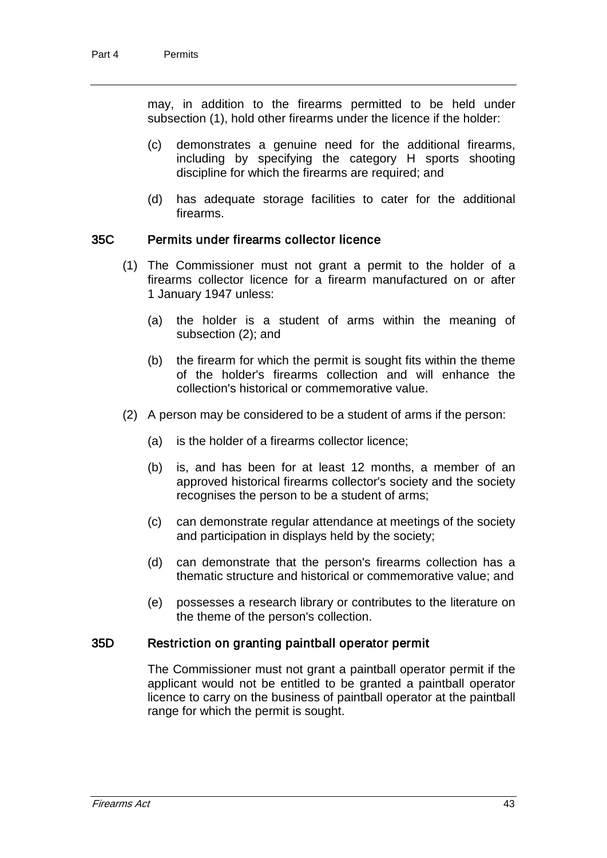may, in addition to the firearms permitted to be held under subsection (1), hold other firearms under the licence if the holder:

- (c) demonstrates a genuine need for the additional firearms, including by specifying the category H sports shooting discipline for which the firearms are required; and
- (d) has adequate storage facilities to cater for the additional firearms.

#### 35C Permits under firearms collector licence

- (1) The Commissioner must not grant a permit to the holder of a firearms collector licence for a firearm manufactured on or after 1 January 1947 unless:
	- (a) the holder is a student of arms within the meaning of subsection (2); and
	- (b) the firearm for which the permit is sought fits within the theme of the holder's firearms collection and will enhance the collection's historical or commemorative value.
- (2) A person may be considered to be a student of arms if the person:
	- (a) is the holder of a firearms collector licence;
	- (b) is, and has been for at least 12 months, a member of an approved historical firearms collector's society and the society recognises the person to be a student of arms;
	- (c) can demonstrate regular attendance at meetings of the society and participation in displays held by the society;
	- (d) can demonstrate that the person's firearms collection has a thematic structure and historical or commemorative value; and
	- (e) possesses a research library or contributes to the literature on the theme of the person's collection.

#### 35D Restriction on granting paintball operator permit

The Commissioner must not grant a paintball operator permit if the applicant would not be entitled to be granted a paintball operator licence to carry on the business of paintball operator at the paintball range for which the permit is sought.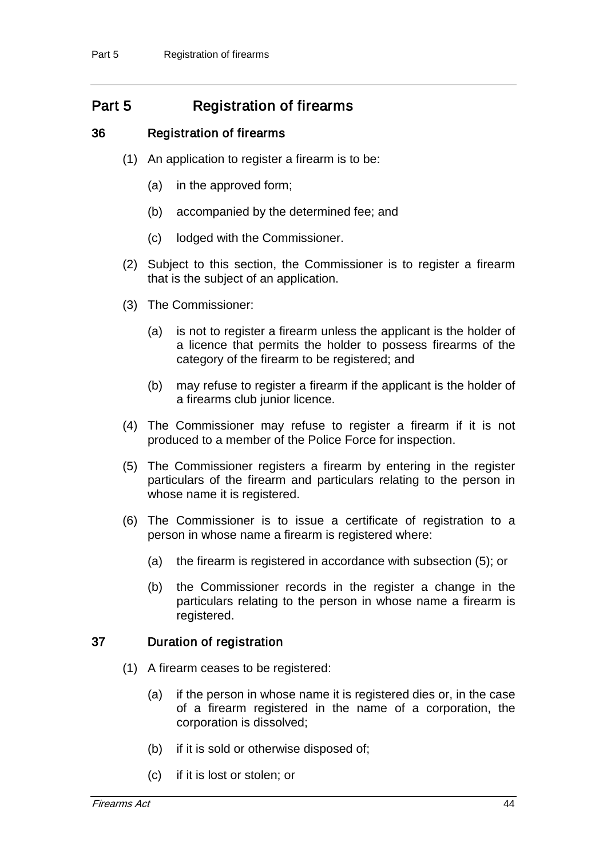# Part 5 Registration of firearms

## 36 Registration of firearms

- (1) An application to register a firearm is to be:
	- (a) in the approved form;
	- (b) accompanied by the determined fee; and
	- (c) lodged with the Commissioner.
- (2) Subject to this section, the Commissioner is to register a firearm that is the subject of an application.
- (3) The Commissioner:
	- (a) is not to register a firearm unless the applicant is the holder of a licence that permits the holder to possess firearms of the category of the firearm to be registered; and
	- (b) may refuse to register a firearm if the applicant is the holder of a firearms club junior licence.
- (4) The Commissioner may refuse to register a firearm if it is not produced to a member of the Police Force for inspection.
- (5) The Commissioner registers a firearm by entering in the register particulars of the firearm and particulars relating to the person in whose name it is registered.
- (6) The Commissioner is to issue a certificate of registration to a person in whose name a firearm is registered where:
	- (a) the firearm is registered in accordance with subsection (5); or
	- (b) the Commissioner records in the register a change in the particulars relating to the person in whose name a firearm is registered.

## 37 Duration of registration

- (1) A firearm ceases to be registered:
	- (a) if the person in whose name it is registered dies or, in the case of a firearm registered in the name of a corporation, the corporation is dissolved;
	- (b) if it is sold or otherwise disposed of;
	- (c) if it is lost or stolen; or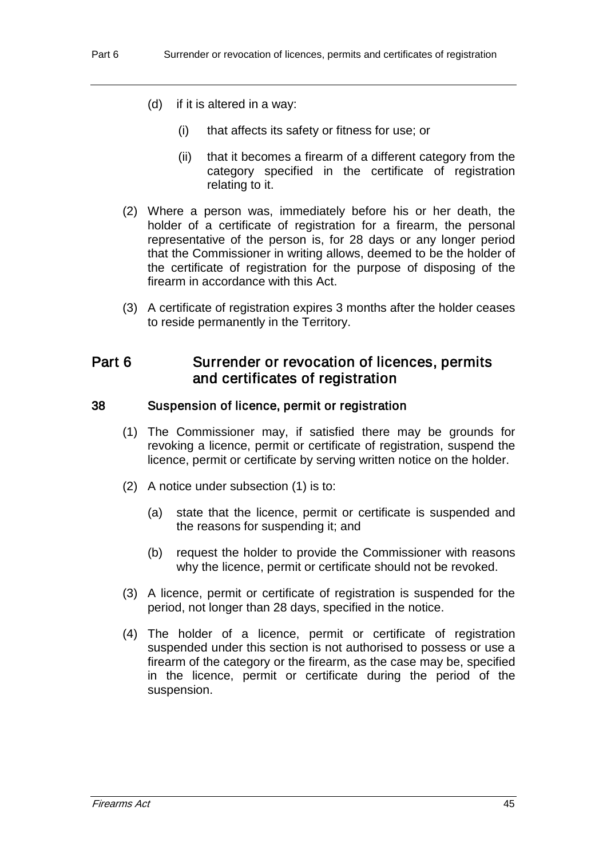- (d) if it is altered in a way:
	- (i) that affects its safety or fitness for use; or
	- (ii) that it becomes a firearm of a different category from the category specified in the certificate of registration relating to it.
- (2) Where a person was, immediately before his or her death, the holder of a certificate of registration for a firearm, the personal representative of the person is, for 28 days or any longer period that the Commissioner in writing allows, deemed to be the holder of the certificate of registration for the purpose of disposing of the firearm in accordance with this Act.
- (3) A certificate of registration expires 3 months after the holder ceases to reside permanently in the Territory.

# Part 6 Surrender or revocation of licences, permits and certificates of registration

#### 38 Suspension of licence, permit or registration

- (1) The Commissioner may, if satisfied there may be grounds for revoking a licence, permit or certificate of registration, suspend the licence, permit or certificate by serving written notice on the holder.
- (2) A notice under subsection (1) is to:
	- (a) state that the licence, permit or certificate is suspended and the reasons for suspending it; and
	- (b) request the holder to provide the Commissioner with reasons why the licence, permit or certificate should not be revoked.
- (3) A licence, permit or certificate of registration is suspended for the period, not longer than 28 days, specified in the notice.
- (4) The holder of a licence, permit or certificate of registration suspended under this section is not authorised to possess or use a firearm of the category or the firearm, as the case may be, specified in the licence, permit or certificate during the period of the suspension.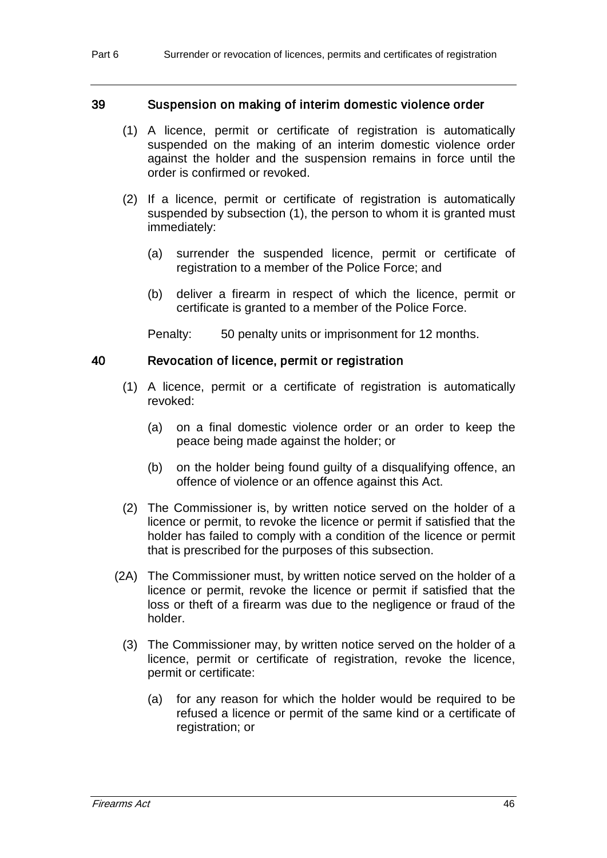#### 39 Suspension on making of interim domestic violence order

- (1) A licence, permit or certificate of registration is automatically suspended on the making of an interim domestic violence order against the holder and the suspension remains in force until the order is confirmed or revoked.
- (2) If a licence, permit or certificate of registration is automatically suspended by subsection (1), the person to whom it is granted must immediately:
	- (a) surrender the suspended licence, permit or certificate of registration to a member of the Police Force; and
	- (b) deliver a firearm in respect of which the licence, permit or certificate is granted to a member of the Police Force.

Penalty: 50 penalty units or imprisonment for 12 months.

#### 40 Revocation of licence, permit or registration

- (1) A licence, permit or a certificate of registration is automatically revoked:
	- (a) on a final domestic violence order or an order to keep the peace being made against the holder; or
	- (b) on the holder being found guilty of a disqualifying offence, an offence of violence or an offence against this Act.
- (2) The Commissioner is, by written notice served on the holder of a licence or permit, to revoke the licence or permit if satisfied that the holder has failed to comply with a condition of the licence or permit that is prescribed for the purposes of this subsection.
- (2A) The Commissioner must, by written notice served on the holder of a licence or permit, revoke the licence or permit if satisfied that the loss or theft of a firearm was due to the negligence or fraud of the holder.
	- (3) The Commissioner may, by written notice served on the holder of a licence, permit or certificate of registration, revoke the licence, permit or certificate:
		- (a) for any reason for which the holder would be required to be refused a licence or permit of the same kind or a certificate of registration; or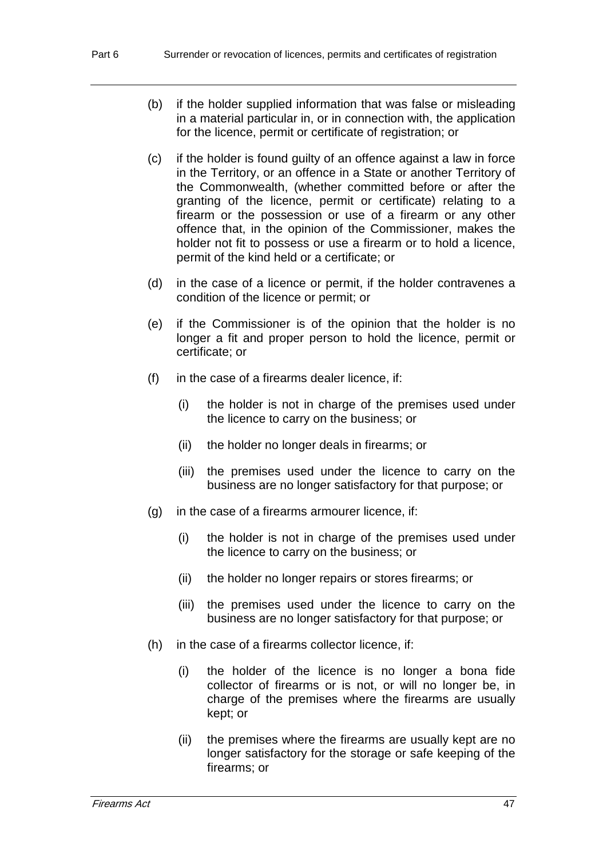- (b) if the holder supplied information that was false or misleading in a material particular in, or in connection with, the application for the licence, permit or certificate of registration; or
- (c) if the holder is found guilty of an offence against a law in force in the Territory, or an offence in a State or another Territory of the Commonwealth, (whether committed before or after the granting of the licence, permit or certificate) relating to a firearm or the possession or use of a firearm or any other offence that, in the opinion of the Commissioner, makes the holder not fit to possess or use a firearm or to hold a licence, permit of the kind held or a certificate; or
- (d) in the case of a licence or permit, if the holder contravenes a condition of the licence or permit; or
- (e) if the Commissioner is of the opinion that the holder is no longer a fit and proper person to hold the licence, permit or certificate; or
- (f) in the case of a firearms dealer licence, if:
	- (i) the holder is not in charge of the premises used under the licence to carry on the business; or
	- (ii) the holder no longer deals in firearms; or
	- (iii) the premises used under the licence to carry on the business are no longer satisfactory for that purpose; or
- (g) in the case of a firearms armourer licence, if:
	- (i) the holder is not in charge of the premises used under the licence to carry on the business; or
	- (ii) the holder no longer repairs or stores firearms; or
	- (iii) the premises used under the licence to carry on the business are no longer satisfactory for that purpose; or
- (h) in the case of a firearms collector licence, if:
	- (i) the holder of the licence is no longer a bona fide collector of firearms or is not, or will no longer be, in charge of the premises where the firearms are usually kept; or
	- (ii) the premises where the firearms are usually kept are no longer satisfactory for the storage or safe keeping of the firearms; or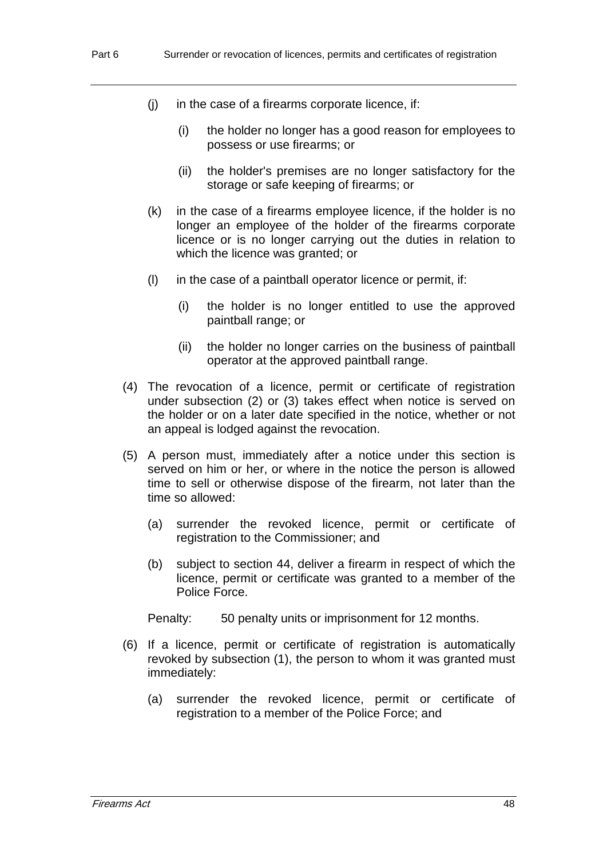- $(i)$  in the case of a firearms corporate licence, if:
	- (i) the holder no longer has a good reason for employees to possess or use firearms; or
	- (ii) the holder's premises are no longer satisfactory for the storage or safe keeping of firearms; or
- (k) in the case of a firearms employee licence, if the holder is no longer an employee of the holder of the firearms corporate licence or is no longer carrying out the duties in relation to which the licence was granted; or
- (l) in the case of a paintball operator licence or permit, if:
	- (i) the holder is no longer entitled to use the approved paintball range; or
	- (ii) the holder no longer carries on the business of paintball operator at the approved paintball range.
- (4) The revocation of a licence, permit or certificate of registration under subsection (2) or (3) takes effect when notice is served on the holder or on a later date specified in the notice, whether or not an appeal is lodged against the revocation.
- (5) A person must, immediately after a notice under this section is served on him or her, or where in the notice the person is allowed time to sell or otherwise dispose of the firearm, not later than the time so allowed:
	- (a) surrender the revoked licence, permit or certificate of registration to the Commissioner; and
	- (b) subject to section 44, deliver a firearm in respect of which the licence, permit or certificate was granted to a member of the Police Force.

Penalty: 50 penalty units or imprisonment for 12 months.

- (6) If a licence, permit or certificate of registration is automatically revoked by subsection (1), the person to whom it was granted must immediately:
	- (a) surrender the revoked licence, permit or certificate of registration to a member of the Police Force; and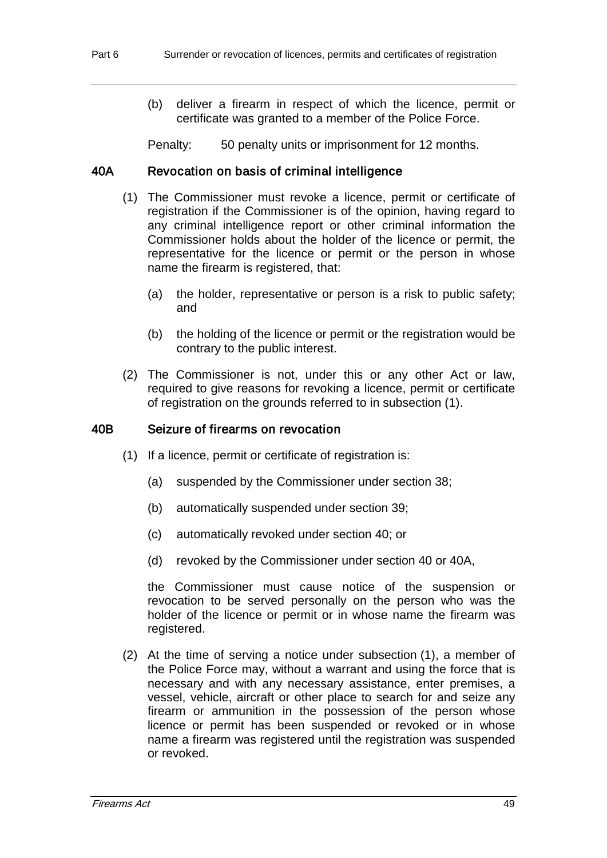(b) deliver a firearm in respect of which the licence, permit or certificate was granted to a member of the Police Force.

Penalty: 50 penalty units or imprisonment for 12 months.

## 40A Revocation on basis of criminal intelligence

- (1) The Commissioner must revoke a licence, permit or certificate of registration if the Commissioner is of the opinion, having regard to any criminal intelligence report or other criminal information the Commissioner holds about the holder of the licence or permit, the representative for the licence or permit or the person in whose name the firearm is registered, that:
	- (a) the holder, representative or person is a risk to public safety; and
	- (b) the holding of the licence or permit or the registration would be contrary to the public interest.
- (2) The Commissioner is not, under this or any other Act or law, required to give reasons for revoking a licence, permit or certificate of registration on the grounds referred to in subsection (1).

## 40B Seizure of firearms on revocation

- (1) If a licence, permit or certificate of registration is:
	- (a) suspended by the Commissioner under section 38;
	- (b) automatically suspended under section 39;
	- (c) automatically revoked under section 40; or
	- (d) revoked by the Commissioner under section 40 or 40A,

the Commissioner must cause notice of the suspension or revocation to be served personally on the person who was the holder of the licence or permit or in whose name the firearm was registered.

(2) At the time of serving a notice under subsection (1), a member of the Police Force may, without a warrant and using the force that is necessary and with any necessary assistance, enter premises, a vessel, vehicle, aircraft or other place to search for and seize any firearm or ammunition in the possession of the person whose licence or permit has been suspended or revoked or in whose name a firearm was registered until the registration was suspended or revoked.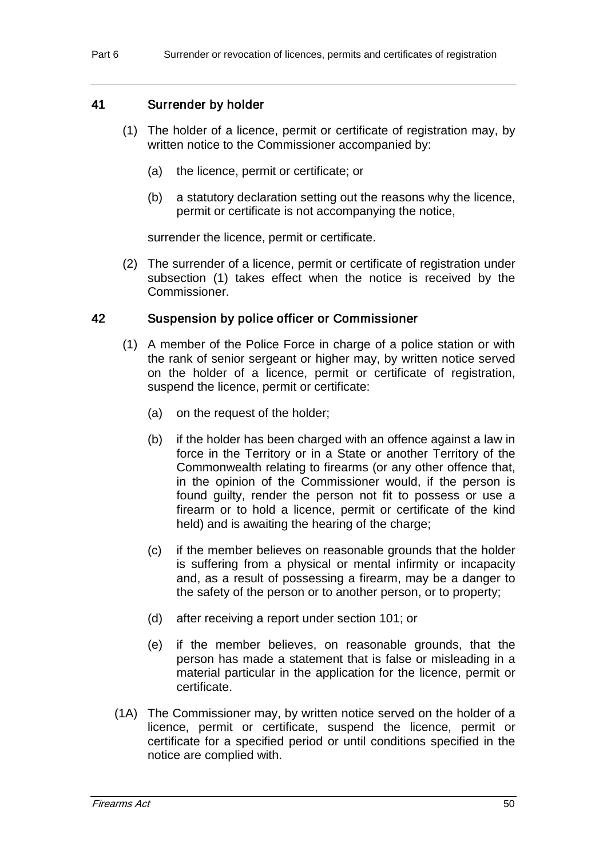#### 41 Surrender by holder

- (1) The holder of a licence, permit or certificate of registration may, by written notice to the Commissioner accompanied by:
	- (a) the licence, permit or certificate; or
	- (b) a statutory declaration setting out the reasons why the licence, permit or certificate is not accompanying the notice,

surrender the licence, permit or certificate.

(2) The surrender of a licence, permit or certificate of registration under subsection (1) takes effect when the notice is received by the Commissioner.

#### 42 Suspension by police officer or Commissioner

- (1) A member of the Police Force in charge of a police station or with the rank of senior sergeant or higher may, by written notice served on the holder of a licence, permit or certificate of registration, suspend the licence, permit or certificate:
	- (a) on the request of the holder;
	- (b) if the holder has been charged with an offence against a law in force in the Territory or in a State or another Territory of the Commonwealth relating to firearms (or any other offence that, in the opinion of the Commissioner would, if the person is found guilty, render the person not fit to possess or use a firearm or to hold a licence, permit or certificate of the kind held) and is awaiting the hearing of the charge;
	- (c) if the member believes on reasonable grounds that the holder is suffering from a physical or mental infirmity or incapacity and, as a result of possessing a firearm, may be a danger to the safety of the person or to another person, or to property;
	- (d) after receiving a report under section 101; or
	- (e) if the member believes, on reasonable grounds, that the person has made a statement that is false or misleading in a material particular in the application for the licence, permit or certificate.
- (1A) The Commissioner may, by written notice served on the holder of a licence, permit or certificate, suspend the licence, permit or certificate for a specified period or until conditions specified in the notice are complied with.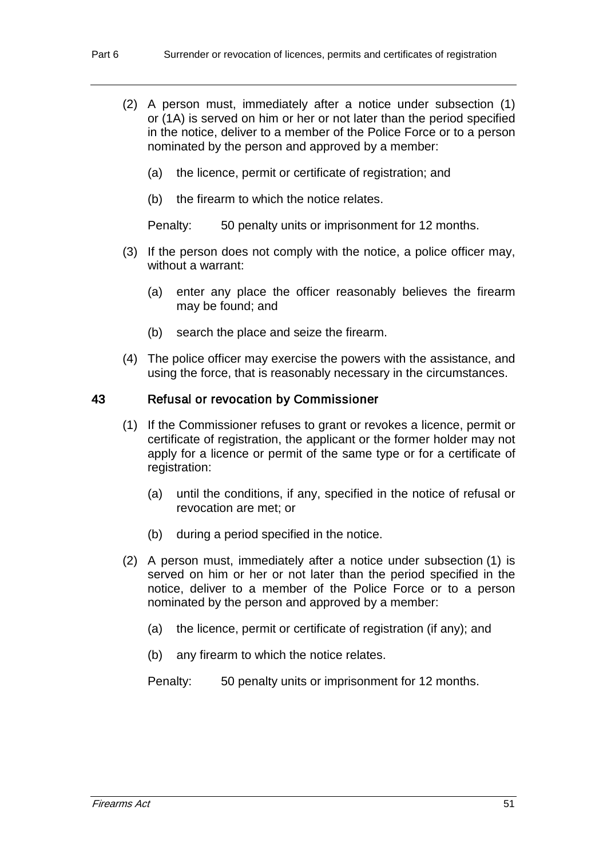- (2) A person must, immediately after a notice under subsection (1) or (1A) is served on him or her or not later than the period specified in the notice, deliver to a member of the Police Force or to a person nominated by the person and approved by a member:
	- (a) the licence, permit or certificate of registration; and
	- (b) the firearm to which the notice relates.

Penalty: 50 penalty units or imprisonment for 12 months.

- (3) If the person does not comply with the notice, a police officer may, without a warrant:
	- (a) enter any place the officer reasonably believes the firearm may be found; and
	- (b) search the place and seize the firearm.
- (4) The police officer may exercise the powers with the assistance, and using the force, that is reasonably necessary in the circumstances.

#### 43 Refusal or revocation by Commissioner

- (1) If the Commissioner refuses to grant or revokes a licence, permit or certificate of registration, the applicant or the former holder may not apply for a licence or permit of the same type or for a certificate of registration:
	- (a) until the conditions, if any, specified in the notice of refusal or revocation are met; or
	- (b) during a period specified in the notice.
- (2) A person must, immediately after a notice under subsection (1) is served on him or her or not later than the period specified in the notice, deliver to a member of the Police Force or to a person nominated by the person and approved by a member:
	- (a) the licence, permit or certificate of registration (if any); and
	- (b) any firearm to which the notice relates.

Penalty: 50 penalty units or imprisonment for 12 months.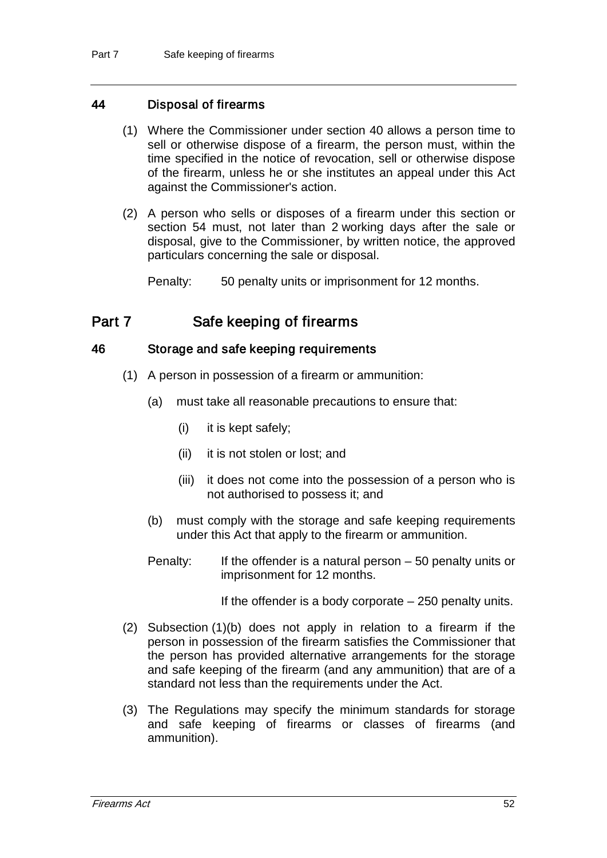## 44 Disposal of firearms

- (1) Where the Commissioner under section 40 allows a person time to sell or otherwise dispose of a firearm, the person must, within the time specified in the notice of revocation, sell or otherwise dispose of the firearm, unless he or she institutes an appeal under this Act against the Commissioner's action.
- (2) A person who sells or disposes of a firearm under this section or section 54 must, not later than 2 working days after the sale or disposal, give to the Commissioner, by written notice, the approved particulars concerning the sale or disposal.

Penalty: 50 penalty units or imprisonment for 12 months.

# Part 7 Safe keeping of firearms

## 46 Storage and safe keeping requirements

- (1) A person in possession of a firearm or ammunition:
	- (a) must take all reasonable precautions to ensure that:
		- (i) it is kept safely;
		- (ii) it is not stolen or lost; and
		- (iii) it does not come into the possession of a person who is not authorised to possess it; and
	- (b) must comply with the storage and safe keeping requirements under this Act that apply to the firearm or ammunition.
	- Penalty: If the offender is a natural person 50 penalty units or imprisonment for 12 months.

If the offender is a body corporate – 250 penalty units.

- (2) Subsection (1)(b) does not apply in relation to a firearm if the person in possession of the firearm satisfies the Commissioner that the person has provided alternative arrangements for the storage and safe keeping of the firearm (and any ammunition) that are of a standard not less than the requirements under the Act.
- (3) The Regulations may specify the minimum standards for storage and safe keeping of firearms or classes of firearms (and ammunition).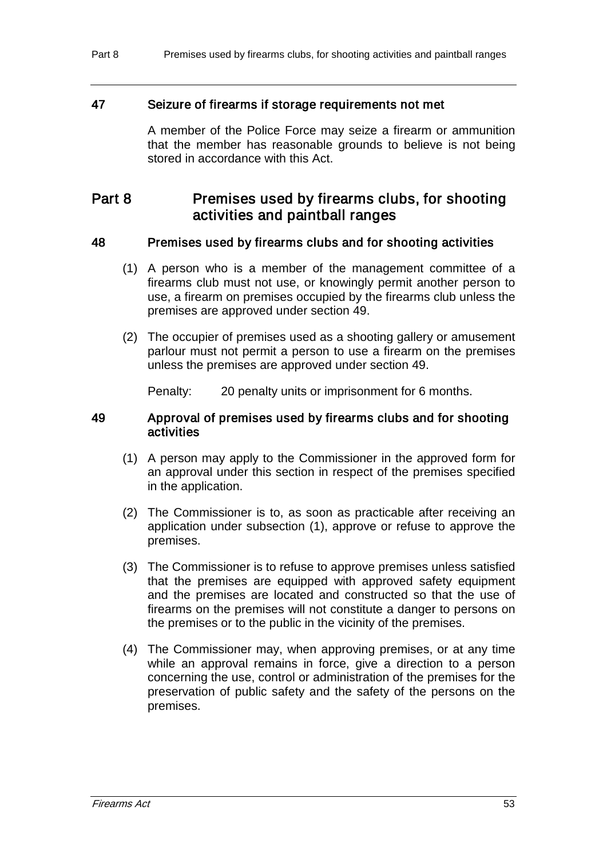#### 47 Seizure of firearms if storage requirements not met

A member of the Police Force may seize a firearm or ammunition that the member has reasonable grounds to believe is not being stored in accordance with this Act.

# Part 8 Premises used by firearms clubs, for shooting activities and paintball ranges

## 48 Premises used by firearms clubs and for shooting activities

- (1) A person who is a member of the management committee of a firearms club must not use, or knowingly permit another person to use, a firearm on premises occupied by the firearms club unless the premises are approved under section 49.
- (2) The occupier of premises used as a shooting gallery or amusement parlour must not permit a person to use a firearm on the premises unless the premises are approved under section 49.

Penalty: 20 penalty units or imprisonment for 6 months.

#### 49 Approval of premises used by firearms clubs and for shooting activities

- (1) A person may apply to the Commissioner in the approved form for an approval under this section in respect of the premises specified in the application.
- (2) The Commissioner is to, as soon as practicable after receiving an application under subsection (1), approve or refuse to approve the premises.
- (3) The Commissioner is to refuse to approve premises unless satisfied that the premises are equipped with approved safety equipment and the premises are located and constructed so that the use of firearms on the premises will not constitute a danger to persons on the premises or to the public in the vicinity of the premises.
- (4) The Commissioner may, when approving premises, or at any time while an approval remains in force, give a direction to a person concerning the use, control or administration of the premises for the preservation of public safety and the safety of the persons on the premises.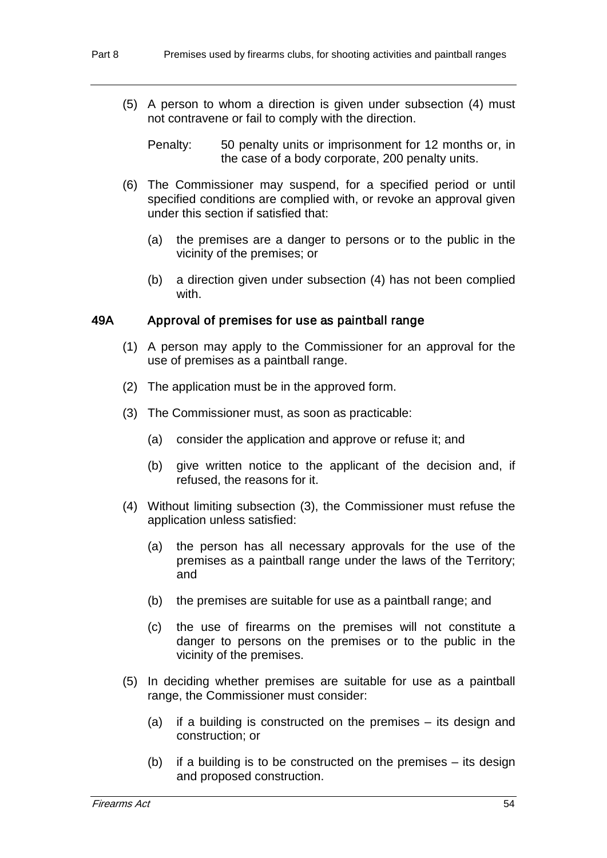(5) A person to whom a direction is given under subsection (4) must not contravene or fail to comply with the direction.

Penalty: 50 penalty units or imprisonment for 12 months or, in the case of a body corporate, 200 penalty units.

- (6) The Commissioner may suspend, for a specified period or until specified conditions are complied with, or revoke an approval given under this section if satisfied that:
	- (a) the premises are a danger to persons or to the public in the vicinity of the premises; or
	- (b) a direction given under subsection (4) has not been complied with.

## 49A Approval of premises for use as paintball range

- (1) A person may apply to the Commissioner for an approval for the use of premises as a paintball range.
- (2) The application must be in the approved form.
- (3) The Commissioner must, as soon as practicable:
	- (a) consider the application and approve or refuse it; and
	- (b) give written notice to the applicant of the decision and, if refused, the reasons for it.
- (4) Without limiting subsection (3), the Commissioner must refuse the application unless satisfied:
	- (a) the person has all necessary approvals for the use of the premises as a paintball range under the laws of the Territory; and
	- (b) the premises are suitable for use as a paintball range; and
	- (c) the use of firearms on the premises will not constitute a danger to persons on the premises or to the public in the vicinity of the premises.
- (5) In deciding whether premises are suitable for use as a paintball range, the Commissioner must consider:
	- (a) if a building is constructed on the premises its design and construction; or
	- (b) if a building is to be constructed on the premises its design and proposed construction.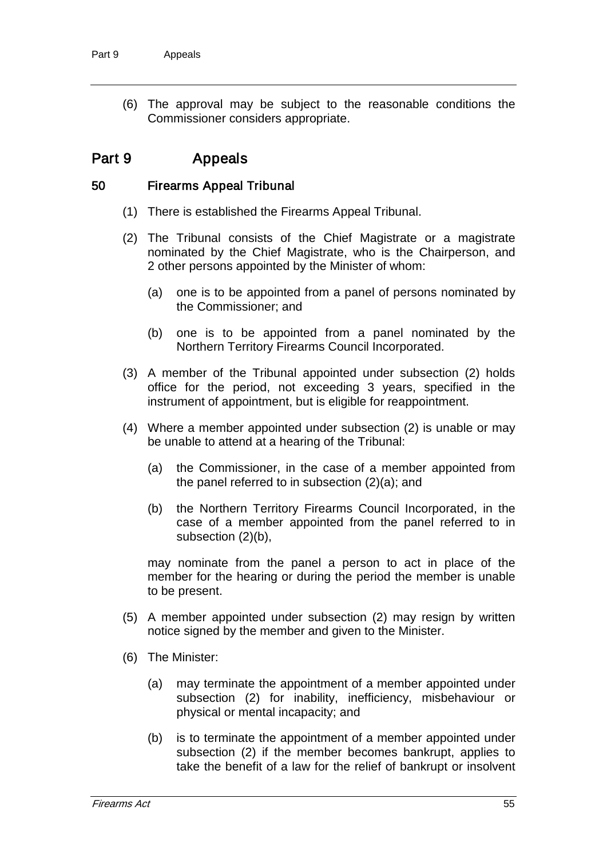(6) The approval may be subject to the reasonable conditions the Commissioner considers appropriate.

# Part 9 Appeals

#### 50 Firearms Appeal Tribunal

- (1) There is established the Firearms Appeal Tribunal.
- (2) The Tribunal consists of the Chief Magistrate or a magistrate nominated by the Chief Magistrate, who is the Chairperson, and 2 other persons appointed by the Minister of whom:
	- (a) one is to be appointed from a panel of persons nominated by the Commissioner; and
	- (b) one is to be appointed from a panel nominated by the Northern Territory Firearms Council Incorporated.
- (3) A member of the Tribunal appointed under subsection (2) holds office for the period, not exceeding 3 years, specified in the instrument of appointment, but is eligible for reappointment.
- (4) Where a member appointed under subsection (2) is unable or may be unable to attend at a hearing of the Tribunal:
	- (a) the Commissioner, in the case of a member appointed from the panel referred to in subsection (2)(a); and
	- (b) the Northern Territory Firearms Council Incorporated, in the case of a member appointed from the panel referred to in subsection (2)(b),

may nominate from the panel a person to act in place of the member for the hearing or during the period the member is unable to be present.

- (5) A member appointed under subsection (2) may resign by written notice signed by the member and given to the Minister.
- (6) The Minister:
	- (a) may terminate the appointment of a member appointed under subsection (2) for inability, inefficiency, misbehaviour or physical or mental incapacity; and
	- (b) is to terminate the appointment of a member appointed under subsection (2) if the member becomes bankrupt, applies to take the benefit of a law for the relief of bankrupt or insolvent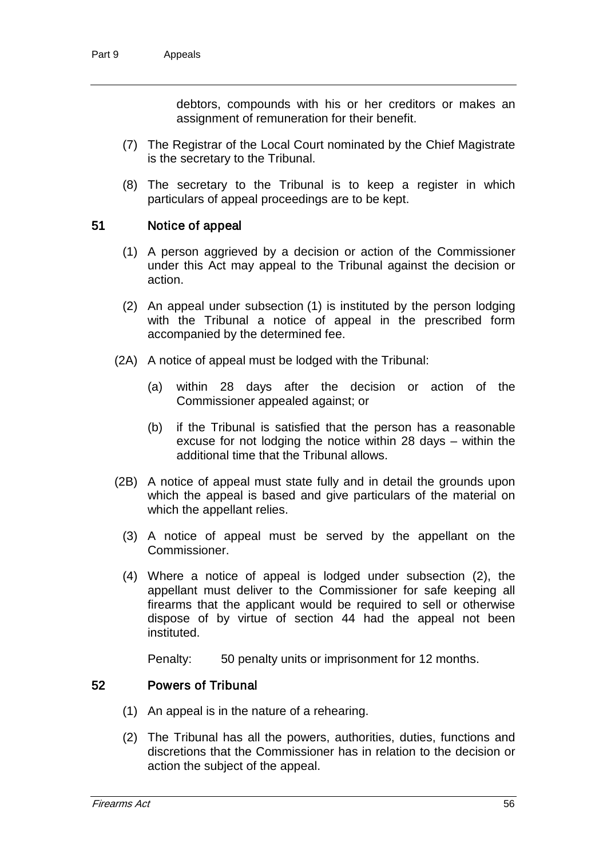debtors, compounds with his or her creditors or makes an assignment of remuneration for their benefit.

- (7) The Registrar of the Local Court nominated by the Chief Magistrate is the secretary to the Tribunal.
- (8) The secretary to the Tribunal is to keep a register in which particulars of appeal proceedings are to be kept.

#### 51 Notice of appeal

- (1) A person aggrieved by a decision or action of the Commissioner under this Act may appeal to the Tribunal against the decision or action.
- (2) An appeal under subsection (1) is instituted by the person lodging with the Tribunal a notice of appeal in the prescribed form accompanied by the determined fee.
- (2A) A notice of appeal must be lodged with the Tribunal:
	- (a) within 28 days after the decision or action of the Commissioner appealed against; or
	- (b) if the Tribunal is satisfied that the person has a reasonable excuse for not lodging the notice within 28 days – within the additional time that the Tribunal allows.
- (2B) A notice of appeal must state fully and in detail the grounds upon which the appeal is based and give particulars of the material on which the appellant relies.
	- (3) A notice of appeal must be served by the appellant on the Commissioner.
	- (4) Where a notice of appeal is lodged under subsection (2), the appellant must deliver to the Commissioner for safe keeping all firearms that the applicant would be required to sell or otherwise dispose of by virtue of section 44 had the appeal not been instituted.

Penalty: 50 penalty units or imprisonment for 12 months.

#### 52 Powers of Tribunal

- (1) An appeal is in the nature of a rehearing.
- (2) The Tribunal has all the powers, authorities, duties, functions and discretions that the Commissioner has in relation to the decision or action the subject of the appeal.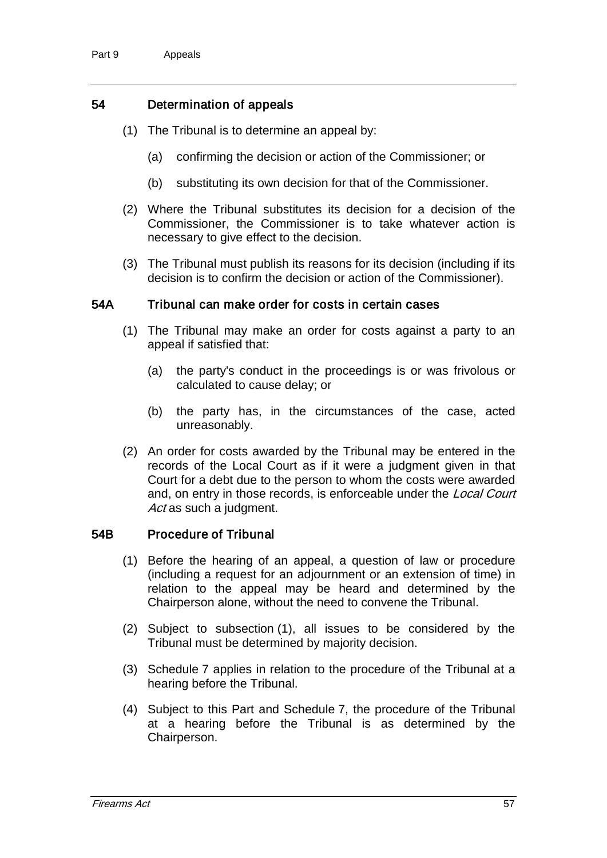## 54 Determination of appeals

- (1) The Tribunal is to determine an appeal by:
	- (a) confirming the decision or action of the Commissioner; or
	- (b) substituting its own decision for that of the Commissioner.
- (2) Where the Tribunal substitutes its decision for a decision of the Commissioner, the Commissioner is to take whatever action is necessary to give effect to the decision.
- (3) The Tribunal must publish its reasons for its decision (including if its decision is to confirm the decision or action of the Commissioner).

#### 54A Tribunal can make order for costs in certain cases

- (1) The Tribunal may make an order for costs against a party to an appeal if satisfied that:
	- (a) the party's conduct in the proceedings is or was frivolous or calculated to cause delay; or
	- (b) the party has, in the circumstances of the case, acted unreasonably.
- (2) An order for costs awarded by the Tribunal may be entered in the records of the Local Court as if it were a judgment given in that Court for a debt due to the person to whom the costs were awarded and, on entry in those records, is enforceable under the Local Court Act as such a judgment.

#### 54B Procedure of Tribunal

- (1) Before the hearing of an appeal, a question of law or procedure (including a request for an adjournment or an extension of time) in relation to the appeal may be heard and determined by the Chairperson alone, without the need to convene the Tribunal.
- (2) Subject to subsection (1), all issues to be considered by the Tribunal must be determined by majority decision.
- (3) Schedule 7 applies in relation to the procedure of the Tribunal at a hearing before the Tribunal.
- (4) Subject to this Part and Schedule 7, the procedure of the Tribunal at a hearing before the Tribunal is as determined by the Chairperson.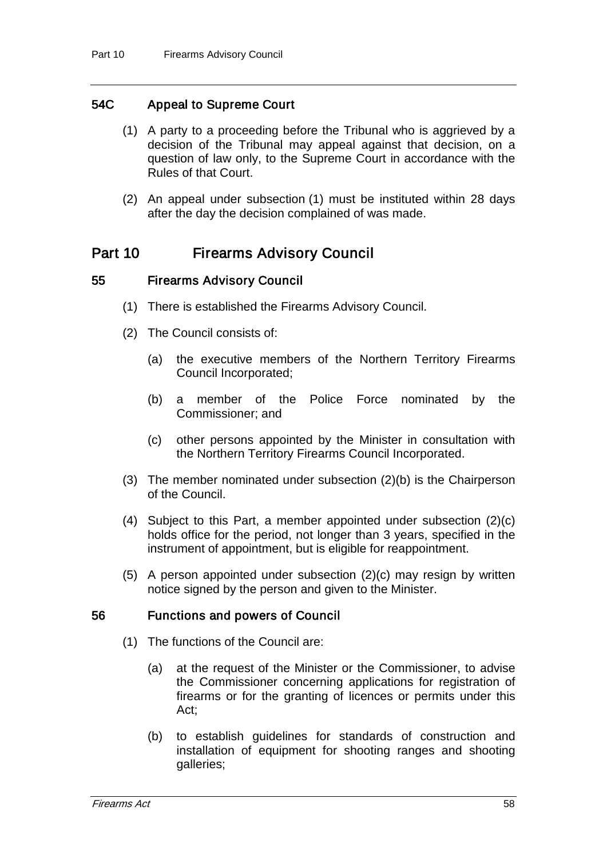## 54C Appeal to Supreme Court

- (1) A party to a proceeding before the Tribunal who is aggrieved by a decision of the Tribunal may appeal against that decision, on a question of law only, to the Supreme Court in accordance with the Rules of that Court.
- (2) An appeal under subsection (1) must be instituted within 28 days after the day the decision complained of was made.

## Part 10 Firearms Advisory Council

#### 55 Firearms Advisory Council

- (1) There is established the Firearms Advisory Council.
- (2) The Council consists of:
	- (a) the executive members of the Northern Territory Firearms Council Incorporated;
	- (b) a member of the Police Force nominated by the Commissioner; and
	- (c) other persons appointed by the Minister in consultation with the Northern Territory Firearms Council Incorporated.
- (3) The member nominated under subsection (2)(b) is the Chairperson of the Council.
- (4) Subject to this Part, a member appointed under subsection (2)(c) holds office for the period, not longer than 3 years, specified in the instrument of appointment, but is eligible for reappointment.
- (5) A person appointed under subsection (2)(c) may resign by written notice signed by the person and given to the Minister.

#### 56 Functions and powers of Council

- (1) The functions of the Council are:
	- (a) at the request of the Minister or the Commissioner, to advise the Commissioner concerning applications for registration of firearms or for the granting of licences or permits under this Act;
	- (b) to establish guidelines for standards of construction and installation of equipment for shooting ranges and shooting galleries;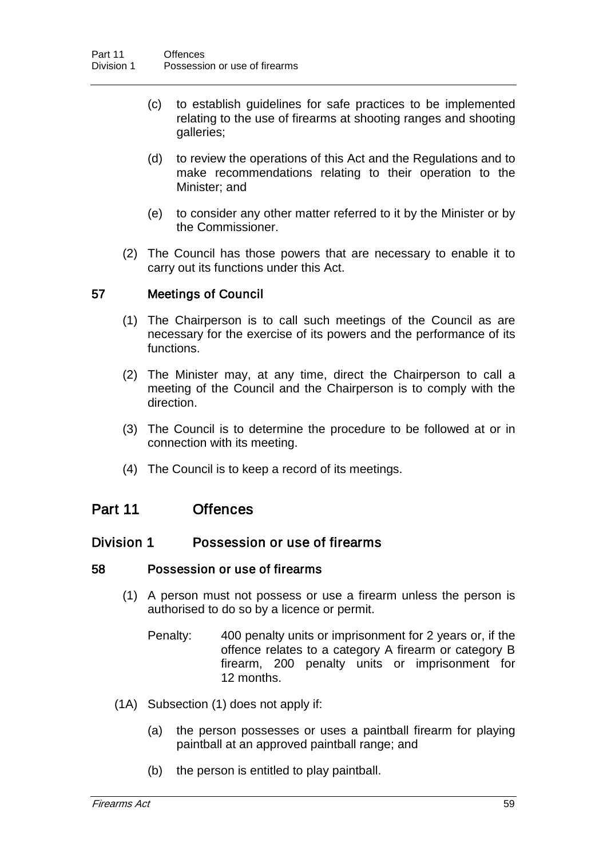- (c) to establish guidelines for safe practices to be implemented relating to the use of firearms at shooting ranges and shooting galleries;
- (d) to review the operations of this Act and the Regulations and to make recommendations relating to their operation to the Minister; and
- (e) to consider any other matter referred to it by the Minister or by the Commissioner.
- (2) The Council has those powers that are necessary to enable it to carry out its functions under this Act.

## 57 Meetings of Council

- (1) The Chairperson is to call such meetings of the Council as are necessary for the exercise of its powers and the performance of its functions.
- (2) The Minister may, at any time, direct the Chairperson to call a meeting of the Council and the Chairperson is to comply with the direction.
- (3) The Council is to determine the procedure to be followed at or in connection with its meeting.
- (4) The Council is to keep a record of its meetings.

## Part 11 Offences

#### Division 1 Possession or use of firearms

#### 58 Possession or use of firearms

- (1) A person must not possess or use a firearm unless the person is authorised to do so by a licence or permit.
	- Penalty: 400 penalty units or imprisonment for 2 years or, if the offence relates to a category A firearm or category B firearm, 200 penalty units or imprisonment for 12 months.
- (1A) Subsection (1) does not apply if:
	- (a) the person possesses or uses a paintball firearm for playing paintball at an approved paintball range; and
	- (b) the person is entitled to play paintball.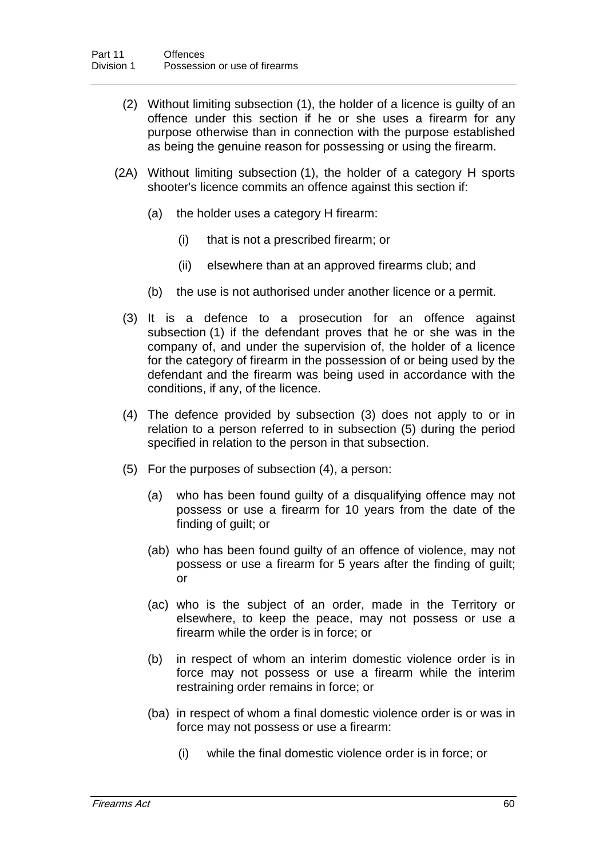- (2) Without limiting subsection (1), the holder of a licence is guilty of an offence under this section if he or she uses a firearm for any purpose otherwise than in connection with the purpose established as being the genuine reason for possessing or using the firearm.
- (2A) Without limiting subsection (1), the holder of a category H sports shooter's licence commits an offence against this section if:
	- (a) the holder uses a category H firearm:
		- (i) that is not a prescribed firearm; or
		- (ii) elsewhere than at an approved firearms club; and
	- (b) the use is not authorised under another licence or a permit.
	- (3) It is a defence to a prosecution for an offence against subsection (1) if the defendant proves that he or she was in the company of, and under the supervision of, the holder of a licence for the category of firearm in the possession of or being used by the defendant and the firearm was being used in accordance with the conditions, if any, of the licence.
	- (4) The defence provided by subsection (3) does not apply to or in relation to a person referred to in subsection (5) during the period specified in relation to the person in that subsection.
	- (5) For the purposes of subsection (4), a person:
		- (a) who has been found guilty of a disqualifying offence may not possess or use a firearm for 10 years from the date of the finding of guilt; or
		- (ab) who has been found guilty of an offence of violence, may not possess or use a firearm for 5 years after the finding of guilt; or
		- (ac) who is the subject of an order, made in the Territory or elsewhere, to keep the peace, may not possess or use a firearm while the order is in force; or
		- (b) in respect of whom an interim domestic violence order is in force may not possess or use a firearm while the interim restraining order remains in force; or
		- (ba) in respect of whom a final domestic violence order is or was in force may not possess or use a firearm:
			- (i) while the final domestic violence order is in force; or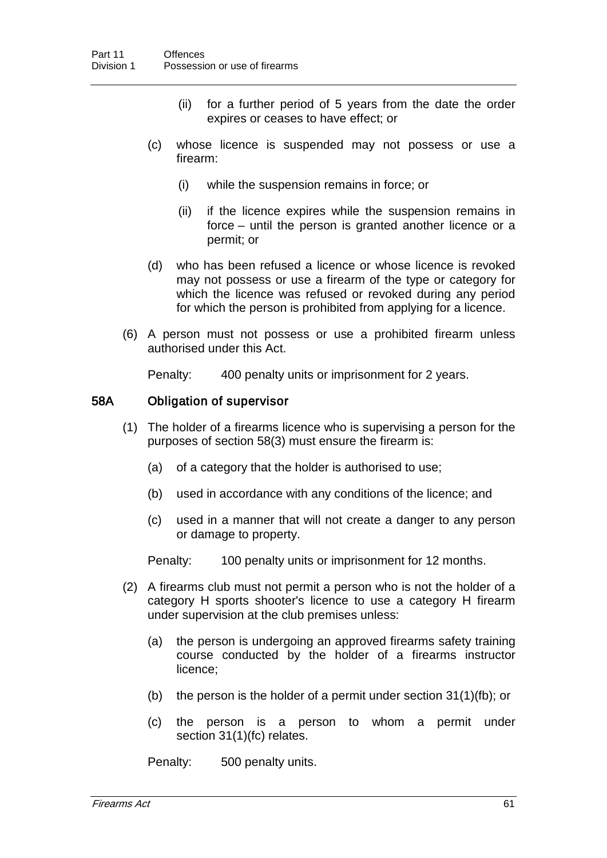- (ii) for a further period of 5 years from the date the order expires or ceases to have effect; or
- (c) whose licence is suspended may not possess or use a firearm:
	- (i) while the suspension remains in force; or
	- (ii) if the licence expires while the suspension remains in force – until the person is granted another licence or a permit; or
- (d) who has been refused a licence or whose licence is revoked may not possess or use a firearm of the type or category for which the licence was refused or revoked during any period for which the person is prohibited from applying for a licence.
- (6) A person must not possess or use a prohibited firearm unless authorised under this Act.

Penalty: 400 penalty units or imprisonment for 2 years.

## 58A Obligation of supervisor

- (1) The holder of a firearms licence who is supervising a person for the purposes of section 58(3) must ensure the firearm is:
	- (a) of a category that the holder is authorised to use;
	- (b) used in accordance with any conditions of the licence; and
	- (c) used in a manner that will not create a danger to any person or damage to property.

Penalty: 100 penalty units or imprisonment for 12 months.

- (2) A firearms club must not permit a person who is not the holder of a category H sports shooter's licence to use a category H firearm under supervision at the club premises unless:
	- (a) the person is undergoing an approved firearms safety training course conducted by the holder of a firearms instructor licence;
	- (b) the person is the holder of a permit under section 31(1)(fb); or
	- (c) the person is a person to whom a permit under section 31(1)(fc) relates.

Penalty: 500 penalty units.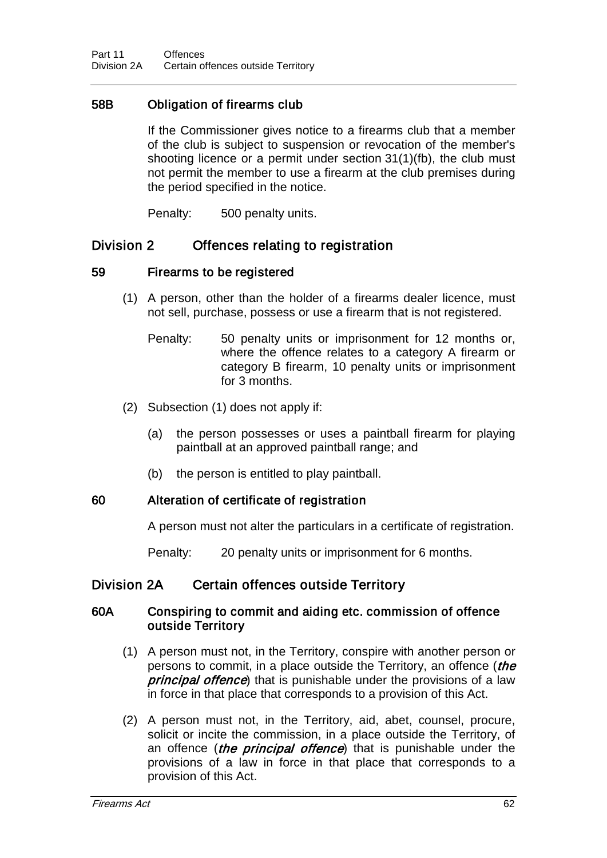## 58B Obligation of firearms club

If the Commissioner gives notice to a firearms club that a member of the club is subject to suspension or revocation of the member's shooting licence or a permit under section 31(1)(fb), the club must not permit the member to use a firearm at the club premises during the period specified in the notice.

Penalty: 500 penalty units.

## Division 2 Offences relating to registration

## 59 Firearms to be registered

- (1) A person, other than the holder of a firearms dealer licence, must not sell, purchase, possess or use a firearm that is not registered.
	- Penalty: 50 penalty units or imprisonment for 12 months or, where the offence relates to a category A firearm or category B firearm, 10 penalty units or imprisonment for 3 months.
- (2) Subsection (1) does not apply if:
	- (a) the person possesses or uses a paintball firearm for playing paintball at an approved paintball range; and
	- (b) the person is entitled to play paintball.

#### 60 Alteration of certificate of registration

A person must not alter the particulars in a certificate of registration.

Penalty: 20 penalty units or imprisonment for 6 months.

## Division 2A Certain offences outside Territory

#### 60A Conspiring to commit and aiding etc. commission of offence outside Territory

- (1) A person must not, in the Territory, conspire with another person or persons to commit, in a place outside the Territory, an offence (the principal offence) that is punishable under the provisions of a law in force in that place that corresponds to a provision of this Act.
- (2) A person must not, in the Territory, aid, abet, counsel, procure, solicit or incite the commission, in a place outside the Territory, of an offence (*the principal offence*) that is punishable under the provisions of a law in force in that place that corresponds to a provision of this Act.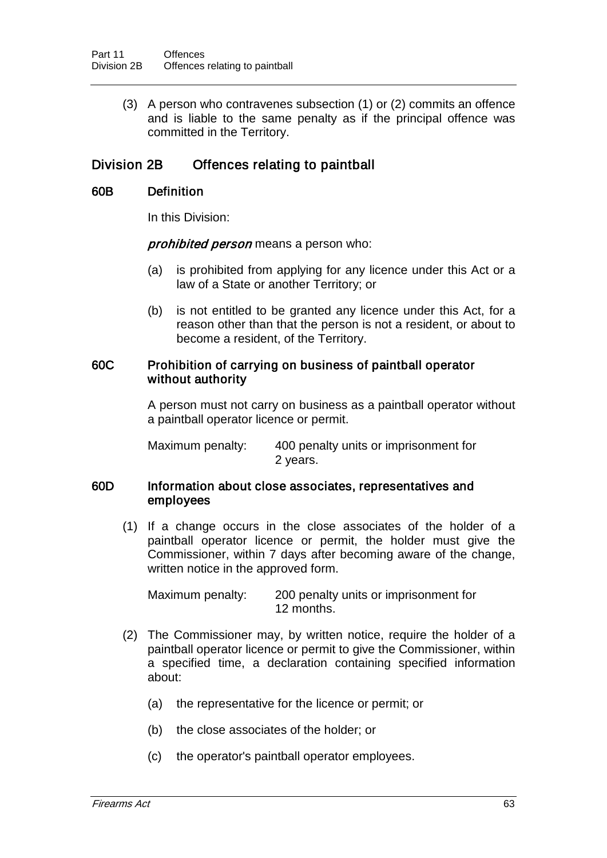(3) A person who contravenes subsection (1) or (2) commits an offence and is liable to the same penalty as if the principal offence was committed in the Territory.

# Division 2B Offences relating to paintball

#### 60B Definition

In this Division:

prohibited person means a person who:

- (a) is prohibited from applying for any licence under this Act or a law of a State or another Territory; or
- (b) is not entitled to be granted any licence under this Act, for a reason other than that the person is not a resident, or about to become a resident, of the Territory.

#### 60C Prohibition of carrying on business of paintball operator without authority

A person must not carry on business as a paintball operator without a paintball operator licence or permit.

Maximum penalty: 400 penalty units or imprisonment for 2 years.

#### 60D Information about close associates, representatives and employees

(1) If a change occurs in the close associates of the holder of a paintball operator licence or permit, the holder must give the Commissioner, within 7 days after becoming aware of the change, written notice in the approved form.

Maximum penalty: 200 penalty units or imprisonment for 12 months.

- (2) The Commissioner may, by written notice, require the holder of a paintball operator licence or permit to give the Commissioner, within a specified time, a declaration containing specified information about:
	- (a) the representative for the licence or permit; or
	- (b) the close associates of the holder; or
	- (c) the operator's paintball operator employees.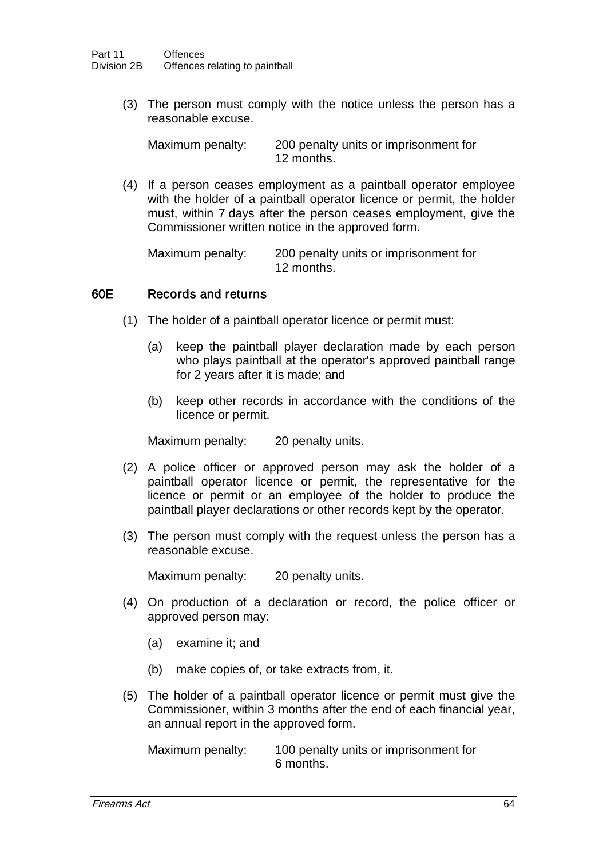(3) The person must comply with the notice unless the person has a reasonable excuse.

Maximum penalty: 200 penalty units or imprisonment for 12 months.

(4) If a person ceases employment as a paintball operator employee with the holder of a paintball operator licence or permit, the holder must, within 7 days after the person ceases employment, give the Commissioner written notice in the approved form.

Maximum penalty: 200 penalty units or imprisonment for 12 months.

#### 60E Records and returns

- (1) The holder of a paintball operator licence or permit must:
	- (a) keep the paintball player declaration made by each person who plays paintball at the operator's approved paintball range for 2 years after it is made; and
	- (b) keep other records in accordance with the conditions of the licence or permit.

Maximum penalty: 20 penalty units.

- (2) A police officer or approved person may ask the holder of a paintball operator licence or permit, the representative for the licence or permit or an employee of the holder to produce the paintball player declarations or other records kept by the operator.
- (3) The person must comply with the request unless the person has a reasonable excuse.

Maximum penalty: 20 penalty units.

- (4) On production of a declaration or record, the police officer or approved person may:
	- (a) examine it; and
	- (b) make copies of, or take extracts from, it.
- (5) The holder of a paintball operator licence or permit must give the Commissioner, within 3 months after the end of each financial year, an annual report in the approved form.

Maximum penalty: 100 penalty units or imprisonment for 6 months.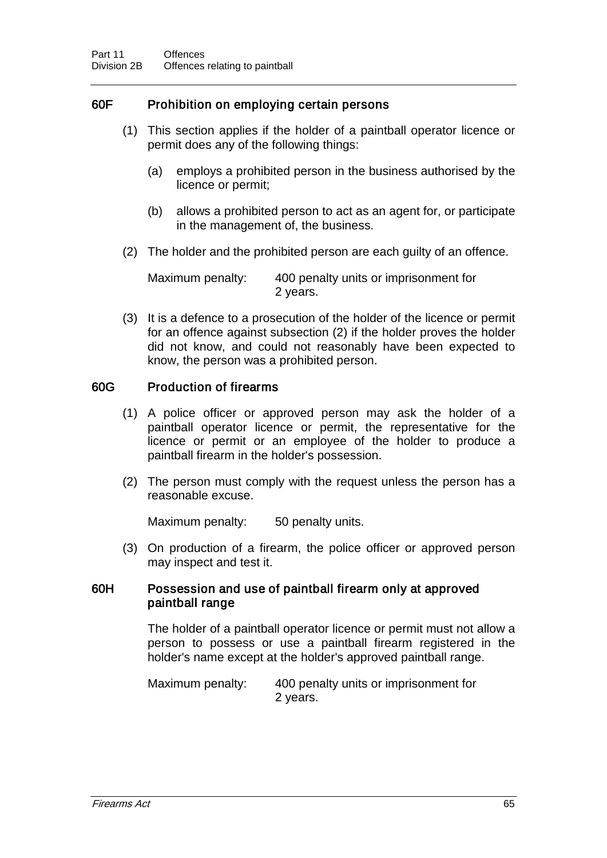## 60F Prohibition on employing certain persons

- (1) This section applies if the holder of a paintball operator licence or permit does any of the following things:
	- (a) employs a prohibited person in the business authorised by the licence or permit;
	- (b) allows a prohibited person to act as an agent for, or participate in the management of, the business.
- (2) The holder and the prohibited person are each guilty of an offence.

Maximum penalty: 400 penalty units or imprisonment for 2 years.

(3) It is a defence to a prosecution of the holder of the licence or permit for an offence against subsection (2) if the holder proves the holder did not know, and could not reasonably have been expected to know, the person was a prohibited person.

## 60G Production of firearms

- (1) A police officer or approved person may ask the holder of a paintball operator licence or permit, the representative for the licence or permit or an employee of the holder to produce a paintball firearm in the holder's possession.
- (2) The person must comply with the request unless the person has a reasonable excuse.

Maximum penalty: 50 penalty units.

(3) On production of a firearm, the police officer or approved person may inspect and test it.

#### 60H Possession and use of paintball firearm only at approved paintball range

The holder of a paintball operator licence or permit must not allow a person to possess or use a paintball firearm registered in the holder's name except at the holder's approved paintball range.

Maximum penalty: 400 penalty units or imprisonment for 2 years.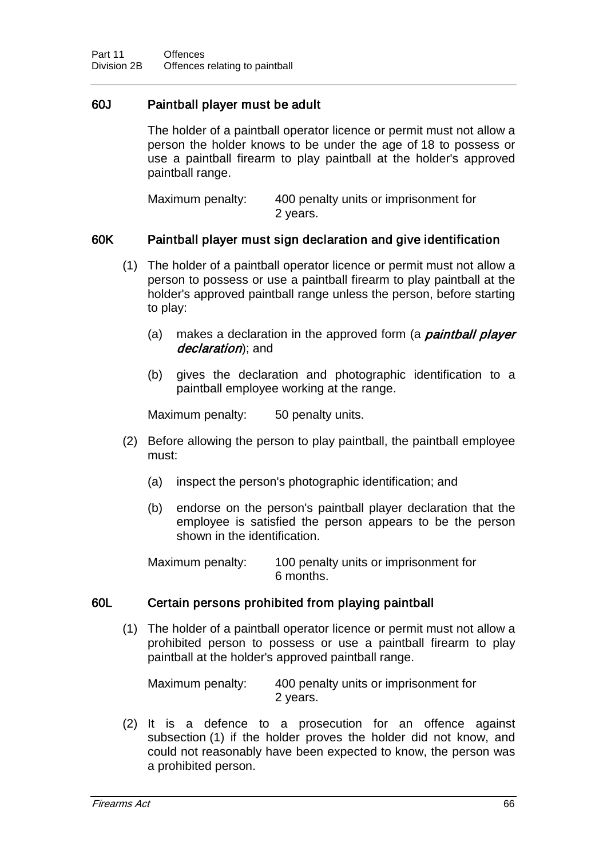## 60J Paintball player must be adult

The holder of a paintball operator licence or permit must not allow a person the holder knows to be under the age of 18 to possess or use a paintball firearm to play paintball at the holder's approved paintball range.

| Maximum penalty: | 400 penalty units or imprisonment for |
|------------------|---------------------------------------|
|                  | 2 years.                              |

### 60K Paintball player must sign declaration and give identification

- (1) The holder of a paintball operator licence or permit must not allow a person to possess or use a paintball firearm to play paintball at the holder's approved paintball range unless the person, before starting to play:
	- (a) makes a declaration in the approved form (a *paintball player* declaration); and
	- (b) gives the declaration and photographic identification to a paintball employee working at the range.

Maximum penalty: 50 penalty units.

- (2) Before allowing the person to play paintball, the paintball employee must:
	- (a) inspect the person's photographic identification; and
	- (b) endorse on the person's paintball player declaration that the employee is satisfied the person appears to be the person shown in the identification.

Maximum penalty: 100 penalty units or imprisonment for 6 months.

#### 60L Certain persons prohibited from playing paintball

(1) The holder of a paintball operator licence or permit must not allow a prohibited person to possess or use a paintball firearm to play paintball at the holder's approved paintball range.

Maximum penalty: 400 penalty units or imprisonment for 2 years.

(2) It is a defence to a prosecution for an offence against subsection (1) if the holder proves the holder did not know, and could not reasonably have been expected to know, the person was a prohibited person.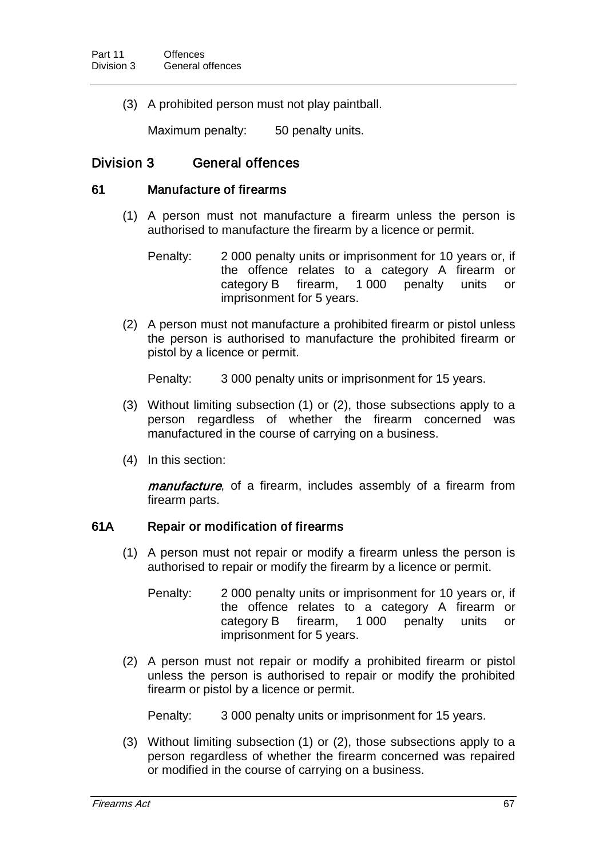(3) A prohibited person must not play paintball.

Maximum penalty: 50 penalty units.

## Division 3 General offences

#### 61 Manufacture of firearms

- (1) A person must not manufacture a firearm unless the person is authorised to manufacture the firearm by a licence or permit.
	- Penalty: 2 000 penalty units or imprisonment for 10 years or, if the offence relates to a category A firearm or category B firearm, 1 000 penalty units or imprisonment for 5 years.
- (2) A person must not manufacture a prohibited firearm or pistol unless the person is authorised to manufacture the prohibited firearm or pistol by a licence or permit.

Penalty: 3 000 penalty units or imprisonment for 15 years.

- (3) Without limiting subsection (1) or (2), those subsections apply to a person regardless of whether the firearm concerned was manufactured in the course of carrying on a business.
- (4) In this section:

manufacture, of a firearm, includes assembly of a firearm from firearm parts.

#### 61A Repair or modification of firearms

- (1) A person must not repair or modify a firearm unless the person is authorised to repair or modify the firearm by a licence or permit.
	- Penalty: 2 000 penalty units or imprisonment for 10 years or, if the offence relates to a category A firearm or<br>category B firearm, 1000 penalty units or category B firearm, 1 000 penalty units or imprisonment for 5 years.
- (2) A person must not repair or modify a prohibited firearm or pistol unless the person is authorised to repair or modify the prohibited firearm or pistol by a licence or permit.

Penalty: 3 000 penalty units or imprisonment for 15 years.

(3) Without limiting subsection (1) or (2), those subsections apply to a person regardless of whether the firearm concerned was repaired or modified in the course of carrying on a business.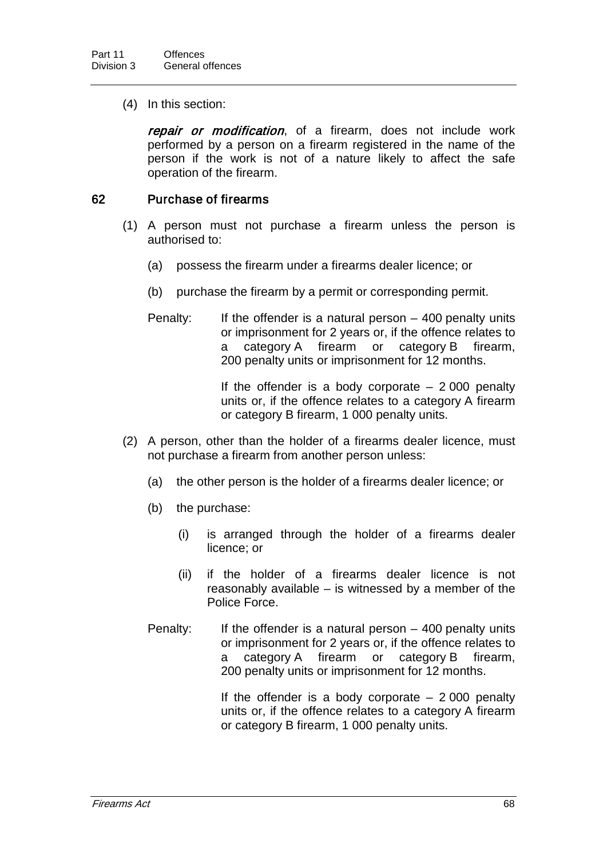(4) In this section:

repair or modification, of a firearm, does not include work performed by a person on a firearm registered in the name of the person if the work is not of a nature likely to affect the safe operation of the firearm.

### 62 Purchase of firearms

- (1) A person must not purchase a firearm unless the person is authorised to:
	- (a) possess the firearm under a firearms dealer licence; or
	- (b) purchase the firearm by a permit or corresponding permit.
	- Penalty: If the offender is a natural person  $-$  400 penalty units or imprisonment for 2 years or, if the offence relates to a category A firearm or category B firearm, 200 penalty units or imprisonment for 12 months.

If the offender is a body corporate  $-2000$  penalty units or, if the offence relates to a category A firearm or category B firearm, 1 000 penalty units.

- (2) A person, other than the holder of a firearms dealer licence, must not purchase a firearm from another person unless:
	- (a) the other person is the holder of a firearms dealer licence; or
	- (b) the purchase:
		- (i) is arranged through the holder of a firearms dealer licence; or
		- (ii) if the holder of a firearms dealer licence is not reasonably available – is witnessed by a member of the Police Force.
	- Penalty: If the offender is a natural person 400 penalty units or imprisonment for 2 years or, if the offence relates to a category A firearm or category B firearm, 200 penalty units or imprisonment for 12 months.

If the offender is a body corporate  $-2000$  penalty units or, if the offence relates to a category A firearm or category B firearm, 1 000 penalty units.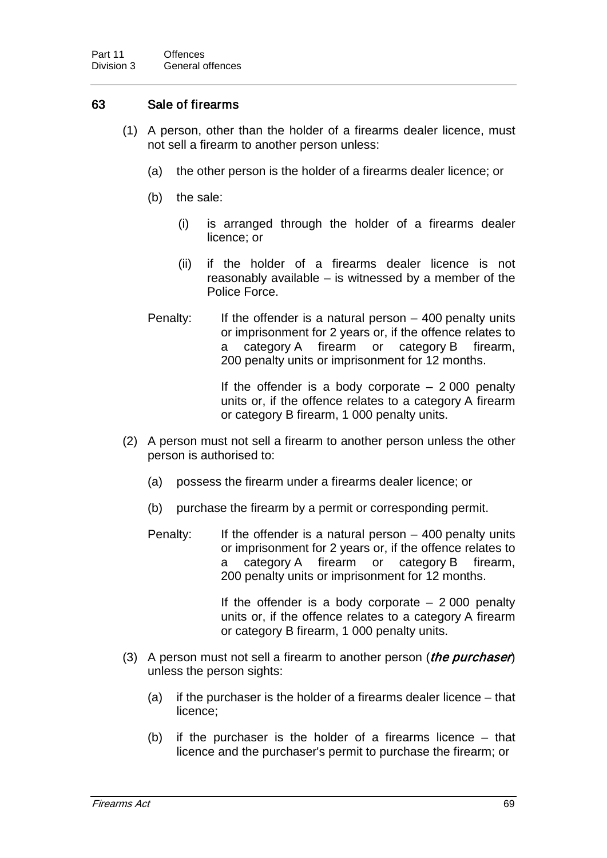## 63 Sale of firearms

- (1) A person, other than the holder of a firearms dealer licence, must not sell a firearm to another person unless:
	- (a) the other person is the holder of a firearms dealer licence; or
	- (b) the sale:
		- (i) is arranged through the holder of a firearms dealer licence; or
		- (ii) if the holder of a firearms dealer licence is not reasonably available – is witnessed by a member of the Police Force.
	- Penalty: If the offender is a natural person  $-$  400 penalty units or imprisonment for 2 years or, if the offence relates to a category A firearm or category B firearm, 200 penalty units or imprisonment for 12 months.

If the offender is a body corporate  $-2000$  penalty units or, if the offence relates to a category A firearm or category B firearm, 1 000 penalty units.

- (2) A person must not sell a firearm to another person unless the other person is authorised to:
	- (a) possess the firearm under a firearms dealer licence; or
	- (b) purchase the firearm by a permit or corresponding permit.
	- Penalty: If the offender is a natural person  $-$  400 penalty units or imprisonment for 2 years or, if the offence relates to a category A firearm or category B firearm, 200 penalty units or imprisonment for 12 months.

If the offender is a body corporate  $-2000$  penalty units or, if the offence relates to a category A firearm or category B firearm, 1 000 penalty units.

- (3) A person must not sell a firearm to another person (*the purchaser*) unless the person sights:
	- (a) if the purchaser is the holder of a firearms dealer licence that licence;
	- (b) if the purchaser is the holder of a firearms licence that licence and the purchaser's permit to purchase the firearm; or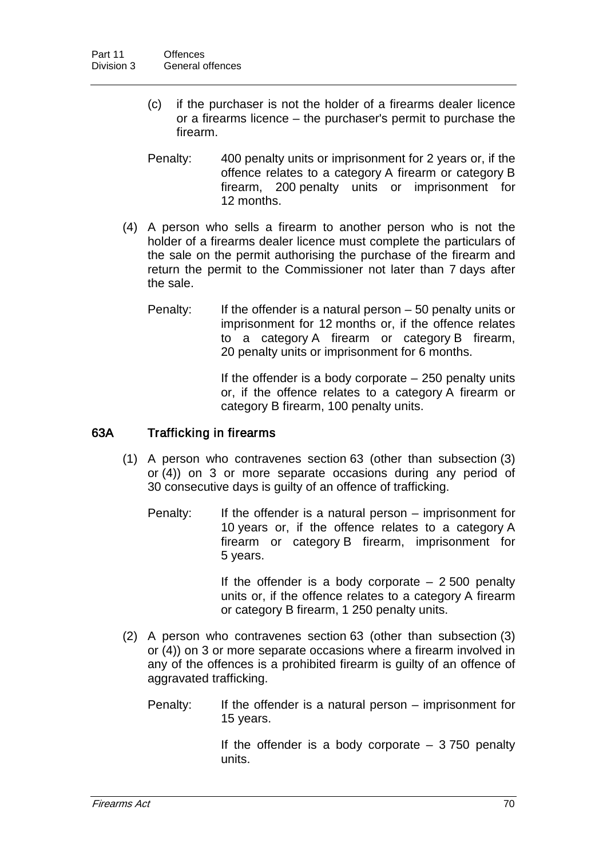- (c) if the purchaser is not the holder of a firearms dealer licence or a firearms licence – the purchaser's permit to purchase the firearm.
- Penalty: 400 penalty units or imprisonment for 2 years or, if the offence relates to a category A firearm or category B firearm, 200 penalty units or imprisonment for 12 months.
- (4) A person who sells a firearm to another person who is not the holder of a firearms dealer licence must complete the particulars of the sale on the permit authorising the purchase of the firearm and return the permit to the Commissioner not later than 7 days after the sale.
	- Penalty: If the offender is a natural person  $-50$  penalty units or imprisonment for 12 months or, if the offence relates to a category A firearm or category B firearm, 20 penalty units or imprisonment for 6 months.

If the offender is a body corporate  $-250$  penalty units or, if the offence relates to a category A firearm or category B firearm, 100 penalty units.

#### 63A Trafficking in firearms

- (1) A person who contravenes section 63 (other than subsection (3) or (4)) on 3 or more separate occasions during any period of 30 consecutive days is guilty of an offence of trafficking.
	- Penalty: If the offender is a natural person imprisonment for 10 years or, if the offence relates to a category A firearm or category B firearm, imprisonment for 5 years.

If the offender is a body corporate  $-2500$  penalty units or, if the offence relates to a category A firearm or category B firearm, 1 250 penalty units.

- (2) A person who contravenes section 63 (other than subsection (3) or (4)) on 3 or more separate occasions where a firearm involved in any of the offences is a prohibited firearm is guilty of an offence of aggravated trafficking.
	- Penalty: If the offender is a natural person imprisonment for 15 years.

If the offender is a body corporate  $-3750$  penalty units.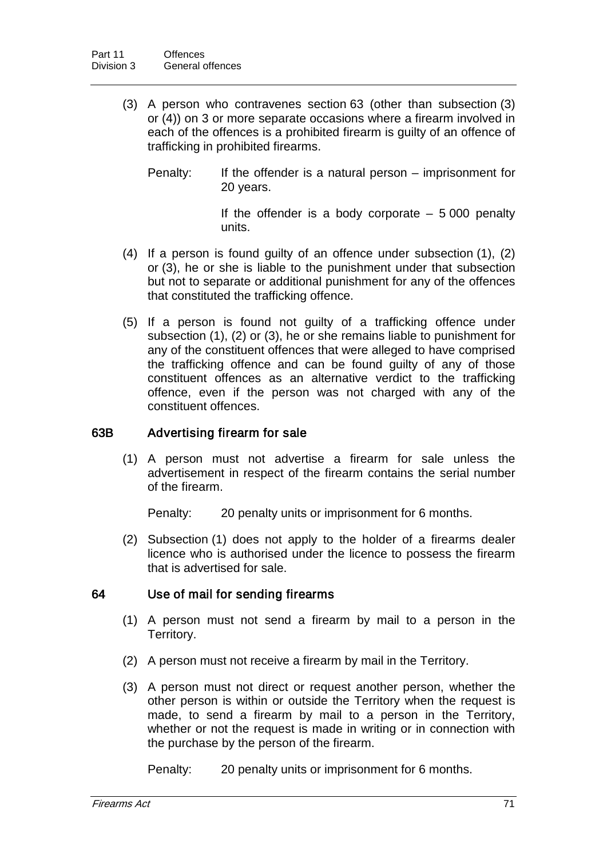- (3) A person who contravenes section 63 (other than subsection (3) or (4)) on 3 or more separate occasions where a firearm involved in each of the offences is a prohibited firearm is guilty of an offence of trafficking in prohibited firearms.
	- Penalty: If the offender is a natural person imprisonment for 20 years.

If the offender is a body corporate  $-5000$  penalty units.

- (4) If a person is found guilty of an offence under subsection (1), (2) or (3), he or she is liable to the punishment under that subsection but not to separate or additional punishment for any of the offences that constituted the trafficking offence.
- (5) If a person is found not guilty of a trafficking offence under subsection (1), (2) or (3), he or she remains liable to punishment for any of the constituent offences that were alleged to have comprised the trafficking offence and can be found guilty of any of those constituent offences as an alternative verdict to the trafficking offence, even if the person was not charged with any of the constituent offences.

#### 63B Advertising firearm for sale

(1) A person must not advertise a firearm for sale unless the advertisement in respect of the firearm contains the serial number of the firearm.

Penalty: 20 penalty units or imprisonment for 6 months.

(2) Subsection (1) does not apply to the holder of a firearms dealer licence who is authorised under the licence to possess the firearm that is advertised for sale.

## 64 Use of mail for sending firearms

- (1) A person must not send a firearm by mail to a person in the Territory.
- (2) A person must not receive a firearm by mail in the Territory.
- (3) A person must not direct or request another person, whether the other person is within or outside the Territory when the request is made, to send a firearm by mail to a person in the Territory, whether or not the request is made in writing or in connection with the purchase by the person of the firearm.

Penalty: 20 penalty units or imprisonment for 6 months.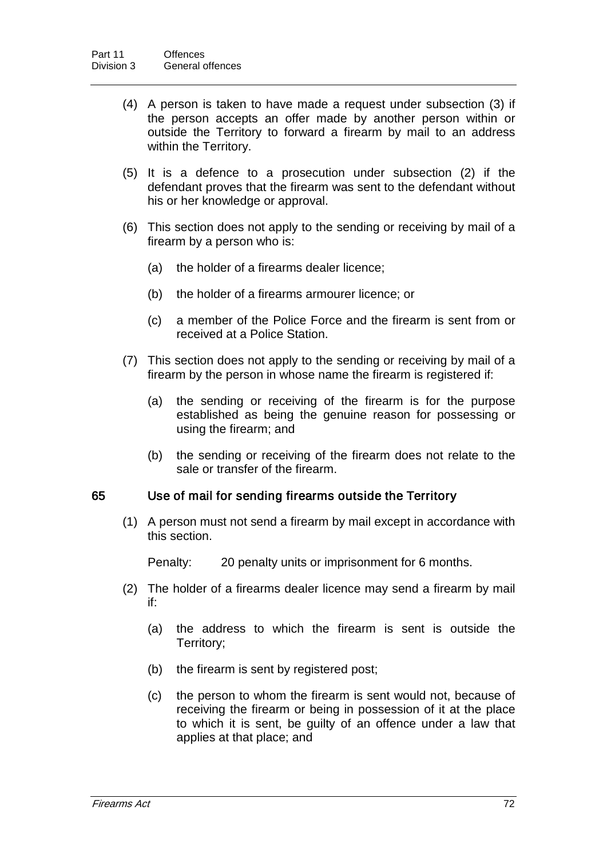- (4) A person is taken to have made a request under subsection (3) if the person accepts an offer made by another person within or outside the Territory to forward a firearm by mail to an address within the Territory.
- (5) It is a defence to a prosecution under subsection (2) if the defendant proves that the firearm was sent to the defendant without his or her knowledge or approval.
- (6) This section does not apply to the sending or receiving by mail of a firearm by a person who is:
	- (a) the holder of a firearms dealer licence;
	- (b) the holder of a firearms armourer licence; or
	- (c) a member of the Police Force and the firearm is sent from or received at a Police Station.
- (7) This section does not apply to the sending or receiving by mail of a firearm by the person in whose name the firearm is registered if:
	- (a) the sending or receiving of the firearm is for the purpose established as being the genuine reason for possessing or using the firearm; and
	- (b) the sending or receiving of the firearm does not relate to the sale or transfer of the firearm.

#### 65 Use of mail for sending firearms outside the Territory

(1) A person must not send a firearm by mail except in accordance with this section.

Penalty: 20 penalty units or imprisonment for 6 months.

- (2) The holder of a firearms dealer licence may send a firearm by mail if:
	- (a) the address to which the firearm is sent is outside the Territory;
	- (b) the firearm is sent by registered post;
	- (c) the person to whom the firearm is sent would not, because of receiving the firearm or being in possession of it at the place to which it is sent, be guilty of an offence under a law that applies at that place; and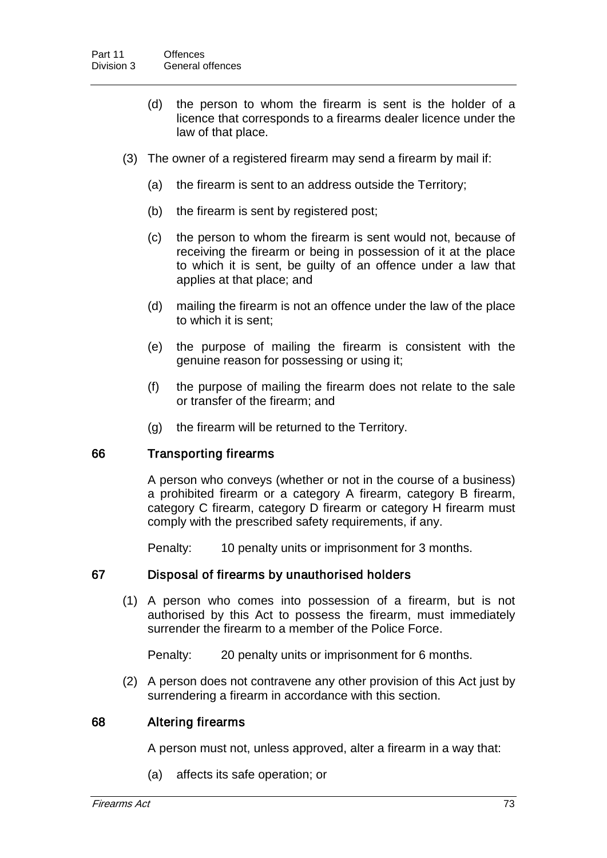- (d) the person to whom the firearm is sent is the holder of a licence that corresponds to a firearms dealer licence under the law of that place.
- (3) The owner of a registered firearm may send a firearm by mail if:
	- (a) the firearm is sent to an address outside the Territory;
	- (b) the firearm is sent by registered post;
	- (c) the person to whom the firearm is sent would not, because of receiving the firearm or being in possession of it at the place to which it is sent, be guilty of an offence under a law that applies at that place; and
	- (d) mailing the firearm is not an offence under the law of the place to which it is sent;
	- (e) the purpose of mailing the firearm is consistent with the genuine reason for possessing or using it;
	- (f) the purpose of mailing the firearm does not relate to the sale or transfer of the firearm; and
	- (g) the firearm will be returned to the Territory.

#### 66 Transporting firearms

A person who conveys (whether or not in the course of a business) a prohibited firearm or a category A firearm, category B firearm, category C firearm, category D firearm or category H firearm must comply with the prescribed safety requirements, if any.

Penalty: 10 penalty units or imprisonment for 3 months.

#### 67 Disposal of firearms by unauthorised holders

(1) A person who comes into possession of a firearm, but is not authorised by this Act to possess the firearm, must immediately surrender the firearm to a member of the Police Force.

Penalty: 20 penalty units or imprisonment for 6 months.

(2) A person does not contravene any other provision of this Act just by surrendering a firearm in accordance with this section.

#### 68 Altering firearms

A person must not, unless approved, alter a firearm in a way that:

(a) affects its safe operation; or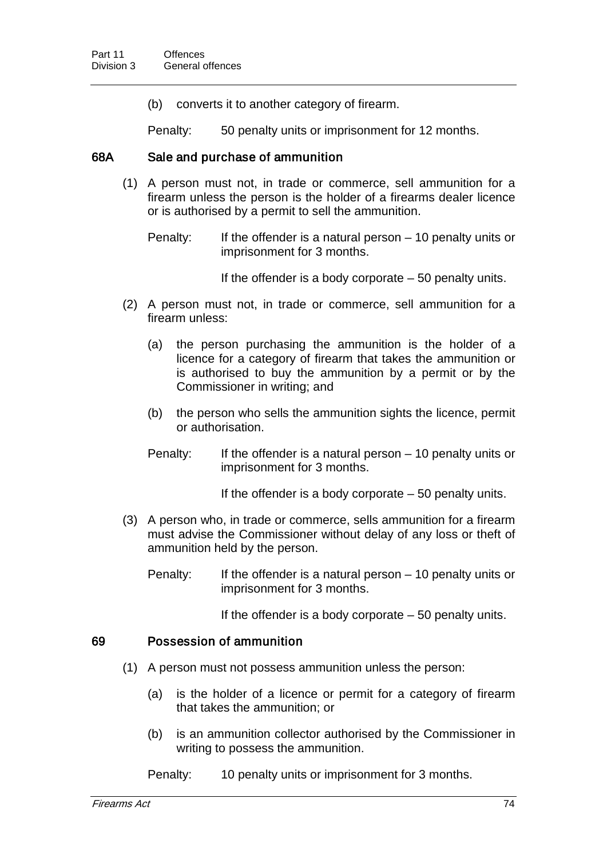(b) converts it to another category of firearm.

Penalty: 50 penalty units or imprisonment for 12 months.

#### 68A Sale and purchase of ammunition

(1) A person must not, in trade or commerce, sell ammunition for a firearm unless the person is the holder of a firearms dealer licence or is authorised by a permit to sell the ammunition.

Penalty: If the offender is a natural person – 10 penalty units or imprisonment for 3 months.

If the offender is a body corporate  $-50$  penalty units.

- (2) A person must not, in trade or commerce, sell ammunition for a firearm unless:
	- (a) the person purchasing the ammunition is the holder of a licence for a category of firearm that takes the ammunition or is authorised to buy the ammunition by a permit or by the Commissioner in writing; and
	- (b) the person who sells the ammunition sights the licence, permit or authorisation.
	- Penalty: If the offender is a natural person  $-10$  penalty units or imprisonment for 3 months.

If the offender is a body corporate – 50 penalty units.

- (3) A person who, in trade or commerce, sells ammunition for a firearm must advise the Commissioner without delay of any loss or theft of ammunition held by the person.
	- Penalty: If the offender is a natural person 10 penalty units or imprisonment for 3 months.

If the offender is a body corporate  $-50$  penalty units.

#### 69 Possession of ammunition

- (1) A person must not possess ammunition unless the person:
	- (a) is the holder of a licence or permit for a category of firearm that takes the ammunition; or
	- (b) is an ammunition collector authorised by the Commissioner in writing to possess the ammunition.

Penalty: 10 penalty units or imprisonment for 3 months.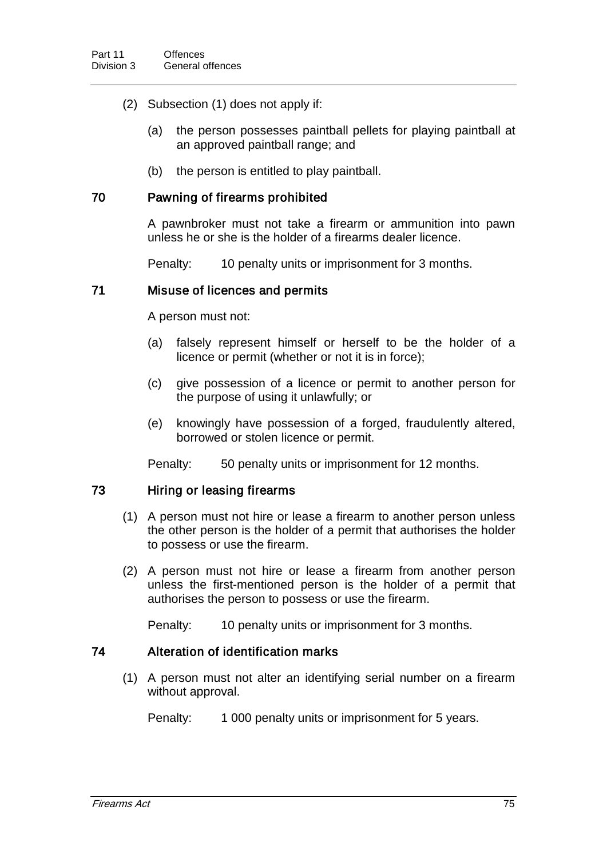- (2) Subsection (1) does not apply if:
	- (a) the person possesses paintball pellets for playing paintball at an approved paintball range; and
	- (b) the person is entitled to play paintball.

### 70 Pawning of firearms prohibited

A pawnbroker must not take a firearm or ammunition into pawn unless he or she is the holder of a firearms dealer licence.

Penalty: 10 penalty units or imprisonment for 3 months.

### 71 Misuse of licences and permits

A person must not:

- (a) falsely represent himself or herself to be the holder of a licence or permit (whether or not it is in force);
- (c) give possession of a licence or permit to another person for the purpose of using it unlawfully; or
- (e) knowingly have possession of a forged, fraudulently altered, borrowed or stolen licence or permit.

Penalty: 50 penalty units or imprisonment for 12 months.

#### 73 Hiring or leasing firearms

- (1) A person must not hire or lease a firearm to another person unless the other person is the holder of a permit that authorises the holder to possess or use the firearm.
- (2) A person must not hire or lease a firearm from another person unless the first-mentioned person is the holder of a permit that authorises the person to possess or use the firearm.

Penalty: 10 penalty units or imprisonment for 3 months.

#### 74 Alteration of identification marks

(1) A person must not alter an identifying serial number on a firearm without approval.

Penalty: 1 000 penalty units or imprisonment for 5 years.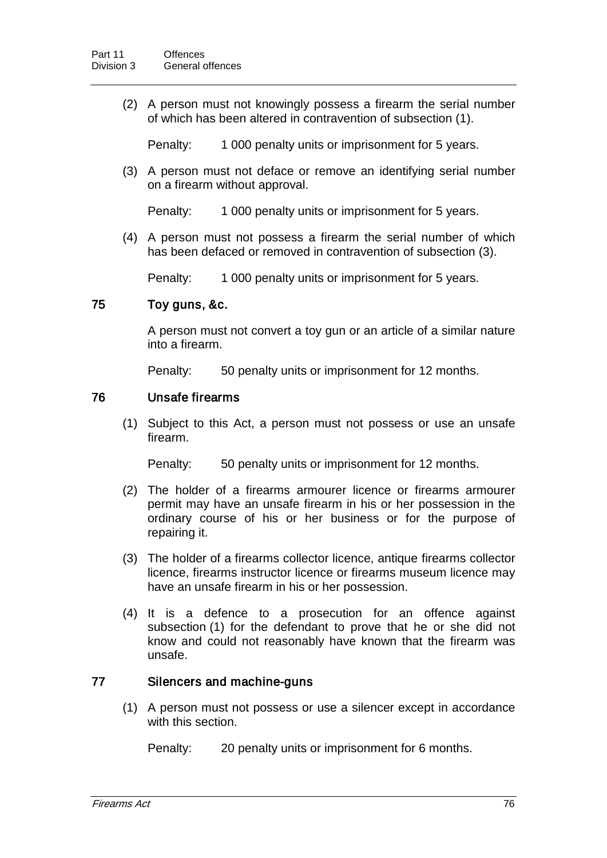(2) A person must not knowingly possess a firearm the serial number of which has been altered in contravention of subsection (1).

Penalty: 1 000 penalty units or imprisonment for 5 years.

(3) A person must not deface or remove an identifying serial number on a firearm without approval.

Penalty: 1 000 penalty units or imprisonment for 5 years.

(4) A person must not possess a firearm the serial number of which has been defaced or removed in contravention of subsection (3).

Penalty: 1 000 penalty units or imprisonment for 5 years.

### 75 Toy guns, &c.

A person must not convert a toy gun or an article of a similar nature into a firearm.

Penalty: 50 penalty units or imprisonment for 12 months.

### 76 Unsafe firearms

(1) Subject to this Act, a person must not possess or use an unsafe firearm.

Penalty: 50 penalty units or imprisonment for 12 months.

- (2) The holder of a firearms armourer licence or firearms armourer permit may have an unsafe firearm in his or her possession in the ordinary course of his or her business or for the purpose of repairing it.
- (3) The holder of a firearms collector licence, antique firearms collector licence, firearms instructor licence or firearms museum licence may have an unsafe firearm in his or her possession.
- (4) It is a defence to a prosecution for an offence against subsection (1) for the defendant to prove that he or she did not know and could not reasonably have known that the firearm was unsafe.

#### 77 Silencers and machine-guns

(1) A person must not possess or use a silencer except in accordance with this section.

Penalty: 20 penalty units or imprisonment for 6 months.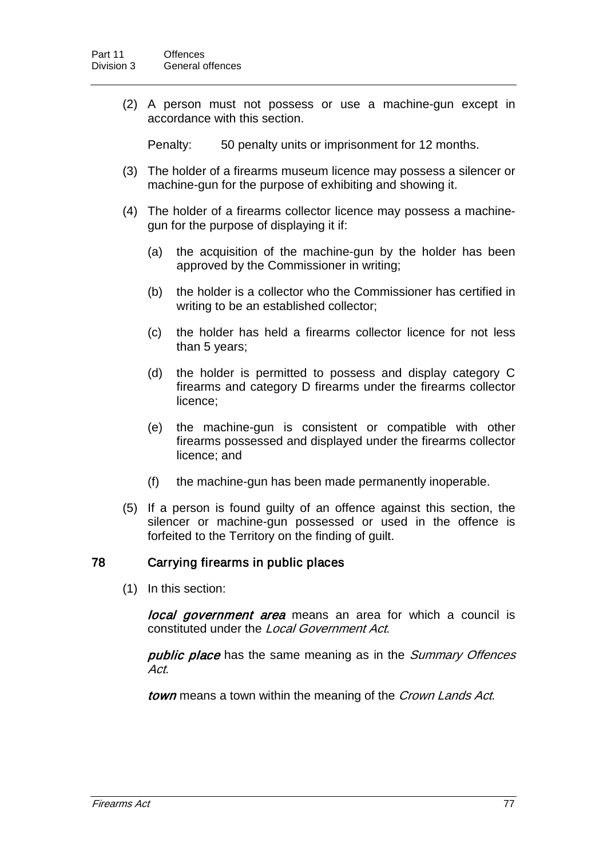(2) A person must not possess or use a machine-gun except in accordance with this section.

Penalty: 50 penalty units or imprisonment for 12 months.

- (3) The holder of a firearms museum licence may possess a silencer or machine-gun for the purpose of exhibiting and showing it.
- (4) The holder of a firearms collector licence may possess a machinegun for the purpose of displaying it if:
	- (a) the acquisition of the machine-gun by the holder has been approved by the Commissioner in writing;
	- (b) the holder is a collector who the Commissioner has certified in writing to be an established collector;
	- (c) the holder has held a firearms collector licence for not less than 5 years;
	- (d) the holder is permitted to possess and display category C firearms and category D firearms under the firearms collector licence;
	- (e) the machine-gun is consistent or compatible with other firearms possessed and displayed under the firearms collector licence; and
	- (f) the machine-gun has been made permanently inoperable.
- (5) If a person is found guilty of an offence against this section, the silencer or machine-gun possessed or used in the offence is forfeited to the Territory on the finding of guilt.

## 78 Carrying firearms in public places

(1) In this section:

local government area means an area for which a council is constituted under the Local Government Act.

public place has the same meaning as in the Summary Offences Act.

town means a town within the meaning of the Crown Lands Act.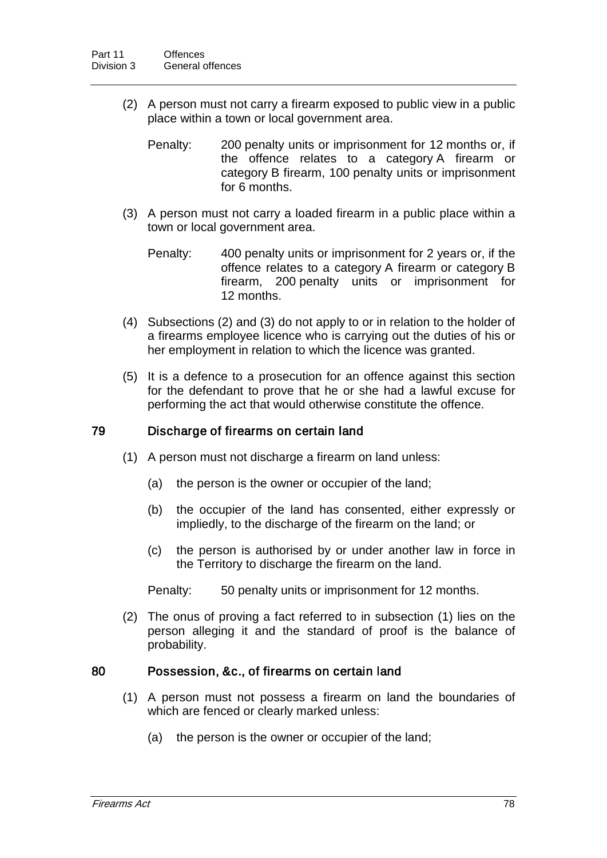- (2) A person must not carry a firearm exposed to public view in a public place within a town or local government area.
	- Penalty: 200 penalty units or imprisonment for 12 months or, if the offence relates to a category A firearm or category B firearm, 100 penalty units or imprisonment for 6 months.
- (3) A person must not carry a loaded firearm in a public place within a town or local government area.
	- Penalty: 400 penalty units or imprisonment for 2 years or, if the offence relates to a category A firearm or category B firearm, 200 penalty units or imprisonment for 12 months.
- (4) Subsections (2) and (3) do not apply to or in relation to the holder of a firearms employee licence who is carrying out the duties of his or her employment in relation to which the licence was granted.
- (5) It is a defence to a prosecution for an offence against this section for the defendant to prove that he or she had a lawful excuse for performing the act that would otherwise constitute the offence.

#### 79 Discharge of firearms on certain land

- (1) A person must not discharge a firearm on land unless:
	- (a) the person is the owner or occupier of the land;
	- (b) the occupier of the land has consented, either expressly or impliedly, to the discharge of the firearm on the land; or
	- (c) the person is authorised by or under another law in force in the Territory to discharge the firearm on the land.

Penalty: 50 penalty units or imprisonment for 12 months.

(2) The onus of proving a fact referred to in subsection (1) lies on the person alleging it and the standard of proof is the balance of probability.

#### 80 Possession, &c., of firearms on certain land

- (1) A person must not possess a firearm on land the boundaries of which are fenced or clearly marked unless:
	- (a) the person is the owner or occupier of the land;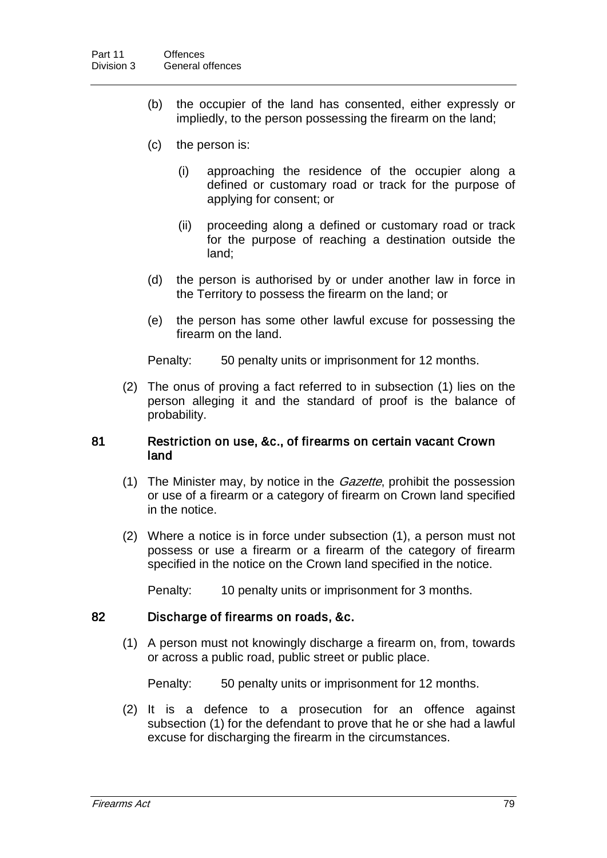- (b) the occupier of the land has consented, either expressly or impliedly, to the person possessing the firearm on the land;
- (c) the person is:
	- (i) approaching the residence of the occupier along a defined or customary road or track for the purpose of applying for consent; or
	- (ii) proceeding along a defined or customary road or track for the purpose of reaching a destination outside the land;
- (d) the person is authorised by or under another law in force in the Territory to possess the firearm on the land; or
- (e) the person has some other lawful excuse for possessing the firearm on the land.

Penalty: 50 penalty units or imprisonment for 12 months.

(2) The onus of proving a fact referred to in subsection (1) lies on the person alleging it and the standard of proof is the balance of probability.

#### 81 Restriction on use, &c., of firearms on certain vacant Crown land

- (1) The Minister may, by notice in the *Gazette*, prohibit the possession or use of a firearm or a category of firearm on Crown land specified in the notice.
- (2) Where a notice is in force under subsection (1), a person must not possess or use a firearm or a firearm of the category of firearm specified in the notice on the Crown land specified in the notice.

Penalty: 10 penalty units or imprisonment for 3 months.

#### 82 Discharge of firearms on roads, &c.

(1) A person must not knowingly discharge a firearm on, from, towards or across a public road, public street or public place.

Penalty: 50 penalty units or imprisonment for 12 months.

(2) It is a defence to a prosecution for an offence against subsection (1) for the defendant to prove that he or she had a lawful excuse for discharging the firearm in the circumstances.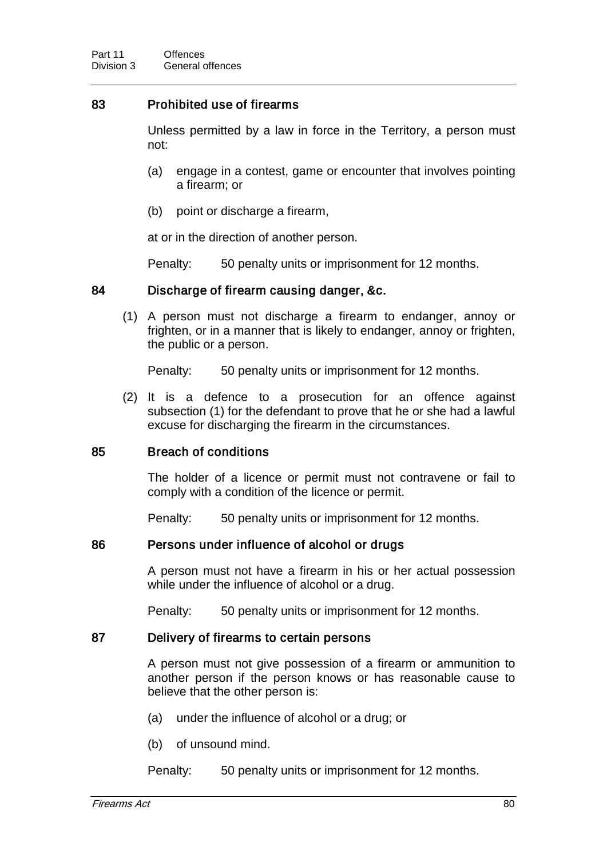## 83 Prohibited use of firearms

Unless permitted by a law in force in the Territory, a person must not:

- (a) engage in a contest, game or encounter that involves pointing a firearm; or
- (b) point or discharge a firearm,

at or in the direction of another person.

Penalty: 50 penalty units or imprisonment for 12 months.

### 84 Discharge of firearm causing danger, &c.

(1) A person must not discharge a firearm to endanger, annoy or frighten, or in a manner that is likely to endanger, annoy or frighten, the public or a person.

Penalty: 50 penalty units or imprisonment for 12 months.

(2) It is a defence to a prosecution for an offence against subsection (1) for the defendant to prove that he or she had a lawful excuse for discharging the firearm in the circumstances.

#### 85 Breach of conditions

The holder of a licence or permit must not contravene or fail to comply with a condition of the licence or permit.

Penalty: 50 penalty units or imprisonment for 12 months.

#### 86 Persons under influence of alcohol or drugs

A person must not have a firearm in his or her actual possession while under the influence of alcohol or a drug.

Penalty: 50 penalty units or imprisonment for 12 months.

### 87 Delivery of firearms to certain persons

A person must not give possession of a firearm or ammunition to another person if the person knows or has reasonable cause to believe that the other person is:

- (a) under the influence of alcohol or a drug; or
- (b) of unsound mind.

Penalty: 50 penalty units or imprisonment for 12 months.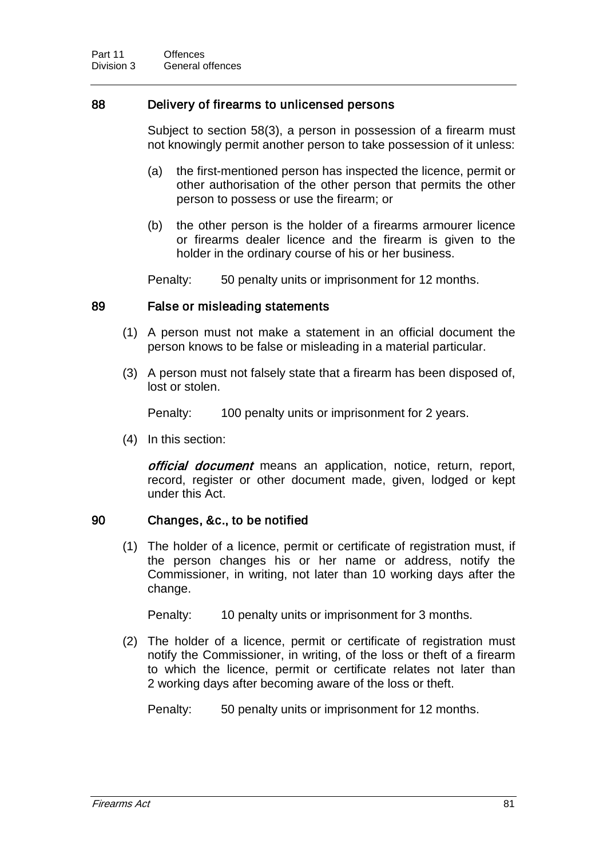### 88 Delivery of firearms to unlicensed persons

Subject to section 58(3), a person in possession of a firearm must not knowingly permit another person to take possession of it unless:

- (a) the first-mentioned person has inspected the licence, permit or other authorisation of the other person that permits the other person to possess or use the firearm; or
- (b) the other person is the holder of a firearms armourer licence or firearms dealer licence and the firearm is given to the holder in the ordinary course of his or her business.

Penalty: 50 penalty units or imprisonment for 12 months.

#### 89 False or misleading statements

- (1) A person must not make a statement in an official document the person knows to be false or misleading in a material particular.
- (3) A person must not falsely state that a firearm has been disposed of, lost or stolen.

Penalty: 100 penalty units or imprisonment for 2 years.

(4) In this section:

official document means an application, notice, return, report, record, register or other document made, given, lodged or kept under this Act.

#### 90 Changes, &c., to be notified

(1) The holder of a licence, permit or certificate of registration must, if the person changes his or her name or address, notify the Commissioner, in writing, not later than 10 working days after the change.

Penalty: 10 penalty units or imprisonment for 3 months.

(2) The holder of a licence, permit or certificate of registration must notify the Commissioner, in writing, of the loss or theft of a firearm to which the licence, permit or certificate relates not later than 2 working days after becoming aware of the loss or theft.

Penalty: 50 penalty units or imprisonment for 12 months.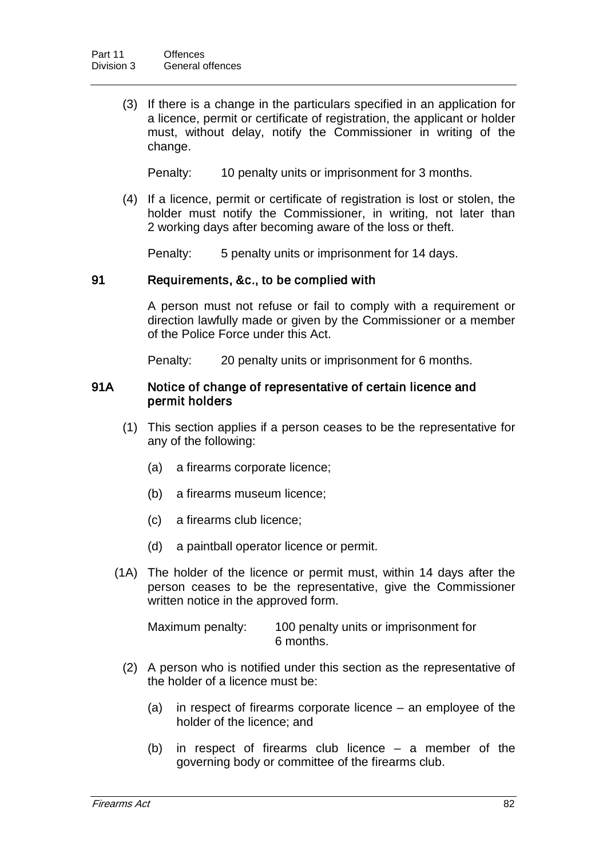(3) If there is a change in the particulars specified in an application for a licence, permit or certificate of registration, the applicant or holder must, without delay, notify the Commissioner in writing of the change.

Penalty: 10 penalty units or imprisonment for 3 months.

(4) If a licence, permit or certificate of registration is lost or stolen, the holder must notify the Commissioner, in writing, not later than 2 working days after becoming aware of the loss or theft.

Penalty: 5 penalty units or imprisonment for 14 days.

#### 91 Requirements, &c., to be complied with

A person must not refuse or fail to comply with a requirement or direction lawfully made or given by the Commissioner or a member of the Police Force under this Act.

Penalty: 20 penalty units or imprisonment for 6 months.

#### 91A Notice of change of representative of certain licence and permit holders

- (1) This section applies if a person ceases to be the representative for any of the following:
	- (a) a firearms corporate licence;
	- (b) a firearms museum licence;
	- (c) a firearms club licence;
	- (d) a paintball operator licence or permit.
- (1A) The holder of the licence or permit must, within 14 days after the person ceases to be the representative, give the Commissioner written notice in the approved form.

Maximum penalty: 100 penalty units or imprisonment for 6 months.

- (2) A person who is notified under this section as the representative of the holder of a licence must be:
	- (a) in respect of firearms corporate licence an employee of the holder of the licence; and
	- (b) in respect of firearms club licence a member of the governing body or committee of the firearms club.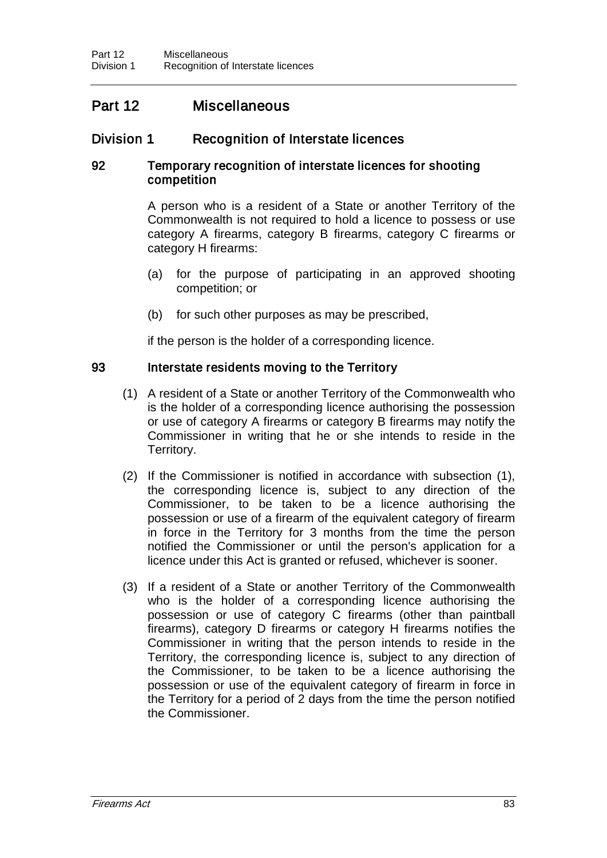# Part 12 Miscellaneous

# Division 1 Recognition of Interstate licences

### 92 Temporary recognition of interstate licences for shooting competition

A person who is a resident of a State or another Territory of the Commonwealth is not required to hold a licence to possess or use category A firearms, category B firearms, category C firearms or category H firearms:

- (a) for the purpose of participating in an approved shooting competition; or
- (b) for such other purposes as may be prescribed,

if the person is the holder of a corresponding licence.

#### 93 Interstate residents moving to the Territory

- (1) A resident of a State or another Territory of the Commonwealth who is the holder of a corresponding licence authorising the possession or use of category A firearms or category B firearms may notify the Commissioner in writing that he or she intends to reside in the Territory.
- (2) If the Commissioner is notified in accordance with subsection (1), the corresponding licence is, subject to any direction of the Commissioner, to be taken to be a licence authorising the possession or use of a firearm of the equivalent category of firearm in force in the Territory for 3 months from the time the person notified the Commissioner or until the person's application for a licence under this Act is granted or refused, whichever is sooner.
- (3) If a resident of a State or another Territory of the Commonwealth who is the holder of a corresponding licence authorising the possession or use of category C firearms (other than paintball firearms), category D firearms or category H firearms notifies the Commissioner in writing that the person intends to reside in the Territory, the corresponding licence is, subject to any direction of the Commissioner, to be taken to be a licence authorising the possession or use of the equivalent category of firearm in force in the Territory for a period of 2 days from the time the person notified the Commissioner.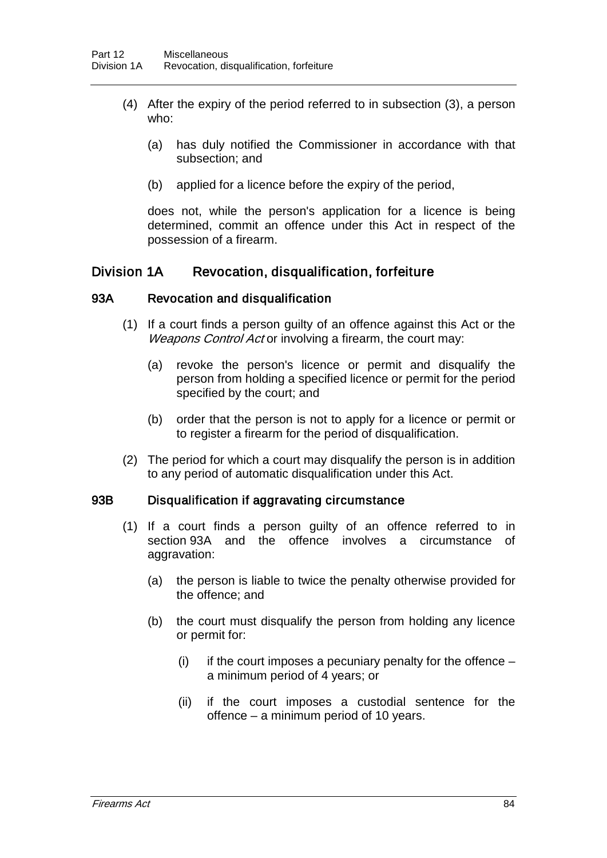- (4) After the expiry of the period referred to in subsection (3), a person who:
	- (a) has duly notified the Commissioner in accordance with that subsection; and
	- (b) applied for a licence before the expiry of the period,

does not, while the person's application for a licence is being determined, commit an offence under this Act in respect of the possession of a firearm.

## Division 1A Revocation, disqualification, forfeiture

#### 93A Revocation and disqualification

- (1) If a court finds a person guilty of an offence against this Act or the Weapons Control Act or involving a firearm, the court may:
	- (a) revoke the person's licence or permit and disqualify the person from holding a specified licence or permit for the period specified by the court; and
	- (b) order that the person is not to apply for a licence or permit or to register a firearm for the period of disqualification.
- (2) The period for which a court may disqualify the person is in addition to any period of automatic disqualification under this Act.

#### 93B Disqualification if aggravating circumstance

- (1) If a court finds a person guilty of an offence referred to in section 93A and the offence involves a circumstance of aggravation:
	- (a) the person is liable to twice the penalty otherwise provided for the offence; and
	- (b) the court must disqualify the person from holding any licence or permit for:
		- (i) if the court imposes a pecuniary penalty for the offence  $$ a minimum period of 4 years; or
		- (ii) if the court imposes a custodial sentence for the offence – a minimum period of 10 years.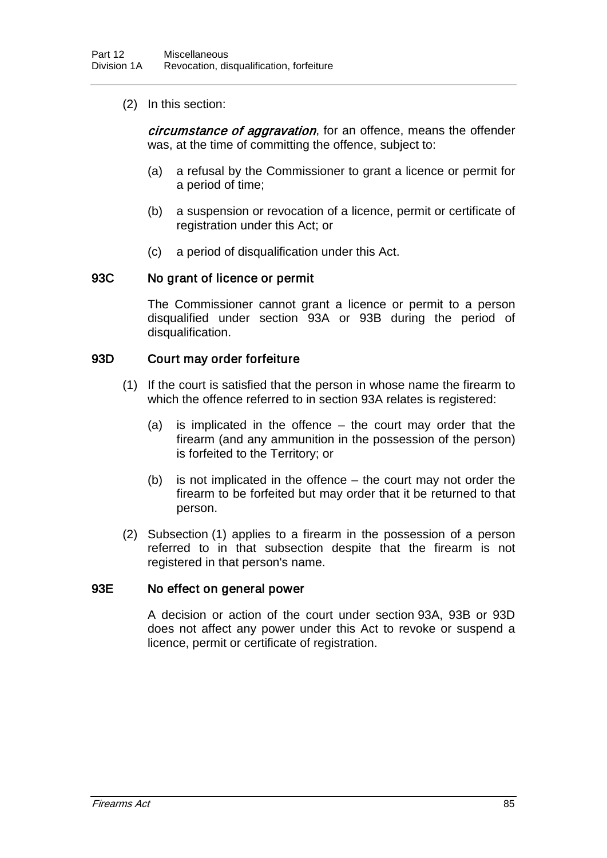(2) In this section:

circumstance of aggravation, for an offence, means the offender was, at the time of committing the offence, subject to:

- (a) a refusal by the Commissioner to grant a licence or permit for a period of time;
- (b) a suspension or revocation of a licence, permit or certificate of registration under this Act; or
- (c) a period of disqualification under this Act.

#### 93C No grant of licence or permit

The Commissioner cannot grant a licence or permit to a person disqualified under section 93A or 93B during the period of disqualification.

#### 93D Court may order forfeiture

- (1) If the court is satisfied that the person in whose name the firearm to which the offence referred to in section 93A relates is registered:
	- (a) is implicated in the offence the court may order that the firearm (and any ammunition in the possession of the person) is forfeited to the Territory; or
	- (b) is not implicated in the offence the court may not order the firearm to be forfeited but may order that it be returned to that person.
- (2) Subsection (1) applies to a firearm in the possession of a person referred to in that subsection despite that the firearm is not registered in that person's name.

#### 93E No effect on general power

A decision or action of the court under section 93A, 93B or 93D does not affect any power under this Act to revoke or suspend a licence, permit or certificate of registration.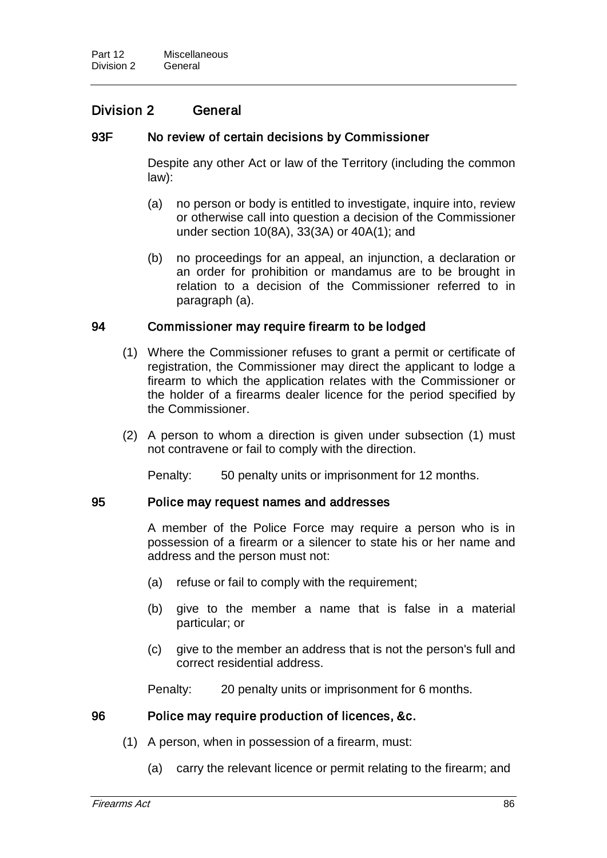## Division 2 General

### 93F No review of certain decisions by Commissioner

Despite any other Act or law of the Territory (including the common law):

- (a) no person or body is entitled to investigate, inquire into, review or otherwise call into question a decision of the Commissioner under section 10(8A), 33(3A) or 40A(1); and
- (b) no proceedings for an appeal, an injunction, a declaration or an order for prohibition or mandamus are to be brought in relation to a decision of the Commissioner referred to in paragraph (a).

### 94 Commissioner may require firearm to be lodged

- (1) Where the Commissioner refuses to grant a permit or certificate of registration, the Commissioner may direct the applicant to lodge a firearm to which the application relates with the Commissioner or the holder of a firearms dealer licence for the period specified by the Commissioner.
- (2) A person to whom a direction is given under subsection (1) must not contravene or fail to comply with the direction.

Penalty: 50 penalty units or imprisonment for 12 months.

#### 95 Police may request names and addresses

A member of the Police Force may require a person who is in possession of a firearm or a silencer to state his or her name and address and the person must not:

- (a) refuse or fail to comply with the requirement;
- (b) give to the member a name that is false in a material particular; or
- (c) give to the member an address that is not the person's full and correct residential address.

Penalty: 20 penalty units or imprisonment for 6 months.

#### 96 Police may require production of licences, &c.

- (1) A person, when in possession of a firearm, must:
	- (a) carry the relevant licence or permit relating to the firearm; and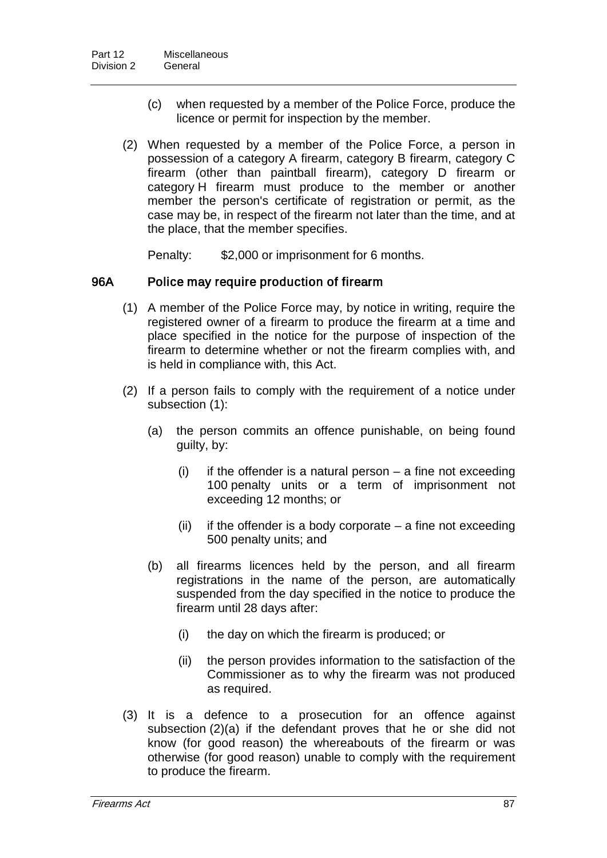- (c) when requested by a member of the Police Force, produce the licence or permit for inspection by the member.
- (2) When requested by a member of the Police Force, a person in possession of a category A firearm, category B firearm, category C firearm (other than paintball firearm), category D firearm or category H firearm must produce to the member or another member the person's certificate of registration or permit, as the case may be, in respect of the firearm not later than the time, and at the place, that the member specifies.

Penalty: \$2,000 or imprisonment for 6 months.

### 96A Police may require production of firearm

- (1) A member of the Police Force may, by notice in writing, require the registered owner of a firearm to produce the firearm at a time and place specified in the notice for the purpose of inspection of the firearm to determine whether or not the firearm complies with, and is held in compliance with, this Act.
- (2) If a person fails to comply with the requirement of a notice under subsection (1):
	- (a) the person commits an offence punishable, on being found guilty, by:
		- $(i)$  if the offender is a natural person a fine not exceeding 100 penalty units or a term of imprisonment not exceeding 12 months; or
		- (ii) if the offender is a body corporate  $-$  a fine not exceeding 500 penalty units; and
	- (b) all firearms licences held by the person, and all firearm registrations in the name of the person, are automatically suspended from the day specified in the notice to produce the firearm until 28 days after:
		- (i) the day on which the firearm is produced; or
		- (ii) the person provides information to the satisfaction of the Commissioner as to why the firearm was not produced as required.
- (3) It is a defence to a prosecution for an offence against subsection (2)(a) if the defendant proves that he or she did not know (for good reason) the whereabouts of the firearm or was otherwise (for good reason) unable to comply with the requirement to produce the firearm.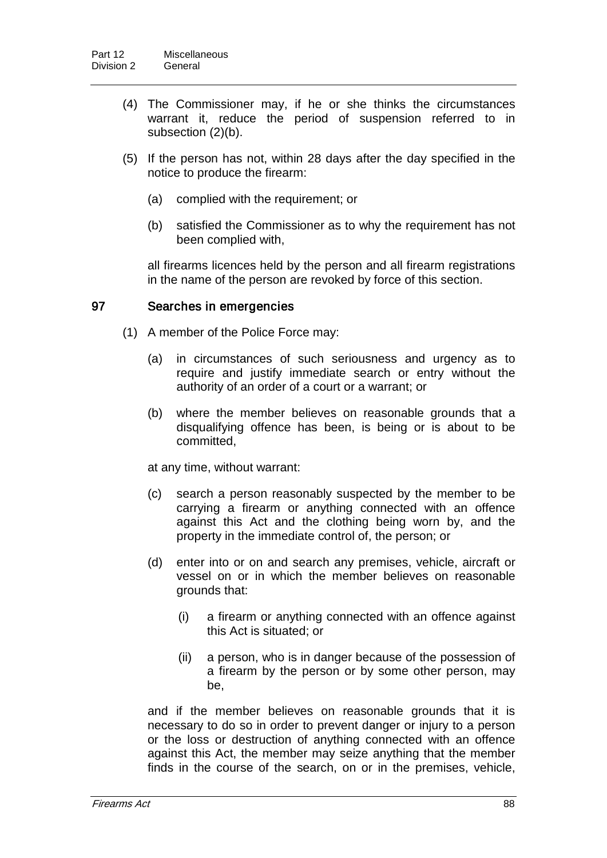- (4) The Commissioner may, if he or she thinks the circumstances warrant it, reduce the period of suspension referred to in subsection (2)(b).
- (5) If the person has not, within 28 days after the day specified in the notice to produce the firearm:
	- (a) complied with the requirement; or
	- (b) satisfied the Commissioner as to why the requirement has not been complied with,

all firearms licences held by the person and all firearm registrations in the name of the person are revoked by force of this section.

## 97 Searches in emergencies

- (1) A member of the Police Force may:
	- (a) in circumstances of such seriousness and urgency as to require and justify immediate search or entry without the authority of an order of a court or a warrant; or
	- (b) where the member believes on reasonable grounds that a disqualifying offence has been, is being or is about to be committed,

at any time, without warrant:

- (c) search a person reasonably suspected by the member to be carrying a firearm or anything connected with an offence against this Act and the clothing being worn by, and the property in the immediate control of, the person; or
- (d) enter into or on and search any premises, vehicle, aircraft or vessel on or in which the member believes on reasonable grounds that:
	- (i) a firearm or anything connected with an offence against this Act is situated; or
	- (ii) a person, who is in danger because of the possession of a firearm by the person or by some other person, may be,

and if the member believes on reasonable grounds that it is necessary to do so in order to prevent danger or injury to a person or the loss or destruction of anything connected with an offence against this Act, the member may seize anything that the member finds in the course of the search, on or in the premises, vehicle,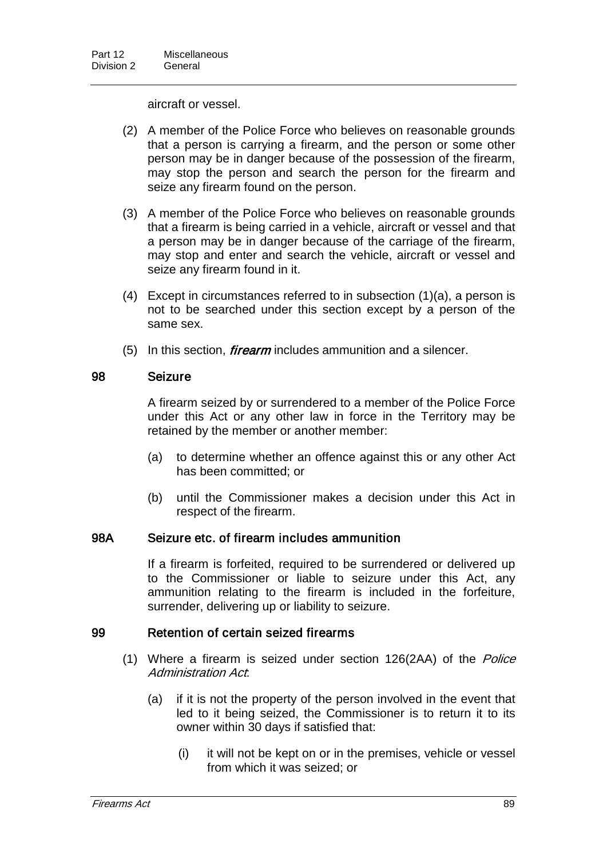aircraft or vessel.

- (2) A member of the Police Force who believes on reasonable grounds that a person is carrying a firearm, and the person or some other person may be in danger because of the possession of the firearm, may stop the person and search the person for the firearm and seize any firearm found on the person.
- (3) A member of the Police Force who believes on reasonable grounds that a firearm is being carried in a vehicle, aircraft or vessel and that a person may be in danger because of the carriage of the firearm, may stop and enter and search the vehicle, aircraft or vessel and seize any firearm found in it.
- (4) Except in circumstances referred to in subsection (1)(a), a person is not to be searched under this section except by a person of the same sex.
- $(5)$  In this section, *firearm* includes ammunition and a silencer.

## 98 Seizure

A firearm seized by or surrendered to a member of the Police Force under this Act or any other law in force in the Territory may be retained by the member or another member:

- (a) to determine whether an offence against this or any other Act has been committed; or
- (b) until the Commissioner makes a decision under this Act in respect of the firearm.

#### 98A Seizure etc. of firearm includes ammunition

If a firearm is forfeited, required to be surrendered or delivered up to the Commissioner or liable to seizure under this Act, any ammunition relating to the firearm is included in the forfeiture, surrender, delivering up or liability to seizure.

## 99 Retention of certain seized firearms

- (1) Where a firearm is seized under section 126(2AA) of the Police Administration Act:
	- (a) if it is not the property of the person involved in the event that led to it being seized, the Commissioner is to return it to its owner within 30 days if satisfied that:
		- (i) it will not be kept on or in the premises, vehicle or vessel from which it was seized; or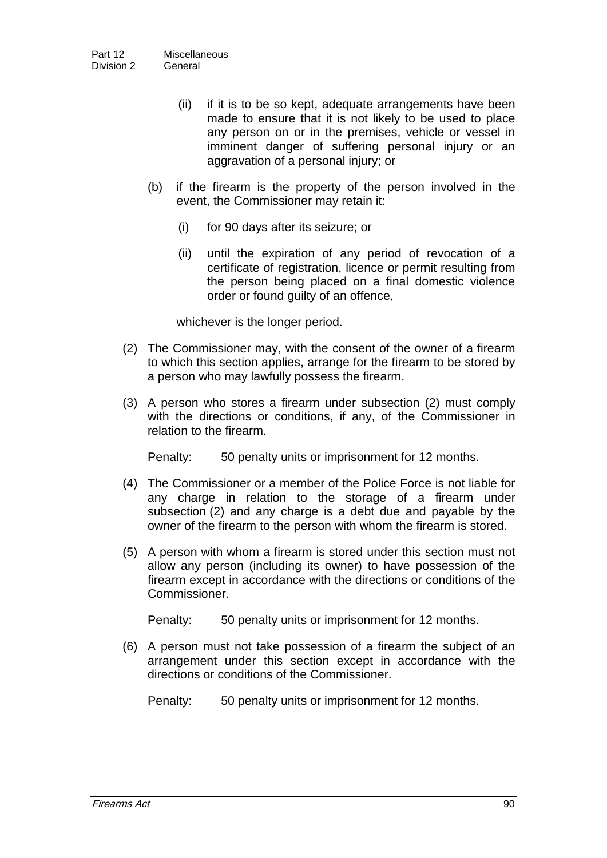- (ii) if it is to be so kept, adequate arrangements have been made to ensure that it is not likely to be used to place any person on or in the premises, vehicle or vessel in imminent danger of suffering personal injury or an aggravation of a personal injury; or
- (b) if the firearm is the property of the person involved in the event, the Commissioner may retain it:
	- (i) for 90 days after its seizure; or
	- (ii) until the expiration of any period of revocation of a certificate of registration, licence or permit resulting from the person being placed on a final domestic violence order or found guilty of an offence,

whichever is the longer period.

- (2) The Commissioner may, with the consent of the owner of a firearm to which this section applies, arrange for the firearm to be stored by a person who may lawfully possess the firearm.
- (3) A person who stores a firearm under subsection (2) must comply with the directions or conditions, if any, of the Commissioner in relation to the firearm.

Penalty: 50 penalty units or imprisonment for 12 months.

- (4) The Commissioner or a member of the Police Force is not liable for any charge in relation to the storage of a firearm under subsection (2) and any charge is a debt due and payable by the owner of the firearm to the person with whom the firearm is stored.
- (5) A person with whom a firearm is stored under this section must not allow any person (including its owner) to have possession of the firearm except in accordance with the directions or conditions of the Commissioner.

Penalty: 50 penalty units or imprisonment for 12 months.

(6) A person must not take possession of a firearm the subject of an arrangement under this section except in accordance with the directions or conditions of the Commissioner.

Penalty: 50 penalty units or imprisonment for 12 months.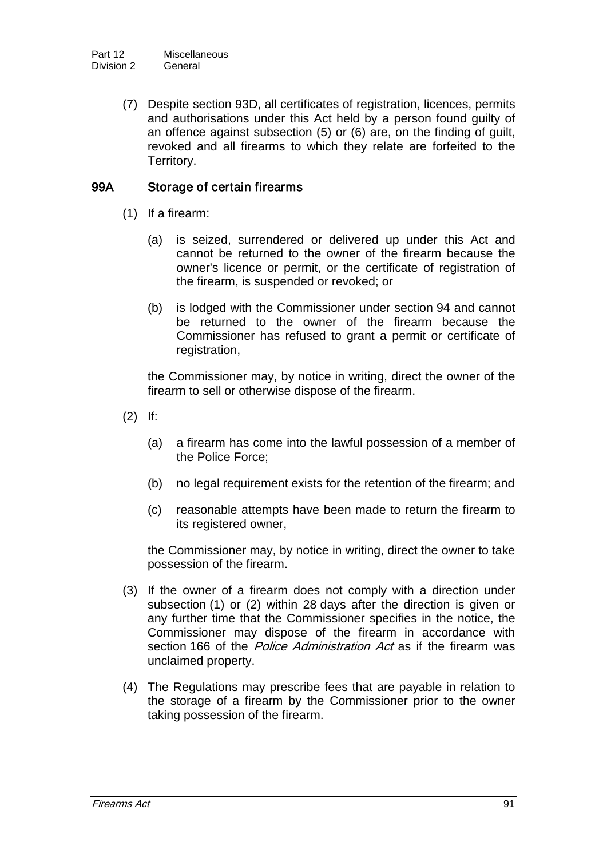(7) Despite section 93D, all certificates of registration, licences, permits and authorisations under this Act held by a person found guilty of an offence against subsection (5) or (6) are, on the finding of guilt, revoked and all firearms to which they relate are forfeited to the Territory.

## 99A Storage of certain firearms

- (1) If a firearm:
	- (a) is seized, surrendered or delivered up under this Act and cannot be returned to the owner of the firearm because the owner's licence or permit, or the certificate of registration of the firearm, is suspended or revoked; or
	- (b) is lodged with the Commissioner under section 94 and cannot be returned to the owner of the firearm because the Commissioner has refused to grant a permit or certificate of registration,

the Commissioner may, by notice in writing, direct the owner of the firearm to sell or otherwise dispose of the firearm.

- (2) If:
	- (a) a firearm has come into the lawful possession of a member of the Police Force;
	- (b) no legal requirement exists for the retention of the firearm; and
	- (c) reasonable attempts have been made to return the firearm to its registered owner,

the Commissioner may, by notice in writing, direct the owner to take possession of the firearm.

- (3) If the owner of a firearm does not comply with a direction under subsection (1) or (2) within 28 days after the direction is given or any further time that the Commissioner specifies in the notice, the Commissioner may dispose of the firearm in accordance with section 166 of the *Police Administration Act* as if the firearm was unclaimed property.
- (4) The Regulations may prescribe fees that are payable in relation to the storage of a firearm by the Commissioner prior to the owner taking possession of the firearm.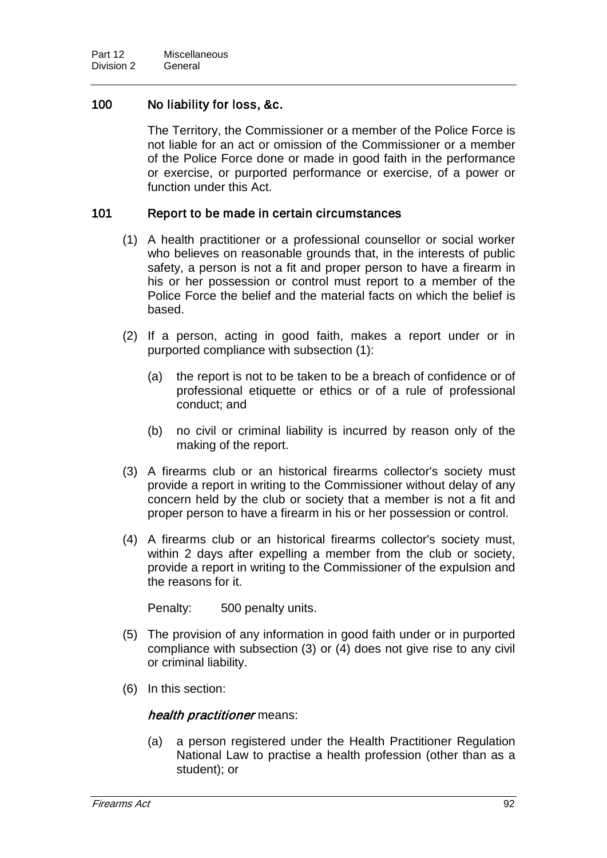## 100 No liability for loss, &c.

The Territory, the Commissioner or a member of the Police Force is not liable for an act or omission of the Commissioner or a member of the Police Force done or made in good faith in the performance or exercise, or purported performance or exercise, of a power or function under this Act.

### 101 Report to be made in certain circumstances

- (1) A health practitioner or a professional counsellor or social worker who believes on reasonable grounds that, in the interests of public safety, a person is not a fit and proper person to have a firearm in his or her possession or control must report to a member of the Police Force the belief and the material facts on which the belief is based.
- (2) If a person, acting in good faith, makes a report under or in purported compliance with subsection (1):
	- (a) the report is not to be taken to be a breach of confidence or of professional etiquette or ethics or of a rule of professional conduct; and
	- (b) no civil or criminal liability is incurred by reason only of the making of the report.
- (3) A firearms club or an historical firearms collector's society must provide a report in writing to the Commissioner without delay of any concern held by the club or society that a member is not a fit and proper person to have a firearm in his or her possession or control.
- (4) A firearms club or an historical firearms collector's society must, within 2 days after expelling a member from the club or society, provide a report in writing to the Commissioner of the expulsion and the reasons for it.

Penalty: 500 penalty units.

- (5) The provision of any information in good faith under or in purported compliance with subsection (3) or (4) does not give rise to any civil or criminal liability.
- (6) In this section:

#### health practitioner means:

(a) a person registered under the Health Practitioner Regulation National Law to practise a health profession (other than as a student); or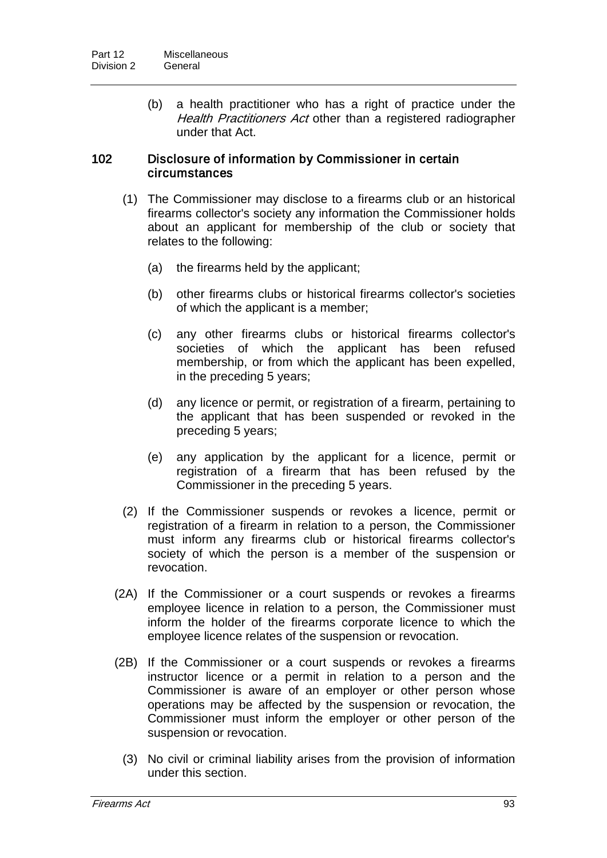(b) a health practitioner who has a right of practice under the Health Practitioners Act other than a registered radiographer under that Act.

### 102 Disclosure of information by Commissioner in certain circumstances

- (1) The Commissioner may disclose to a firearms club or an historical firearms collector's society any information the Commissioner holds about an applicant for membership of the club or society that relates to the following:
	- (a) the firearms held by the applicant;
	- (b) other firearms clubs or historical firearms collector's societies of which the applicant is a member;
	- (c) any other firearms clubs or historical firearms collector's societies of which the applicant has been refused membership, or from which the applicant has been expelled, in the preceding 5 years;
	- (d) any licence or permit, or registration of a firearm, pertaining to the applicant that has been suspended or revoked in the preceding 5 years;
	- (e) any application by the applicant for a licence, permit or registration of a firearm that has been refused by the Commissioner in the preceding 5 years.
- (2) If the Commissioner suspends or revokes a licence, permit or registration of a firearm in relation to a person, the Commissioner must inform any firearms club or historical firearms collector's society of which the person is a member of the suspension or revocation.
- (2A) If the Commissioner or a court suspends or revokes a firearms employee licence in relation to a person, the Commissioner must inform the holder of the firearms corporate licence to which the employee licence relates of the suspension or revocation.
- (2B) If the Commissioner or a court suspends or revokes a firearms instructor licence or a permit in relation to a person and the Commissioner is aware of an employer or other person whose operations may be affected by the suspension or revocation, the Commissioner must inform the employer or other person of the suspension or revocation.
	- (3) No civil or criminal liability arises from the provision of information under this section.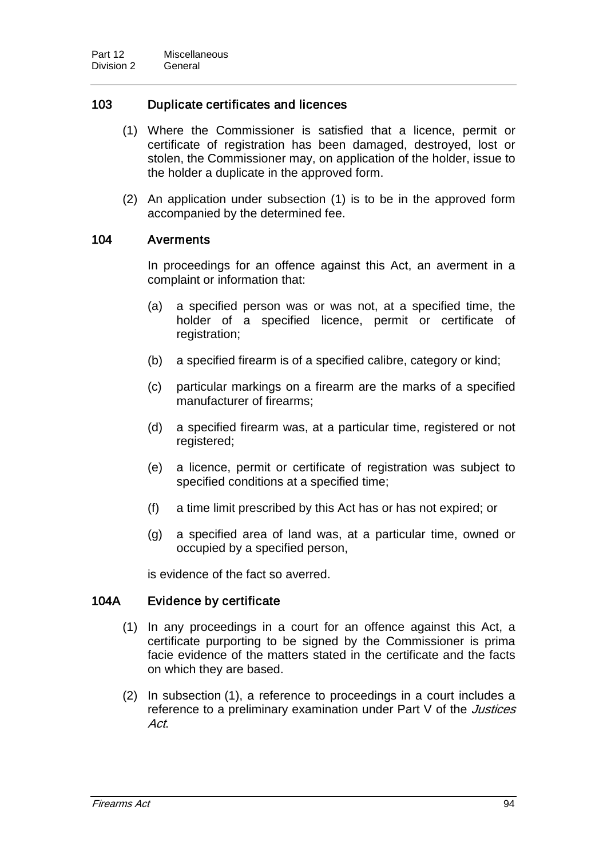## 103 Duplicate certificates and licences

- (1) Where the Commissioner is satisfied that a licence, permit or certificate of registration has been damaged, destroyed, lost or stolen, the Commissioner may, on application of the holder, issue to the holder a duplicate in the approved form.
- (2) An application under subsection (1) is to be in the approved form accompanied by the determined fee.

### 104 Averments

In proceedings for an offence against this Act, an averment in a complaint or information that:

- (a) a specified person was or was not, at a specified time, the holder of a specified licence, permit or certificate of registration;
- (b) a specified firearm is of a specified calibre, category or kind;
- (c) particular markings on a firearm are the marks of a specified manufacturer of firearms;
- (d) a specified firearm was, at a particular time, registered or not registered;
- (e) a licence, permit or certificate of registration was subject to specified conditions at a specified time;
- (f) a time limit prescribed by this Act has or has not expired; or
- (g) a specified area of land was, at a particular time, owned or occupied by a specified person,

is evidence of the fact so averred.

#### 104A Evidence by certificate

- (1) In any proceedings in a court for an offence against this Act, a certificate purporting to be signed by the Commissioner is prima facie evidence of the matters stated in the certificate and the facts on which they are based.
- (2) In subsection (1), a reference to proceedings in a court includes a reference to a preliminary examination under Part V of the *Justices* Act.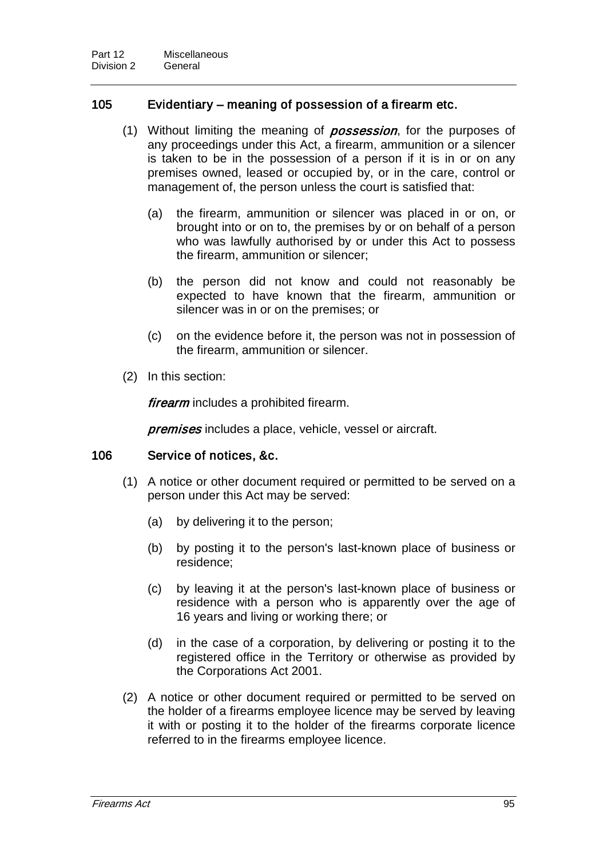### 105 Evidentiary – meaning of possession of a firearm etc.

- (1) Without limiting the meaning of *possession*, for the purposes of any proceedings under this Act, a firearm, ammunition or a silencer is taken to be in the possession of a person if it is in or on any premises owned, leased or occupied by, or in the care, control or management of, the person unless the court is satisfied that:
	- (a) the firearm, ammunition or silencer was placed in or on, or brought into or on to, the premises by or on behalf of a person who was lawfully authorised by or under this Act to possess the firearm, ammunition or silencer;
	- (b) the person did not know and could not reasonably be expected to have known that the firearm, ammunition or silencer was in or on the premises; or
	- (c) on the evidence before it, the person was not in possession of the firearm, ammunition or silencer.
- (2) In this section:

firearm includes a prohibited firearm.

**premises** includes a place, vehicle, vessel or aircraft.

#### 106 Service of notices, &c.

- (1) A notice or other document required or permitted to be served on a person under this Act may be served:
	- (a) by delivering it to the person;
	- (b) by posting it to the person's last-known place of business or residence;
	- (c) by leaving it at the person's last-known place of business or residence with a person who is apparently over the age of 16 years and living or working there; or
	- (d) in the case of a corporation, by delivering or posting it to the registered office in the Territory or otherwise as provided by the Corporations Act 2001.
- (2) A notice or other document required or permitted to be served on the holder of a firearms employee licence may be served by leaving it with or posting it to the holder of the firearms corporate licence referred to in the firearms employee licence.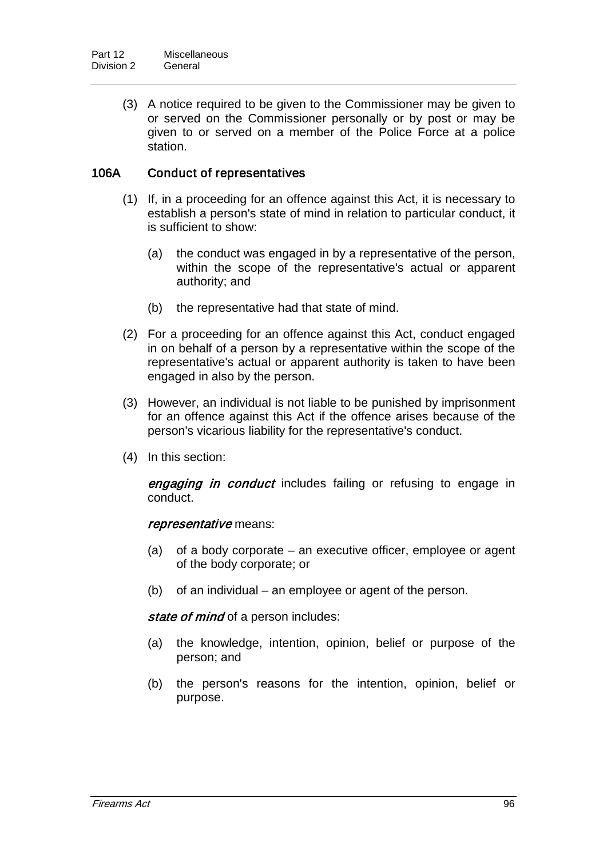(3) A notice required to be given to the Commissioner may be given to or served on the Commissioner personally or by post or may be given to or served on a member of the Police Force at a police station.

## 106A Conduct of representatives

- (1) If, in a proceeding for an offence against this Act, it is necessary to establish a person's state of mind in relation to particular conduct, it is sufficient to show:
	- (a) the conduct was engaged in by a representative of the person, within the scope of the representative's actual or apparent authority; and
	- (b) the representative had that state of mind.
- (2) For a proceeding for an offence against this Act, conduct engaged in on behalf of a person by a representative within the scope of the representative's actual or apparent authority is taken to have been engaged in also by the person.
- (3) However, an individual is not liable to be punished by imprisonment for an offence against this Act if the offence arises because of the person's vicarious liability for the representative's conduct.
- (4) In this section:

engaging in conduct includes failing or refusing to engage in conduct.

#### representative means:

- (a) of a body corporate an executive officer, employee or agent of the body corporate; or
- (b) of an individual an employee or agent of the person.

state of mind of a person includes:

- (a) the knowledge, intention, opinion, belief or purpose of the person; and
- (b) the person's reasons for the intention, opinion, belief or purpose.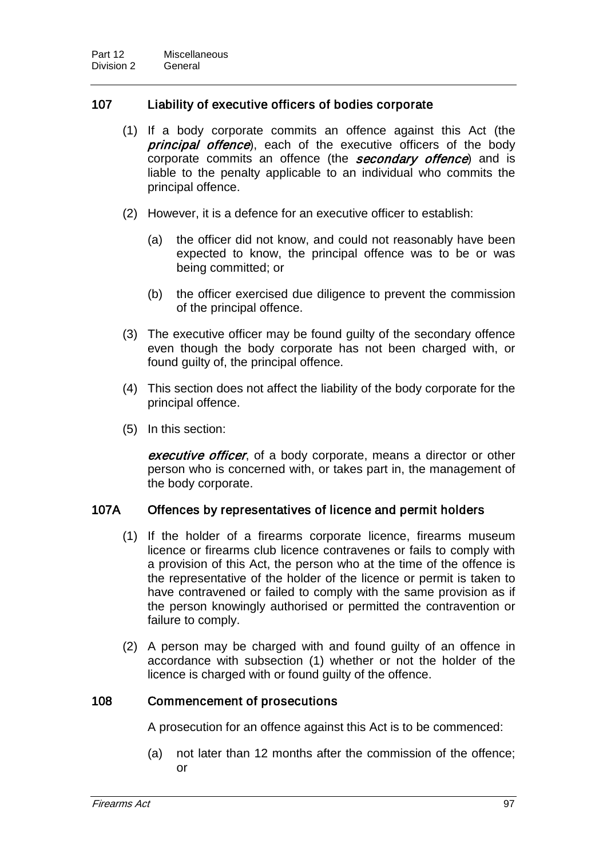## 107 Liability of executive officers of bodies corporate

- (1) If a body corporate commits an offence against this Act (the **principal offence**), each of the executive officers of the body corporate commits an offence (the **secondary offence**) and is liable to the penalty applicable to an individual who commits the principal offence.
- (2) However, it is a defence for an executive officer to establish:
	- (a) the officer did not know, and could not reasonably have been expected to know, the principal offence was to be or was being committed; or
	- (b) the officer exercised due diligence to prevent the commission of the principal offence.
- (3) The executive officer may be found guilty of the secondary offence even though the body corporate has not been charged with, or found guilty of, the principal offence.
- (4) This section does not affect the liability of the body corporate for the principal offence.
- (5) In this section:

executive officer, of a body corporate, means a director or other person who is concerned with, or takes part in, the management of the body corporate.

# 107A Offences by representatives of licence and permit holders

- (1) If the holder of a firearms corporate licence, firearms museum licence or firearms club licence contravenes or fails to comply with a provision of this Act, the person who at the time of the offence is the representative of the holder of the licence or permit is taken to have contravened or failed to comply with the same provision as if the person knowingly authorised or permitted the contravention or failure to comply.
- (2) A person may be charged with and found guilty of an offence in accordance with subsection (1) whether or not the holder of the licence is charged with or found guilty of the offence.

## 108 Commencement of prosecutions

A prosecution for an offence against this Act is to be commenced:

(a) not later than 12 months after the commission of the offence; or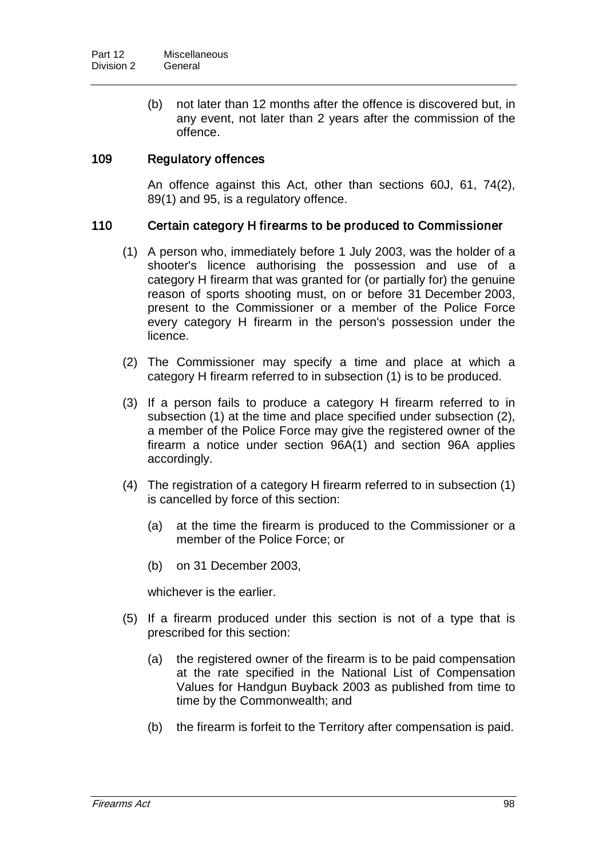(b) not later than 12 months after the offence is discovered but, in any event, not later than 2 years after the commission of the offence.

## 109 Regulatory offences

An offence against this Act, other than sections 60J, 61, 74(2), 89(1) and 95, is a regulatory offence.

### 110 Certain category H firearms to be produced to Commissioner

- (1) A person who, immediately before 1 July 2003, was the holder of a shooter's licence authorising the possession and use of a category H firearm that was granted for (or partially for) the genuine reason of sports shooting must, on or before 31 December 2003, present to the Commissioner or a member of the Police Force every category H firearm in the person's possession under the licence.
- (2) The Commissioner may specify a time and place at which a category H firearm referred to in subsection (1) is to be produced.
- (3) If a person fails to produce a category H firearm referred to in subsection (1) at the time and place specified under subsection (2), a member of the Police Force may give the registered owner of the firearm a notice under section 96A(1) and section 96A applies accordingly.
- (4) The registration of a category H firearm referred to in subsection (1) is cancelled by force of this section:
	- (a) at the time the firearm is produced to the Commissioner or a member of the Police Force; or
	- (b) on 31 December 2003,

whichever is the earlier.

- (5) If a firearm produced under this section is not of a type that is prescribed for this section:
	- (a) the registered owner of the firearm is to be paid compensation at the rate specified in the National List of Compensation Values for Handgun Buyback 2003 as published from time to time by the Commonwealth; and
	- (b) the firearm is forfeit to the Territory after compensation is paid.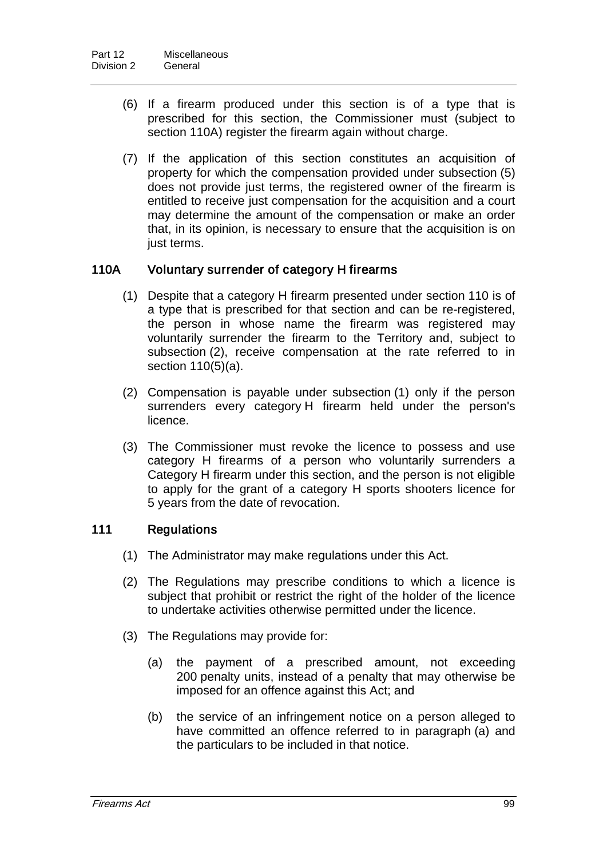- (6) If a firearm produced under this section is of a type that is prescribed for this section, the Commissioner must (subject to section 110A) register the firearm again without charge.
- (7) If the application of this section constitutes an acquisition of property for which the compensation provided under subsection (5) does not provide just terms, the registered owner of the firearm is entitled to receive just compensation for the acquisition and a court may determine the amount of the compensation or make an order that, in its opinion, is necessary to ensure that the acquisition is on just terms.

## 110A Voluntary surrender of category H firearms

- (1) Despite that a category H firearm presented under section 110 is of a type that is prescribed for that section and can be re-registered, the person in whose name the firearm was registered may voluntarily surrender the firearm to the Territory and, subject to subsection (2), receive compensation at the rate referred to in section 110(5)(a).
- (2) Compensation is payable under subsection (1) only if the person surrenders every category H firearm held under the person's licence.
- (3) The Commissioner must revoke the licence to possess and use category H firearms of a person who voluntarily surrenders a Category H firearm under this section, and the person is not eligible to apply for the grant of a category H sports shooters licence for 5 years from the date of revocation.

## 111 Regulations

- (1) The Administrator may make regulations under this Act.
- (2) The Regulations may prescribe conditions to which a licence is subject that prohibit or restrict the right of the holder of the licence to undertake activities otherwise permitted under the licence.
- (3) The Regulations may provide for:
	- (a) the payment of a prescribed amount, not exceeding 200 penalty units, instead of a penalty that may otherwise be imposed for an offence against this Act; and
	- (b) the service of an infringement notice on a person alleged to have committed an offence referred to in paragraph (a) and the particulars to be included in that notice.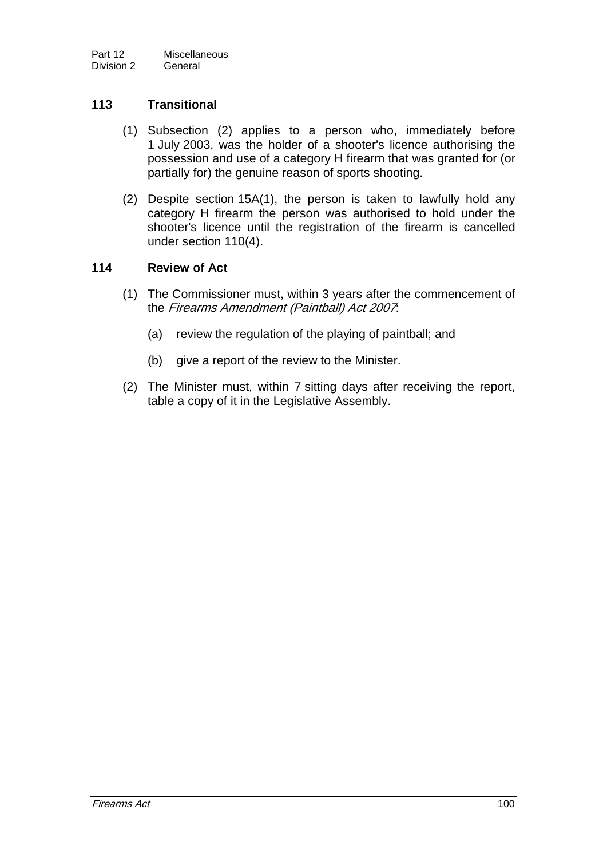## 113 Transitional

- (1) Subsection (2) applies to a person who, immediately before 1 July 2003, was the holder of a shooter's licence authorising the possession and use of a category H firearm that was granted for (or partially for) the genuine reason of sports shooting.
- (2) Despite section 15A(1), the person is taken to lawfully hold any category H firearm the person was authorised to hold under the shooter's licence until the registration of the firearm is cancelled under section 110(4).

## 114 Review of Act

- (1) The Commissioner must, within 3 years after the commencement of the Firearms Amendment (Paintball) Act 2007:
	- (a) review the regulation of the playing of paintball; and
	- (b) give a report of the review to the Minister.
- (2) The Minister must, within 7 sitting days after receiving the report, table a copy of it in the Legislative Assembly.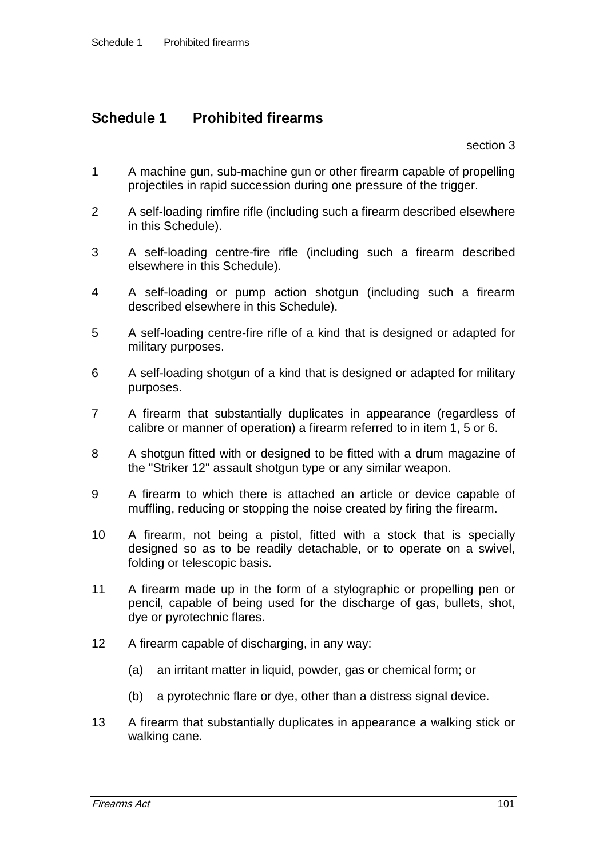# Schedule 1 Prohibited firearms

section 3

- 1 A machine gun, sub-machine gun or other firearm capable of propelling projectiles in rapid succession during one pressure of the trigger.
- 2 A self-loading rimfire rifle (including such a firearm described elsewhere in this Schedule).
- 3 A self-loading centre-fire rifle (including such a firearm described elsewhere in this Schedule).
- 4 A self-loading or pump action shotgun (including such a firearm described elsewhere in this Schedule).
- 5 A self-loading centre-fire rifle of a kind that is designed or adapted for military purposes.
- 6 A self-loading shotgun of a kind that is designed or adapted for military purposes.
- 7 A firearm that substantially duplicates in appearance (regardless of calibre or manner of operation) a firearm referred to in item 1, 5 or 6.
- 8 A shotgun fitted with or designed to be fitted with a drum magazine of the "Striker 12" assault shotgun type or any similar weapon.
- 9 A firearm to which there is attached an article or device capable of muffling, reducing or stopping the noise created by firing the firearm.
- 10 A firearm, not being a pistol, fitted with a stock that is specially designed so as to be readily detachable, or to operate on a swivel, folding or telescopic basis.
- 11 A firearm made up in the form of a stylographic or propelling pen or pencil, capable of being used for the discharge of gas, bullets, shot, dye or pyrotechnic flares.
- 12 A firearm capable of discharging, in any way:
	- (a) an irritant matter in liquid, powder, gas or chemical form; or
	- (b) a pyrotechnic flare or dye, other than a distress signal device.
- 13 A firearm that substantially duplicates in appearance a walking stick or walking cane.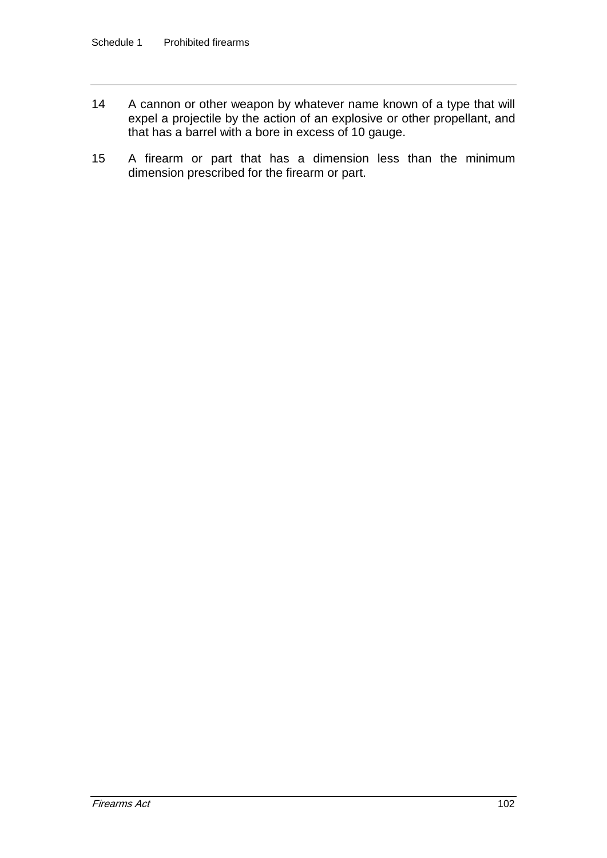- 14 A cannon or other weapon by whatever name known of a type that will expel a projectile by the action of an explosive or other propellant, and that has a barrel with a bore in excess of 10 gauge.
- 15 A firearm or part that has a dimension less than the minimum dimension prescribed for the firearm or part.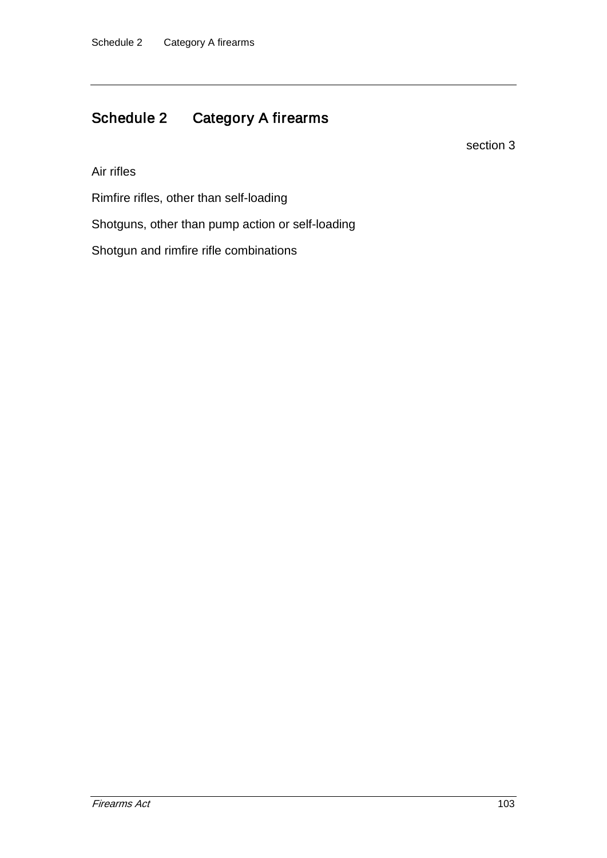## Schedule 2 Category A firearms

section 3

Air rifles

Rimfire rifles, other than self-loading

Shotguns, other than pump action or self-loading

Shotgun and rimfire rifle combinations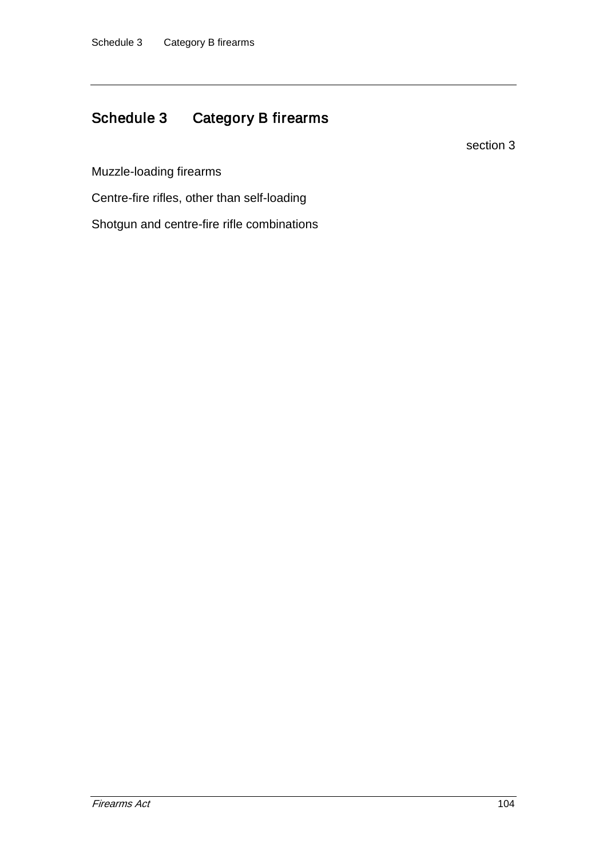## Schedule 3 Category B firearms

section 3

Muzzle-loading firearms

Centre-fire rifles, other than self-loading

Shotgun and centre-fire rifle combinations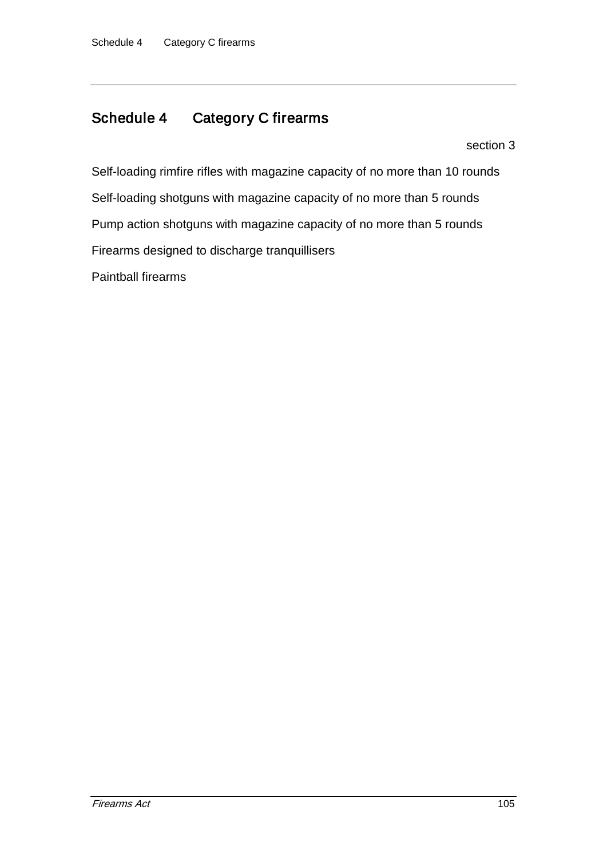## Schedule 4 Category C firearms

section 3

Self-loading rimfire rifles with magazine capacity of no more than 10 rounds Self-loading shotguns with magazine capacity of no more than 5 rounds Pump action shotguns with magazine capacity of no more than 5 rounds Firearms designed to discharge tranquillisers Paintball firearms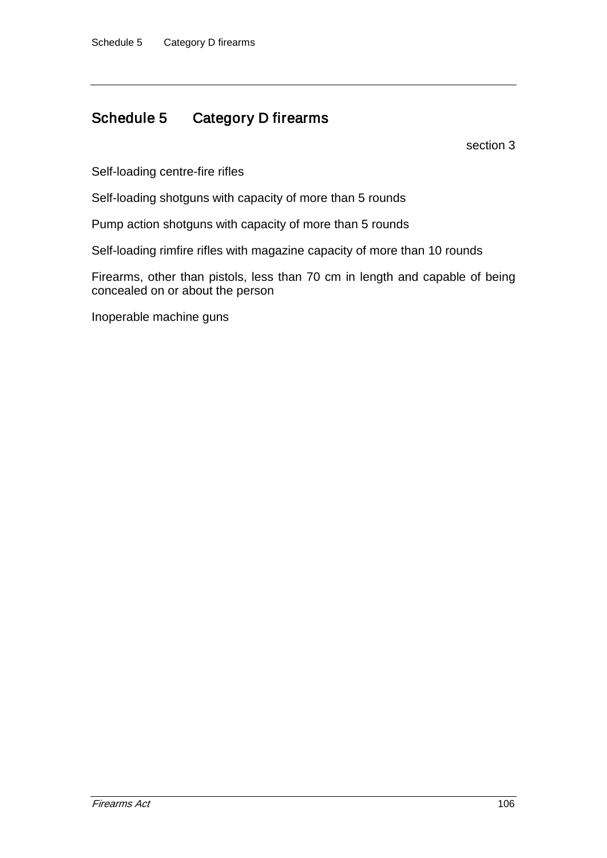### Schedule 5 Category D firearms

section 3

Self-loading centre-fire rifles

Self-loading shotguns with capacity of more than 5 rounds

Pump action shotguns with capacity of more than 5 rounds

Self-loading rimfire rifles with magazine capacity of more than 10 rounds

Firearms, other than pistols, less than 70 cm in length and capable of being concealed on or about the person

Inoperable machine guns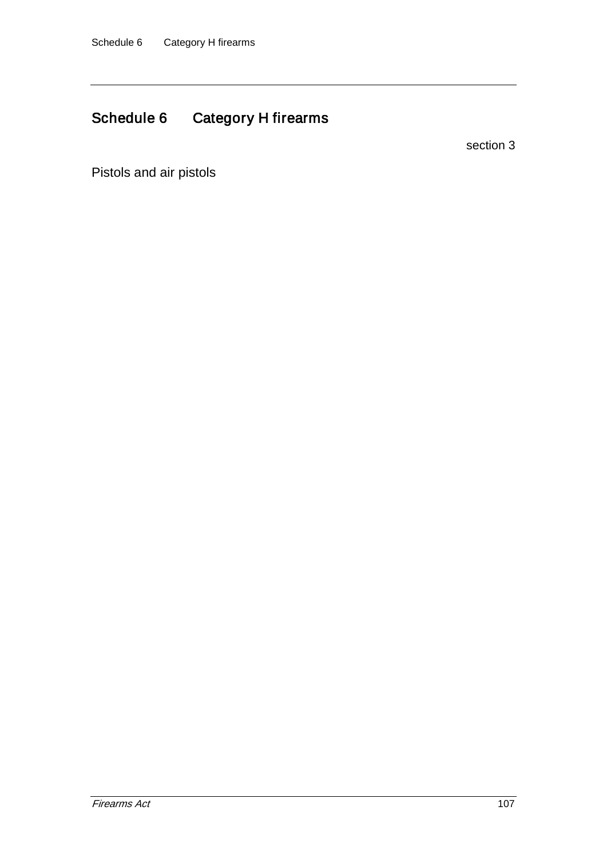# Schedule 6 Category H firearms

section 3

Pistols and air pistols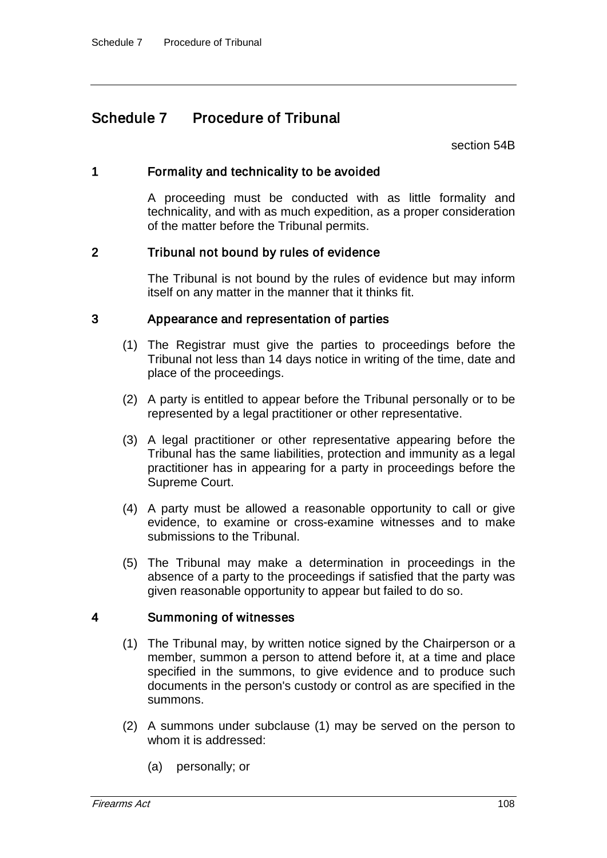## Schedule 7 Procedure of Tribunal

section 54B

### 1 Formality and technicality to be avoided

A proceeding must be conducted with as little formality and technicality, and with as much expedition, as a proper consideration of the matter before the Tribunal permits.

### 2 Tribunal not bound by rules of evidence

The Tribunal is not bound by the rules of evidence but may inform itself on any matter in the manner that it thinks fit.

#### 3 Appearance and representation of parties

- (1) The Registrar must give the parties to proceedings before the Tribunal not less than 14 days notice in writing of the time, date and place of the proceedings.
- (2) A party is entitled to appear before the Tribunal personally or to be represented by a legal practitioner or other representative.
- (3) A legal practitioner or other representative appearing before the Tribunal has the same liabilities, protection and immunity as a legal practitioner has in appearing for a party in proceedings before the Supreme Court.
- (4) A party must be allowed a reasonable opportunity to call or give evidence, to examine or cross-examine witnesses and to make submissions to the Tribunal.
- (5) The Tribunal may make a determination in proceedings in the absence of a party to the proceedings if satisfied that the party was given reasonable opportunity to appear but failed to do so.

#### 4 Summoning of witnesses

- (1) The Tribunal may, by written notice signed by the Chairperson or a member, summon a person to attend before it, at a time and place specified in the summons, to give evidence and to produce such documents in the person's custody or control as are specified in the summons.
- (2) A summons under subclause (1) may be served on the person to whom it is addressed:
	- (a) personally; or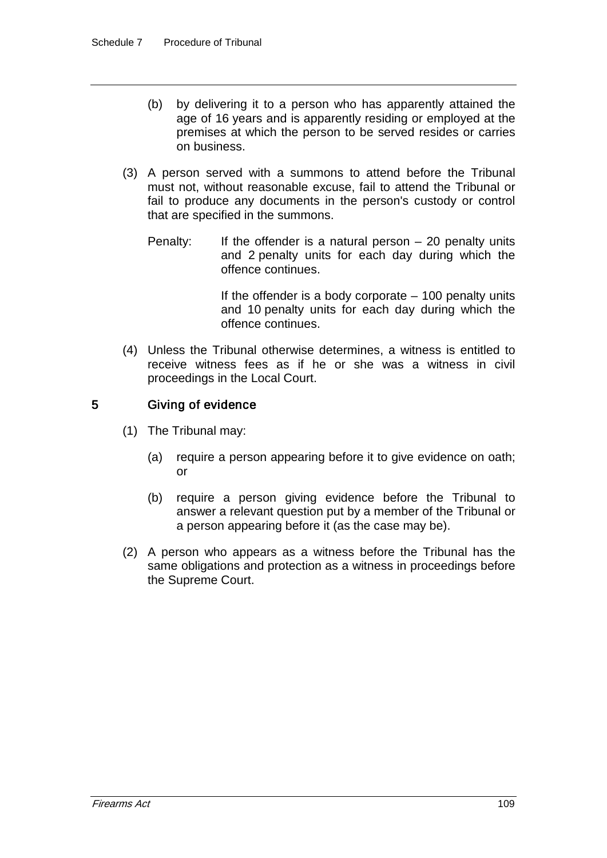- (b) by delivering it to a person who has apparently attained the age of 16 years and is apparently residing or employed at the premises at which the person to be served resides or carries on business.
- (3) A person served with a summons to attend before the Tribunal must not, without reasonable excuse, fail to attend the Tribunal or fail to produce any documents in the person's custody or control that are specified in the summons.
	- Penalty: If the offender is a natural person  $-20$  penalty units and 2 penalty units for each day during which the offence continues.

If the offender is a body corporate  $-100$  penalty units and 10 penalty units for each day during which the offence continues.

(4) Unless the Tribunal otherwise determines, a witness is entitled to receive witness fees as if he or she was a witness in civil proceedings in the Local Court.

### 5 Giving of evidence

- (1) The Tribunal may:
	- (a) require a person appearing before it to give evidence on oath; or
	- (b) require a person giving evidence before the Tribunal to answer a relevant question put by a member of the Tribunal or a person appearing before it (as the case may be).
- (2) A person who appears as a witness before the Tribunal has the same obligations and protection as a witness in proceedings before the Supreme Court.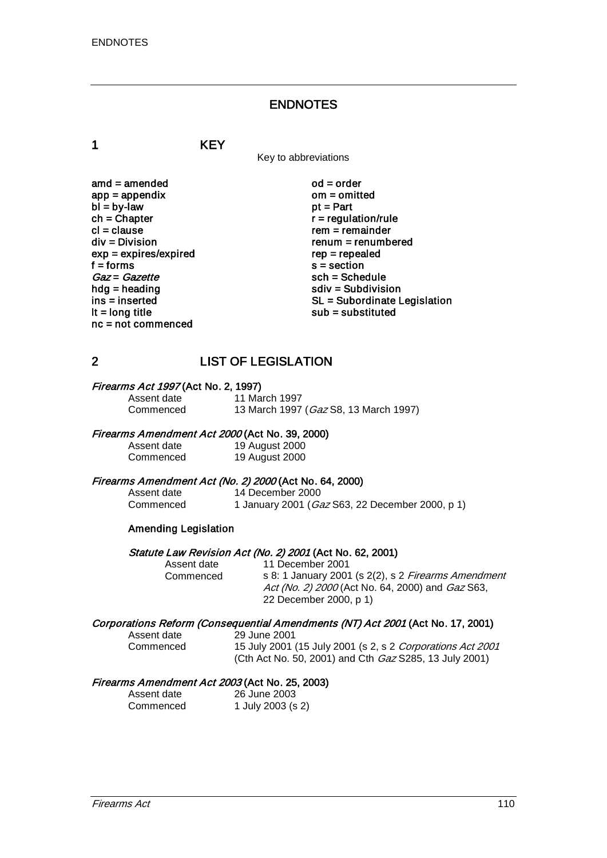### ENDNOTES

1 KEY

Key to abbreviations

amd = amended od = order<br>app = appendix om = omitted  $app = appendix$  om = om<br>  $bl = by-law$  of = Part  $bl = by-law$ <br>ch = Chapter  $ch = Chapter$ <br>  $cl = clause$  regulation/rule cl = clause rem = remainder<br>div = Division rem = remumber  $exp = expires/expired$ <br>f = forms  $f = 6$  forms s = section<br>  $Gaz = Gazette$  sch = Sche  $Gaz = Gazette$ <br>  $hda = headina$ <br>  $sdiv = Subdivisi$ hdg = heading solution<br>ins = inserted solution<br>SL = Subordinate L nc = not commenced

 $renum = renumbered$ <br> $rep = rep\end{eq}$ ins = inserted state of the SL = Subordinate Legislation<br>  $\mathsf{I} \mathsf{t} = \mathsf{long}$  title state of the substituted substituted substituted  $sub =$  substituted

### 2 LIST OF LEGISLATION

## **Firearms Act 1997 (Act No. 2, 1997)**<br>Assent date 11 Ma

Assent date 11 March 1997<br>Commenced 13 March 1997 13 March 1997 (Gaz S8, 13 March 1997)

#### Firearms Amendment Act 2000 (Act No. 39, 2000)

Assent date 19 August 2000<br>Commenced 19 August 2000 19 August 2000

## Firearms Amendment Act (No. 2) 2000 (Act No. 64, 2000)<br>Assent date 14 December 2000

Assent date 14 December 2000<br>Commenced 1 January 2001 (Ga 1 January 2001 (Gaz S63, 22 December 2000, p 1)

#### Amending Legislation

# Statute Law Revision Act (No. 2) 2001 (Act No. 62, 2001)<br>Assent date 11 December 2001

Assent date 11 December 2001<br>Commenced s 8: 1 January 2001 s 8: 1 January 2001 (s 2(2), s 2 Firearms Amendment Act (No. 2) 2000 (Act No. 64, 2000) and *Gaz* S63, 22 December 2000, p 1)

#### Corporations Reform (Consequential Amendments (NT) Act 2001 (Act No. 17, 2001)

Assent date 29 June 2001<br>Commenced 15 July 2001

15 July 2001 (15 July 2001 (s 2, s 2 Corporations Act 2001 (Cth Act No. 50, 2001) and Cth Gaz S285, 13 July 2001)

# Firearms Amendment Act 2003 (Act No. 25, 2003)<br>Assent date 26 June 2003

26 June 2003 Commenced 1 July 2003 (s 2)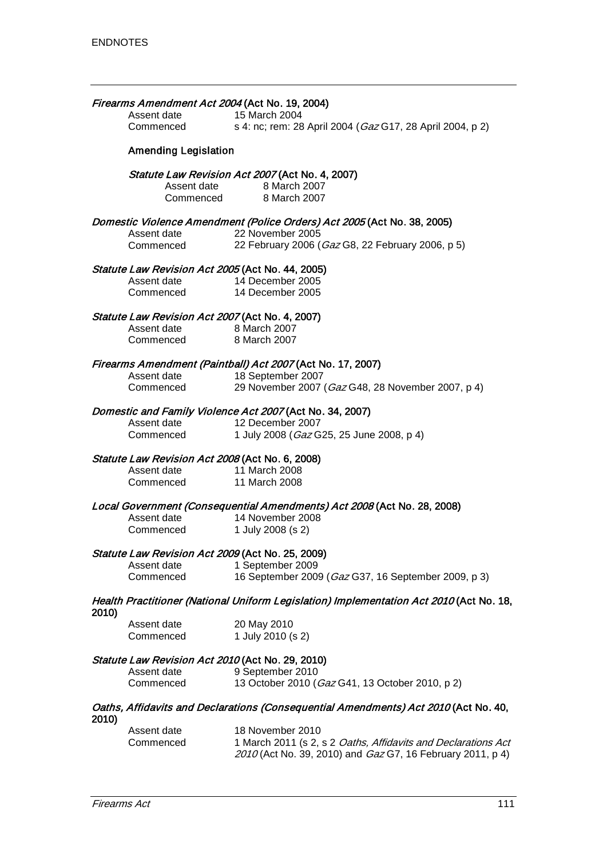| Firearms Amendment Act 2004 (Act No. 19, 2004)<br>15 March 2004<br>Assent date |                                                                |                                                                                                       |  |  |
|--------------------------------------------------------------------------------|----------------------------------------------------------------|-------------------------------------------------------------------------------------------------------|--|--|
|                                                                                | Commenced                                                      | s 4: nc; rem: 28 April 2004 (Gaz G17, 28 April 2004, p 2)                                             |  |  |
|                                                                                | <b>Amending Legislation</b>                                    |                                                                                                       |  |  |
|                                                                                |                                                                | Statute Law Revision Act 2007 (Act No. 4, 2007)<br>Assent date 8 March 2007<br>Commenced 8 March 2007 |  |  |
|                                                                                |                                                                | Domestic Violence Amendment (Police Orders) Act 2005 (Act No. 38, 2005)                               |  |  |
|                                                                                | Assent date 22 November 2005                                   |                                                                                                       |  |  |
|                                                                                | Commenced                                                      | 22 February 2006 (Gaz G8, 22 February 2006, p 5)                                                      |  |  |
|                                                                                | Statute Law Revision Act 2005 (Act No. 44, 2005)               |                                                                                                       |  |  |
|                                                                                | Assent date 14 December 2005                                   |                                                                                                       |  |  |
|                                                                                | Commenced                                                      | 14 December 2005                                                                                      |  |  |
|                                                                                | Statute Law Revision Act 2007 (Act No. 4, 2007)<br>Assent date | 8 March 2007                                                                                          |  |  |
|                                                                                | Commenced 8 March 2007                                         |                                                                                                       |  |  |
|                                                                                |                                                                |                                                                                                       |  |  |
|                                                                                | Assent date 18 September 2007                                  | Firearms Amendment (Paintball) Act 2007 (Act No. 17, 2007)                                            |  |  |
|                                                                                | Commenced                                                      | 29 November 2007 (Gaz G48, 28 November 2007, p 4)                                                     |  |  |
|                                                                                |                                                                |                                                                                                       |  |  |
|                                                                                |                                                                | Domestic and Family Violence Act 2007 (Act No. 34, 2007)                                              |  |  |
|                                                                                | Assent date                                                    | 12 December 2007                                                                                      |  |  |
|                                                                                | Commenced                                                      | 1 July 2008 (Gaz G25, 25 June 2008, p 4)                                                              |  |  |
|                                                                                | Statute Law Revision Act 2008 (Act No. 6, 2008)                |                                                                                                       |  |  |
|                                                                                | Assent date                                                    | 11 March 2008                                                                                         |  |  |
|                                                                                | Commenced                                                      | 11 March 2008                                                                                         |  |  |
|                                                                                |                                                                | Local Government (Consequential Amendments) Act 2008 (Act No. 28, 2008)                               |  |  |
|                                                                                | Assent date                                                    | 14 November 2008                                                                                      |  |  |
|                                                                                | Commenced                                                      | 1 July 2008 (s 2)                                                                                     |  |  |
|                                                                                | Statute Law Revision Act 2009 (Act No. 25, 2009)               |                                                                                                       |  |  |
|                                                                                | Assent date                                                    | 1 September 2009                                                                                      |  |  |
|                                                                                | Commenced                                                      | 16 September 2009 (Gaz G37, 16 September 2009, p 3)                                                   |  |  |
| 2010)                                                                          |                                                                | Health Practitioner (National Uniform Legislation) Implementation Act 2010 (Act No. 18,               |  |  |
|                                                                                | Assent date                                                    | 20 May 2010                                                                                           |  |  |
|                                                                                | Commenced                                                      | 1 July 2010 (s 2)                                                                                     |  |  |
| Statute Law Revision Act 2010 (Act No. 29, 2010)                               |                                                                |                                                                                                       |  |  |
|                                                                                | Assent date                                                    | 9 September 2010                                                                                      |  |  |
|                                                                                | Commenced                                                      | 13 October 2010 (Gaz G41, 13 October 2010, p 2)                                                       |  |  |
| 2010)                                                                          |                                                                | Oaths, Affidavits and Declarations (Consequential Amendments) Act 2010 (Act No. 40,                   |  |  |
|                                                                                | Assent date                                                    | 18 November 2010                                                                                      |  |  |
|                                                                                |                                                                |                                                                                                       |  |  |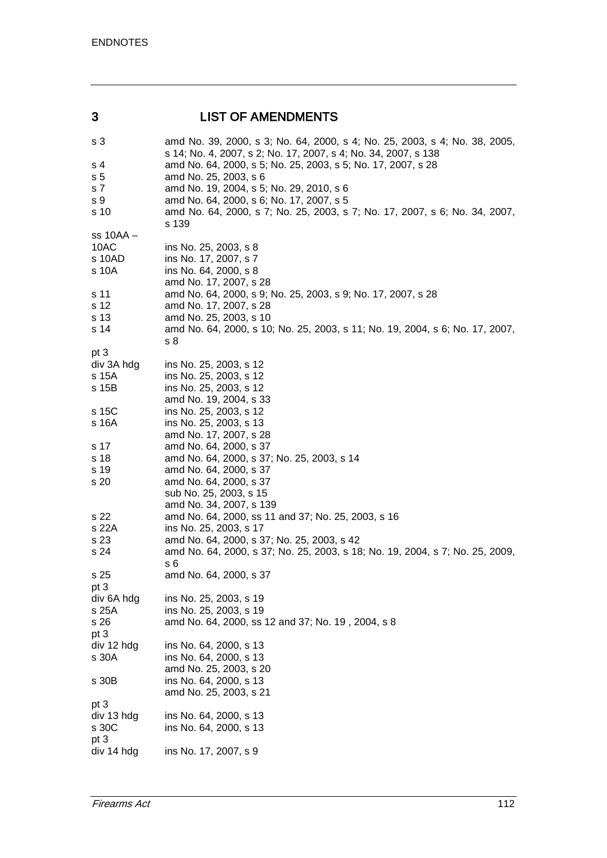### 3 LIST OF AMENDMENTS

| s 3            | amd No. 39, 2000, s 3; No. 64, 2000, s 4; No. 25, 2003, s 4; No. 38, 2005,<br>s 14; No. 4, 2007, s 2; No. 17, 2007, s 4; No. 34, 2007, s 138 |
|----------------|----------------------------------------------------------------------------------------------------------------------------------------------|
| s 4            | amd No. 64, 2000, s 5; No. 25, 2003, s 5; No. 17, 2007, s 28                                                                                 |
| s <sub>5</sub> | amd No. 25, 2003, s 6                                                                                                                        |
| s 7            | amd No. 19, 2004, s 5; No. 29, 2010, s 6                                                                                                     |
| s 9            | amd No. 64, 2000, s 6; No. 17, 2007, s 5                                                                                                     |
| s 10           | amd No. 64, 2000, s 7; No. 25, 2003, s 7; No. 17, 2007, s 6; No. 34, 2007,                                                                   |
|                | s 139                                                                                                                                        |
| $ss$ 10AA $-$  |                                                                                                                                              |
| 10AC           | ins No. 25, 2003, s 8                                                                                                                        |
| s 10AD         | ins No. 17, 2007, s 7                                                                                                                        |
|                |                                                                                                                                              |
| s 10A          | ins No. 64, 2000, s 8                                                                                                                        |
|                | amd No. 17, 2007, s 28                                                                                                                       |
| s 11           | amd No. 64, 2000, s 9; No. 25, 2003, s 9; No. 17, 2007, s 28                                                                                 |
| s 12           | amd No. 17, 2007, s 28                                                                                                                       |
| s 13           | amd No. 25, 2003, s 10                                                                                                                       |
| s 14           | amd No. 64, 2000, s 10; No. 25, 2003, s 11; No. 19, 2004, s 6; No. 17, 2007,                                                                 |
|                | s 8                                                                                                                                          |
| pt 3           |                                                                                                                                              |
| div 3A hdg     | ins No. 25, 2003, s 12                                                                                                                       |
| s 15A          | ins No. 25, 2003, s 12                                                                                                                       |
| s 15B          | ins No. 25, 2003, s 12                                                                                                                       |
|                | amd No. 19, 2004, s 33                                                                                                                       |
| s 15C          | ins No. 25, 2003, s 12                                                                                                                       |
| s 16A          | ins No. 25, 2003, s 13                                                                                                                       |
|                | amd No. 17, 2007, s 28                                                                                                                       |
| s 17           | amd No. 64, 2000, s 37                                                                                                                       |
| s 18           | amd No. 64, 2000, s 37; No. 25, 2003, s 14                                                                                                   |
| s 19           | amd No. 64, 2000, s 37                                                                                                                       |
| s 20           | amd No. 64, 2000, s 37                                                                                                                       |
|                | sub No. 25, 2003, s 15                                                                                                                       |
|                | amd No. 34, 2007, s 139                                                                                                                      |
| s 22           | amd No. 64, 2000, ss 11 and 37; No. 25, 2003, s 16                                                                                           |
| s 22A          | ins No. 25, 2003, s 17                                                                                                                       |
| s 23           | amd No. 64, 2000, s 37; No. 25, 2003, s 42                                                                                                   |
| s 24           | amd No. 64, 2000, s 37; No. 25, 2003, s 18; No. 19, 2004, s 7; No. 25, 2009,                                                                 |
|                | s 6                                                                                                                                          |
| s 25           | amd No. 64, 2000, s 37                                                                                                                       |
| pt 3           |                                                                                                                                              |
| div 6A hdg     | ins No. 25, 2003, s 19                                                                                                                       |
| s 25A          | ins No. 25, 2003, s 19                                                                                                                       |
| s 26           | amd No. 64, 2000, ss 12 and 37; No. 19, 2004, s 8                                                                                            |
| pt 3           |                                                                                                                                              |
| div 12 hdg     | ins No. 64, 2000, s 13                                                                                                                       |
| s 30A          | ins No. 64, 2000, s 13                                                                                                                       |
|                | amd No. 25, 2003, s 20                                                                                                                       |
| s 30B          | ins No. 64, 2000, s 13                                                                                                                       |
|                | amd No. 25, 2003, s 21                                                                                                                       |
| pt 3           |                                                                                                                                              |
| div 13 hdg     | ins No. 64, 2000, s 13                                                                                                                       |
| s 30C          | ins No. 64, 2000, s 13                                                                                                                       |
| pt 3           |                                                                                                                                              |
| div 14 hdg     | ins No. 17, 2007, s 9                                                                                                                        |
|                |                                                                                                                                              |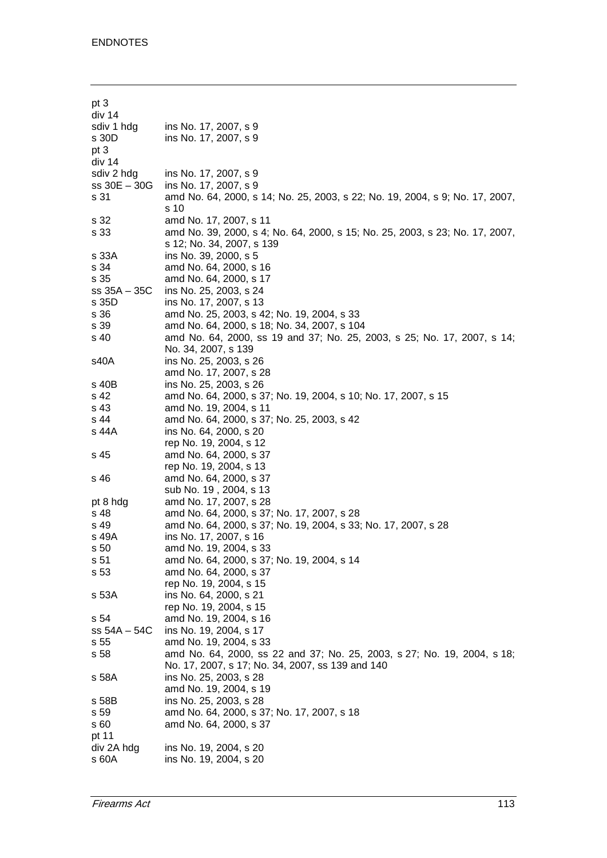| pt 3           |                                                                              |
|----------------|------------------------------------------------------------------------------|
| div 14         |                                                                              |
| sdiv 1 hdg     | ins No. 17, 2007, s 9                                                        |
| s 30D          | ins No. 17, 2007, s 9                                                        |
| pt 3           |                                                                              |
| div 14         |                                                                              |
|                |                                                                              |
| sdiv 2 hdg     | ins No. 17, 2007, s 9                                                        |
| ss 30E - 30G   | ins No. 17, 2007, s 9                                                        |
| s 31           | amd No. 64, 2000, s 14; No. 25, 2003, s 22; No. 19, 2004, s 9; No. 17, 2007, |
|                | s 10                                                                         |
| s 32           | amd No. 17, 2007, s 11                                                       |
| s 33           | amd No. 39, 2000, s 4; No. 64, 2000, s 15; No. 25, 2003, s 23; No. 17, 2007, |
|                | s 12; No. 34, 2007, s 139                                                    |
| s 33A          | ins No. 39, 2000, s 5                                                        |
| s 34           | amd No. 64, 2000, s 16                                                       |
| s 35           | amd No. 64, 2000, s 17                                                       |
| $ss 35A - 35C$ | ins No. 25, 2003, s 24                                                       |
| s 35D          | ins No. 17, 2007, s 13                                                       |
| s 36           | amd No. 25, 2003, s 42; No. 19, 2004, s 33                                   |
| s 39           | amd No. 64, 2000, s 18; No. 34, 2007, s 104                                  |
| s 40           | amd No. 64, 2000, ss 19 and 37; No. 25, 2003, s 25; No. 17, 2007, s 14;      |
|                | No. 34, 2007, s 139                                                          |
|                |                                                                              |
| s40A           | ins No. 25, 2003, s 26                                                       |
|                | amd No. 17, 2007, s 28                                                       |
| s 40B          | ins No. 25, 2003, s 26                                                       |
| s 42           | amd No. 64, 2000, s 37; No. 19, 2004, s 10; No. 17, 2007, s 15               |
| s 43           | amd No. 19, 2004, s 11                                                       |
| s 44           | amd No. 64, 2000, s 37; No. 25, 2003, s 42                                   |
| s 44A          | ins No. 64, 2000, s 20                                                       |
|                | rep No. 19, 2004, s 12                                                       |
| s 45           | amd No. 64, 2000, s 37                                                       |
|                | rep No. 19, 2004, s 13                                                       |
| s 46           | amd No. 64, 2000, s 37                                                       |
|                | sub No. 19, 2004, s 13                                                       |
| pt 8 hdg       | amd No. 17, 2007, s 28                                                       |
| s 48           | amd No. 64, 2000, s 37; No. 17, 2007, s 28                                   |
| s 49           | amd No. 64, 2000, s 37; No. 19, 2004, s 33; No. 17, 2007, s 28               |
| s 49A          | ins No. 17, 2007, s 16                                                       |
| s 50           | amd No. 19, 2004, s 33                                                       |
| s 51           | amd No. 64, 2000, s 37; No. 19, 2004, s 14                                   |
| s 53           | amd No. 64, 2000, s 37                                                       |
|                |                                                                              |
|                | rep No. 19, 2004, s 15                                                       |
| s 53A          | ins No. 64, 2000, s 21                                                       |
|                | rep No. 19, 2004, s 15                                                       |
| s 54           | amd No. 19, 2004, s 16                                                       |
| $ss 54A - 54C$ | ins No. 19, 2004, s 17                                                       |
| s 55           | amd No. 19, 2004, s 33                                                       |
| s 58           | amd No. 64, 2000, ss 22 and 37; No. 25, 2003, s 27; No. 19, 2004, s 18;      |
|                | No. 17, 2007, s 17; No. 34, 2007, ss 139 and 140                             |
| s 58A          | ins No. 25, 2003, s 28                                                       |
|                | amd No. 19, 2004, s 19                                                       |
| s 58B          | ins No. 25, 2003, s 28                                                       |
| s 59           | amd No. 64, 2000, s 37; No. 17, 2007, s 18                                   |
| s 60           | amd No. 64, 2000, s 37                                                       |
| pt 11          |                                                                              |
| div 2A hdg     | ins No. 19, 2004, s 20                                                       |
| s 60A          | ins No. 19, 2004, s 20                                                       |
|                |                                                                              |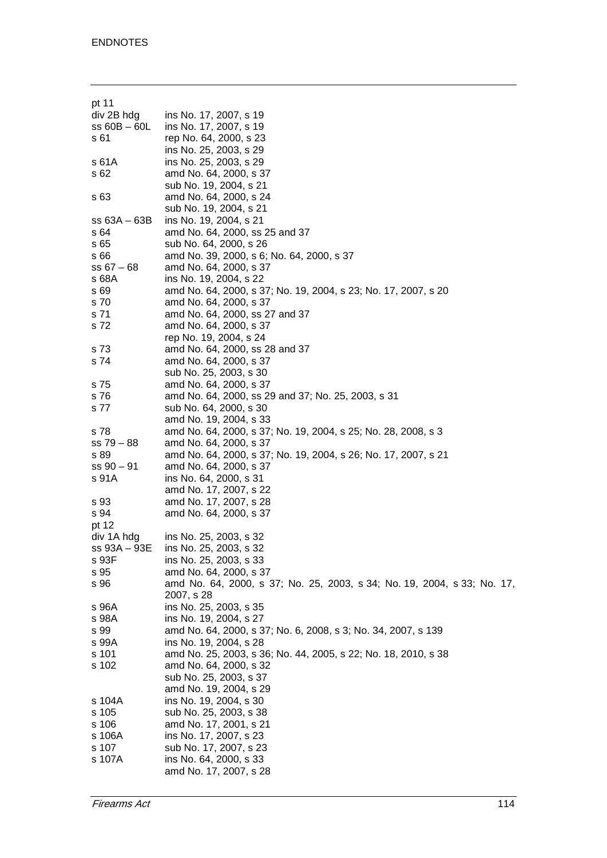| pt 11          |                                                                         |
|----------------|-------------------------------------------------------------------------|
| div 2B hdg     | ins No. 17, 2007, s 19                                                  |
| $ss 60B - 60L$ | ins No. 17, 2007, s 19                                                  |
| s 61           | rep No. 64, 2000, s 23                                                  |
|                | ins No. 25, 2003, s 29                                                  |
| s 61A          | ins No. 25, 2003, s 29                                                  |
| s 62           | amd No. 64, 2000, s 37                                                  |
|                | sub No. 19, 2004, s 21                                                  |
|                | amd No. 64, 2000, s 24                                                  |
| s 63           |                                                                         |
|                | sub No. 19, 2004, s 21                                                  |
| $ss 63A - 63B$ | ins No. 19, 2004, s 21                                                  |
| s 64           | amd No. 64, 2000, ss 25 and 37                                          |
| s 65           | sub No. 64, 2000, s 26                                                  |
| s 66           | amd No. 39, 2000, s 6; No. 64, 2000, s 37                               |
| $ss 67 - 68$   | amd No. 64, 2000, s 37                                                  |
| s 68A          | ins No. 19, 2004, s 22                                                  |
| s 69           | amd No. 64, 2000, s 37; No. 19, 2004, s 23; No. 17, 2007, s 20          |
| s 70           | amd No. 64, 2000, s 37                                                  |
| s 71           | amd No. 64, 2000, ss 27 and 37                                          |
| s 72           | amd No. 64, 2000, s 37                                                  |
|                | rep No. 19, 2004, s 24                                                  |
| s 73           | amd No. 64, 2000, ss 28 and 37                                          |
| s 74           | amd No. 64, 2000, s 37                                                  |
|                | sub No. 25, 2003, s 30                                                  |
| s 75           | amd No. 64, 2000, s 37                                                  |
| s 76           | amd No. 64, 2000, ss 29 and 37; No. 25, 2003, s 31                      |
| s 77           | sub No. 64, 2000, s 30                                                  |
|                | amd No. 19, 2004, s 33                                                  |
| s 78           | amd No. 64, 2000, s 37; No. 19, 2004, s 25; No. 28, 2008, s 3           |
| $ss 79 - 88$   | amd No. 64, 2000, s 37                                                  |
| s 89           | amd No. 64, 2000, s 37; No. 19, 2004, s 26; No. 17, 2007, s 21          |
| $ss 90 - 91$   | amd No. 64, 2000, s 37                                                  |
| s 91A          | ins No. 64, 2000, s 31                                                  |
|                | amd No. 17, 2007, s 22                                                  |
| s 93           | amd No. 17, 2007, s 28                                                  |
| s 94           | amd No. 64, 2000, s 37                                                  |
| pt 12          |                                                                         |
| div 1A hdg     | ins No. 25, 2003, s 32                                                  |
| ss 93A – 93E   | ins No. 25, 2003, s 32                                                  |
| s 93F          | ins No. 25, 2003, s 33                                                  |
| s 95           | amd No. 64, 2000, s 37                                                  |
| s 96           | amd No. 64, 2000, s 37; No. 25, 2003, s 34; No. 19, 2004, s 33; No. 17, |
|                | 2007, s 28                                                              |
| s 96A          | ins No. 25, 2003, s 35                                                  |
| s 98A          | ins No. 19, 2004, s 27                                                  |
| s 99           | amd No. 64, 2000, s 37; No. 6, 2008, s 3; No. 34, 2007, s 139           |
| s 99A          | ins No. 19, 2004, s 28                                                  |
| s 101          | amd No. 25, 2003, s 36; No. 44, 2005, s 22; No. 18, 2010, s 38          |
| s 102          | amd No. 64, 2000, s 32                                                  |
|                | sub No. 25, 2003, s 37                                                  |
|                | amd No. 19, 2004, s 29                                                  |
| s 104A         | ins No. 19, 2004, s 30                                                  |
| s 105          | sub No. 25, 2003, s 38                                                  |
| s 106          | amd No. 17, 2001, s 21                                                  |
| s 106A         | ins No. 17, 2007, s 23                                                  |
| s 107          | sub No. 17, 2007, s 23                                                  |
| s 107A         | ins No. 64, 2000, s 33                                                  |
|                | amd No. 17, 2007, s 28                                                  |